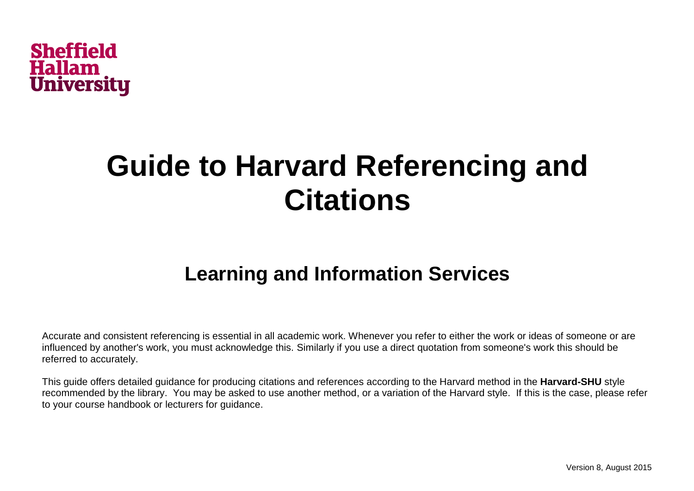

# **Guide to Harvard Referencing and Citations**

# **Learning and Information Services**

Accurate and consistent referencing is essential in all academic work. Whenever you refer to either the work or ideas of someone or are influenced by another's work, you must acknowledge this. Similarly if you use a direct quotation from someone's work this should be referred to accurately.

This guide offers detailed guidance for producing citations and references according to the Harvard method in the **Harvard-SHU** style recommended by the library.You may be asked to use another method, or a variation of the Harvard style. If this is the case, please refer to your course handbook or lecturers for guidance.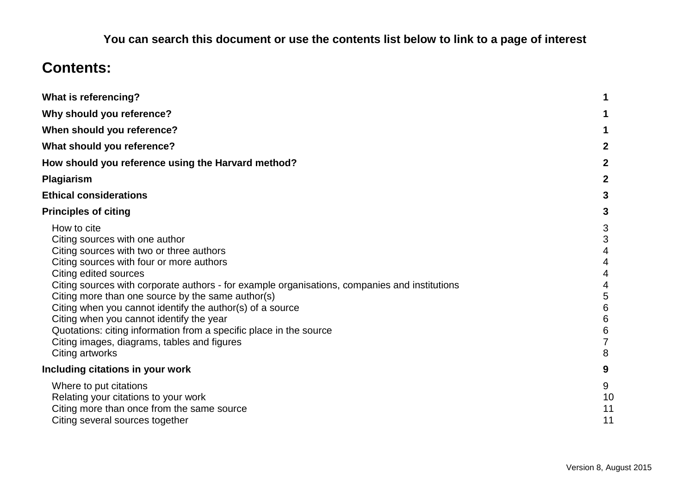# **You can search this document or use the contents list below to link to a page of interest**

# **Contents:**

| <b>What is referencing?</b>                                                                                                                                                                                                                                                                                                                                                                                                                                                                                                                                           |                                                |
|-----------------------------------------------------------------------------------------------------------------------------------------------------------------------------------------------------------------------------------------------------------------------------------------------------------------------------------------------------------------------------------------------------------------------------------------------------------------------------------------------------------------------------------------------------------------------|------------------------------------------------|
| Why should you reference?                                                                                                                                                                                                                                                                                                                                                                                                                                                                                                                                             |                                                |
| When should you reference?                                                                                                                                                                                                                                                                                                                                                                                                                                                                                                                                            |                                                |
| What should you reference?                                                                                                                                                                                                                                                                                                                                                                                                                                                                                                                                            | $\mathbf{2}$                                   |
| How should you reference using the Harvard method?                                                                                                                                                                                                                                                                                                                                                                                                                                                                                                                    | $\mathbf{2}$                                   |
| Plagiarism                                                                                                                                                                                                                                                                                                                                                                                                                                                                                                                                                            | $\mathbf{2}$                                   |
| <b>Ethical considerations</b>                                                                                                                                                                                                                                                                                                                                                                                                                                                                                                                                         | 3                                              |
| <b>Principles of citing</b>                                                                                                                                                                                                                                                                                                                                                                                                                                                                                                                                           | 3                                              |
| How to cite<br>Citing sources with one author<br>Citing sources with two or three authors<br>Citing sources with four or more authors<br>Citing edited sources<br>Citing sources with corporate authors - for example organisations, companies and institutions<br>Citing more than one source by the same author(s)<br>Citing when you cannot identify the author(s) of a source<br>Citing when you cannot identify the year<br>Quotations: citing information from a specific place in the source<br>Citing images, diagrams, tables and figures<br>Citing artworks | 3<br>3<br>4<br>4<br>4<br>5<br>6<br>6<br>6<br>8 |
| Including citations in your work                                                                                                                                                                                                                                                                                                                                                                                                                                                                                                                                      | 9                                              |
| Where to put citations<br>Relating your citations to your work<br>Citing more than once from the same source<br>Citing several sources together                                                                                                                                                                                                                                                                                                                                                                                                                       | 9<br>10<br>11<br>11                            |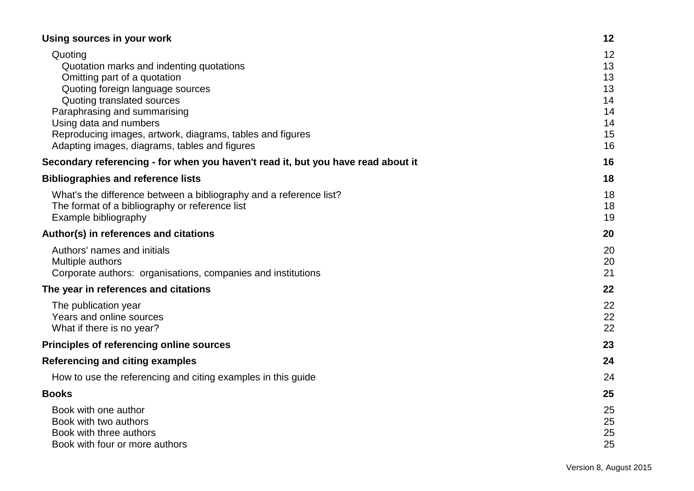| Using sources in your work                                                                                                                                                                         | 12                         |
|----------------------------------------------------------------------------------------------------------------------------------------------------------------------------------------------------|----------------------------|
| Quoting<br>Quotation marks and indenting quotations<br>Omitting part of a quotation<br>Quoting foreign language sources                                                                            | 12<br>13<br>13<br>13       |
| Quoting translated sources<br>Paraphrasing and summarising<br>Using data and numbers<br>Reproducing images, artwork, diagrams, tables and figures<br>Adapting images, diagrams, tables and figures | 14<br>14<br>14<br>15<br>16 |
| Secondary referencing - for when you haven't read it, but you have read about it                                                                                                                   | 16                         |
| <b>Bibliographies and reference lists</b>                                                                                                                                                          | 18                         |
| What's the difference between a bibliography and a reference list?<br>The format of a bibliography or reference list<br>Example bibliography                                                       | 18<br>18<br>19             |
| Author(s) in references and citations                                                                                                                                                              | 20                         |
| Authors' names and initials<br>Multiple authors<br>Corporate authors: organisations, companies and institutions                                                                                    | 20<br>20<br>21             |
| The year in references and citations                                                                                                                                                               | 22                         |
| The publication year<br>Years and online sources<br>What if there is no year?                                                                                                                      | 22<br>22<br>22             |
| Principles of referencing online sources                                                                                                                                                           | 23                         |
| <b>Referencing and citing examples</b>                                                                                                                                                             | 24                         |
| How to use the referencing and citing examples in this guide                                                                                                                                       | 24                         |
| <b>Books</b>                                                                                                                                                                                       | 25                         |
| Book with one author<br>Book with two authors<br>Book with three authors<br>Book with four or more authors                                                                                         | 25<br>25<br>25<br>25       |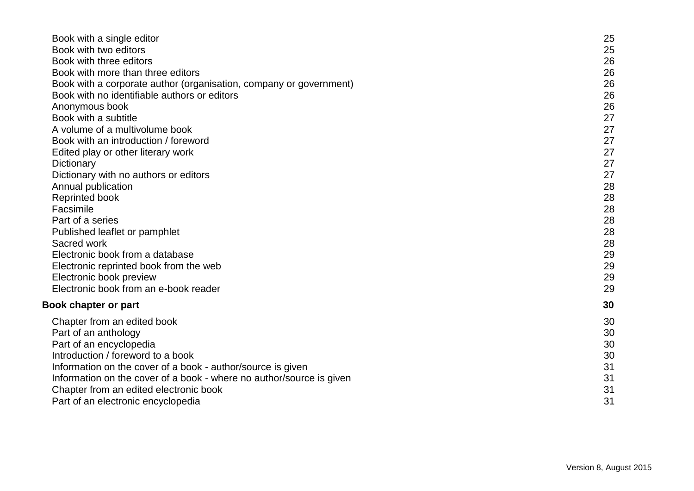| Book with a single editor                                            | 25 |
|----------------------------------------------------------------------|----|
| Book with two editors                                                | 25 |
| Book with three editors                                              | 26 |
| Book with more than three editors                                    | 26 |
| Book with a corporate author (organisation, company or government)   | 26 |
| Book with no identifiable authors or editors                         | 26 |
| Anonymous book                                                       | 26 |
| Book with a subtitle                                                 | 27 |
| A volume of a multivolume book                                       | 27 |
| Book with an introduction / foreword                                 | 27 |
| Edited play or other literary work                                   | 27 |
| Dictionary                                                           | 27 |
| Dictionary with no authors or editors                                | 27 |
| Annual publication                                                   | 28 |
| <b>Reprinted book</b>                                                | 28 |
| Facsimile                                                            | 28 |
| Part of a series                                                     | 28 |
| Published leaflet or pamphlet                                        | 28 |
| Sacred work                                                          | 28 |
| Electronic book from a database                                      | 29 |
| Electronic reprinted book from the web                               | 29 |
| Electronic book preview                                              | 29 |
| Electronic book from an e-book reader                                | 29 |
| <b>Book chapter or part</b>                                          | 30 |
| Chapter from an edited book                                          | 30 |
| Part of an anthology                                                 | 30 |
| Part of an encyclopedia                                              | 30 |
| Introduction / foreword to a book                                    | 30 |
| Information on the cover of a book - author/source is given          | 31 |
| Information on the cover of a book - where no author/source is given | 31 |
| Chapter from an edited electronic book                               | 31 |
| Part of an electronic encyclopedia                                   | 31 |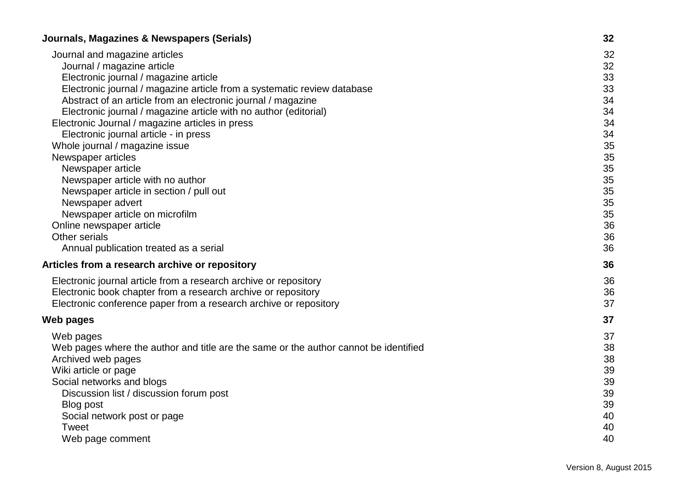| Journals, Magazines & Newspapers (Serials)                                           | 32 |
|--------------------------------------------------------------------------------------|----|
| Journal and magazine articles                                                        | 32 |
| Journal / magazine article                                                           | 32 |
| Electronic journal / magazine article                                                | 33 |
| Electronic journal / magazine article from a systematic review database              | 33 |
| Abstract of an article from an electronic journal / magazine                         | 34 |
| Electronic journal / magazine article with no author (editorial)                     | 34 |
| Electronic Journal / magazine articles in press                                      | 34 |
| Electronic journal article - in press                                                | 34 |
| Whole journal / magazine issue                                                       | 35 |
| Newspaper articles                                                                   | 35 |
| Newspaper article                                                                    | 35 |
| Newspaper article with no author                                                     | 35 |
| Newspaper article in section / pull out                                              | 35 |
| Newspaper advert                                                                     | 35 |
| Newspaper article on microfilm                                                       | 35 |
| Online newspaper article                                                             | 36 |
| Other serials                                                                        | 36 |
| Annual publication treated as a serial                                               | 36 |
| Articles from a research archive or repository                                       | 36 |
| Electronic journal article from a research archive or repository                     | 36 |
| Electronic book chapter from a research archive or repository                        | 36 |
| Electronic conference paper from a research archive or repository                    | 37 |
| Web pages                                                                            | 37 |
| Web pages                                                                            | 37 |
| Web pages where the author and title are the same or the author cannot be identified | 38 |
| Archived web pages                                                                   | 38 |
| Wiki article or page                                                                 | 39 |
| Social networks and blogs                                                            | 39 |
| Discussion list / discussion forum post                                              | 39 |
| <b>Blog post</b>                                                                     | 39 |
| Social network post or page                                                          | 40 |
| Tweet                                                                                | 40 |
| Web page comment                                                                     | 40 |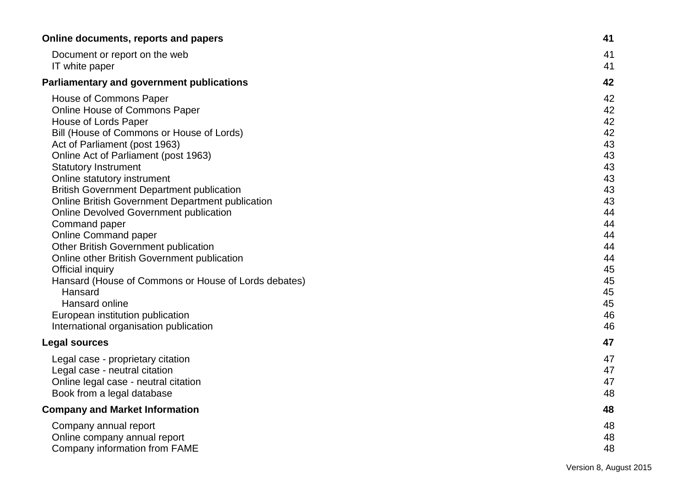| Online documents, reports and papers                    | 41 |
|---------------------------------------------------------|----|
| Document or report on the web                           | 41 |
| IT white paper                                          | 41 |
| <b>Parliamentary and government publications</b>        | 42 |
| House of Commons Paper                                  | 42 |
| Online House of Commons Paper                           | 42 |
| House of Lords Paper                                    | 42 |
| Bill (House of Commons or House of Lords)               | 42 |
| Act of Parliament (post 1963)                           | 43 |
| Online Act of Parliament (post 1963)                    | 43 |
| <b>Statutory Instrument</b>                             | 43 |
| Online statutory instrument                             | 43 |
| <b>British Government Department publication</b>        | 43 |
| <b>Online British Government Department publication</b> | 43 |
| <b>Online Devolved Government publication</b>           | 44 |
| Command paper                                           | 44 |
| <b>Online Command paper</b>                             | 44 |
| <b>Other British Government publication</b>             | 44 |
| Online other British Government publication             | 44 |
| Official inquiry                                        | 45 |
| Hansard (House of Commons or House of Lords debates)    | 45 |
| Hansard                                                 | 45 |
| Hansard online                                          | 45 |
| European institution publication                        | 46 |
| International organisation publication                  | 46 |
| <b>Legal sources</b>                                    | 47 |
| Legal case - proprietary citation                       | 47 |
| Legal case - neutral citation                           | 47 |
| Online legal case - neutral citation                    | 47 |
| Book from a legal database                              | 48 |
| <b>Company and Market Information</b>                   | 48 |
| Company annual report                                   | 48 |
| Online company annual report                            | 48 |
| Company information from FAME                           | 48 |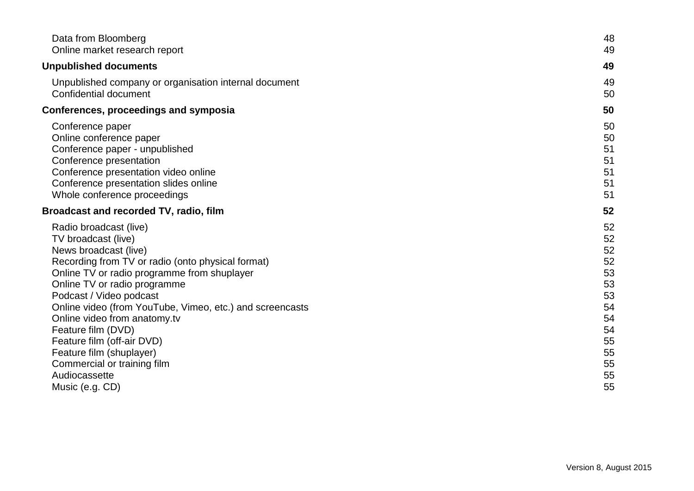| Data from Bloomberg                                      | 48 |
|----------------------------------------------------------|----|
| Online market research report                            | 49 |
| <b>Unpublished documents</b>                             | 49 |
| Unpublished company or organisation internal document    | 49 |
| Confidential document                                    | 50 |
| <b>Conferences, proceedings and symposia</b>             | 50 |
| Conference paper                                         | 50 |
| Online conference paper                                  | 50 |
| Conference paper - unpublished                           | 51 |
| Conference presentation                                  | 51 |
| Conference presentation video online                     | 51 |
| Conference presentation slides online                    | 51 |
| Whole conference proceedings                             | 51 |
| <b>Broadcast and recorded TV, radio, film</b>            | 52 |
| Radio broadcast (live)                                   | 52 |
| TV broadcast (live)                                      | 52 |
| News broadcast (live)                                    | 52 |
| Recording from TV or radio (onto physical format)        | 52 |
| Online TV or radio programme from shuplayer              | 53 |
| Online TV or radio programme                             | 53 |
| Podcast / Video podcast                                  | 53 |
| Online video (from YouTube, Vimeo, etc.) and screencasts | 54 |
| Online video from anatomy.tv                             | 54 |
| Feature film (DVD)                                       | 54 |
| Feature film (off-air DVD)                               | 55 |
| Feature film (shuplayer)                                 | 55 |
| Commercial or training film                              | 55 |
| Audiocassette                                            | 55 |
| Music (e.g. CD)                                          | 55 |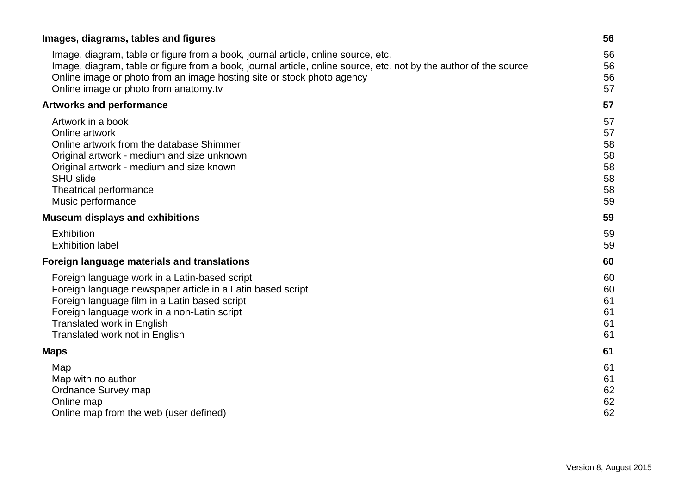| Images, diagrams, tables and figures                                                                              | 56 |
|-------------------------------------------------------------------------------------------------------------------|----|
| Image, diagram, table or figure from a book, journal article, online source, etc.                                 | 56 |
| Image, diagram, table or figure from a book, journal article, online source, etc. not by the author of the source | 56 |
| Online image or photo from an image hosting site or stock photo agency                                            | 56 |
| Online image or photo from anatomy.tv                                                                             | 57 |
| <b>Artworks and performance</b>                                                                                   | 57 |
| Artwork in a book                                                                                                 | 57 |
| Online artwork                                                                                                    | 57 |
| Online artwork from the database Shimmer                                                                          | 58 |
| Original artwork - medium and size unknown                                                                        | 58 |
| Original artwork - medium and size known                                                                          | 58 |
| <b>SHU slide</b>                                                                                                  | 58 |
| Theatrical performance                                                                                            | 58 |
| Music performance                                                                                                 | 59 |
| <b>Museum displays and exhibitions</b>                                                                            | 59 |
| Exhibition                                                                                                        | 59 |
| <b>Exhibition label</b>                                                                                           | 59 |
| Foreign language materials and translations                                                                       | 60 |
| Foreign language work in a Latin-based script                                                                     | 60 |
| Foreign language newspaper article in a Latin based script                                                        | 60 |
| Foreign language film in a Latin based script                                                                     | 61 |
| Foreign language work in a non-Latin script                                                                       | 61 |
| <b>Translated work in English</b>                                                                                 | 61 |
| Translated work not in English                                                                                    | 61 |
| <b>Maps</b>                                                                                                       | 61 |
| Map                                                                                                               | 61 |
| Map with no author                                                                                                | 61 |
| Ordnance Survey map                                                                                               | 62 |
| Online map                                                                                                        | 62 |
| Online map from the web (user defined)                                                                            | 62 |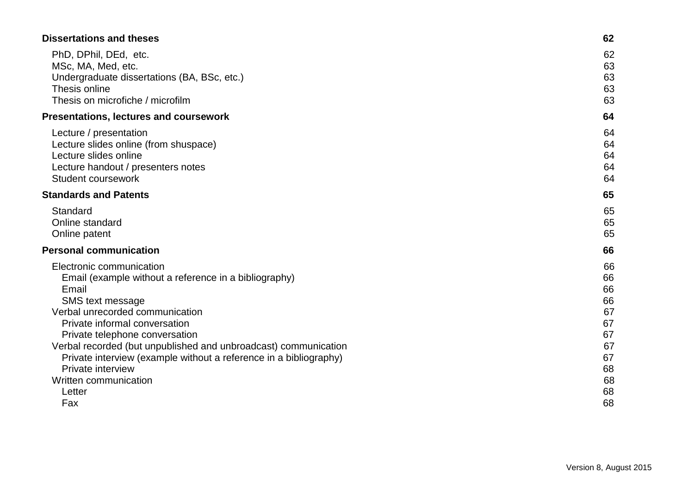| <b>Dissertations and theses</b>                                   | 62 |
|-------------------------------------------------------------------|----|
| PhD, DPhil, DEd, etc.                                             | 62 |
| MSc, MA, Med, etc.                                                | 63 |
| Undergraduate dissertations (BA, BSc, etc.)                       | 63 |
| Thesis online                                                     | 63 |
| Thesis on microfiche / microfilm                                  | 63 |
| <b>Presentations, lectures and coursework</b>                     | 64 |
| Lecture / presentation                                            | 64 |
| Lecture slides online (from shuspace)                             | 64 |
| Lecture slides online                                             | 64 |
| Lecture handout / presenters notes                                | 64 |
| Student coursework                                                | 64 |
| <b>Standards and Patents</b>                                      | 65 |
| Standard                                                          | 65 |
| Online standard                                                   | 65 |
| Online patent                                                     | 65 |
| <b>Personal communication</b>                                     | 66 |
| Electronic communication                                          | 66 |
| Email (example without a reference in a bibliography)             | 66 |
| Email                                                             | 66 |
| SMS text message                                                  | 66 |
| Verbal unrecorded communication                                   | 67 |
| Private informal conversation                                     | 67 |
| Private telephone conversation                                    | 67 |
| Verbal recorded (but unpublished and unbroadcast) communication   | 67 |
| Private interview (example without a reference in a bibliography) | 67 |
| Private interview                                                 | 68 |
| Written communication                                             | 68 |
| Letter                                                            | 68 |
| Fax                                                               | 68 |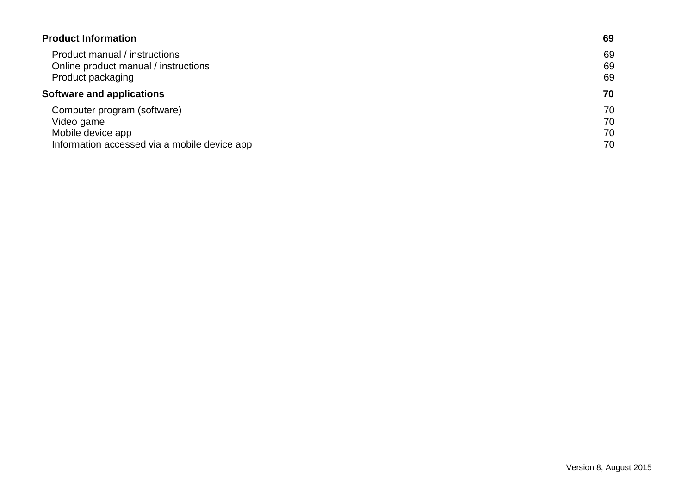| <b>Product Information</b>                   | 69 |
|----------------------------------------------|----|
| Product manual / instructions                | 69 |
| Online product manual / instructions         | 69 |
| Product packaging                            | 69 |
| <b>Software and applications</b>             | 70 |
| Computer program (software)                  | 70 |
| Video game                                   | 70 |
| Mobile device app                            | 70 |
| Information accessed via a mobile device app | 70 |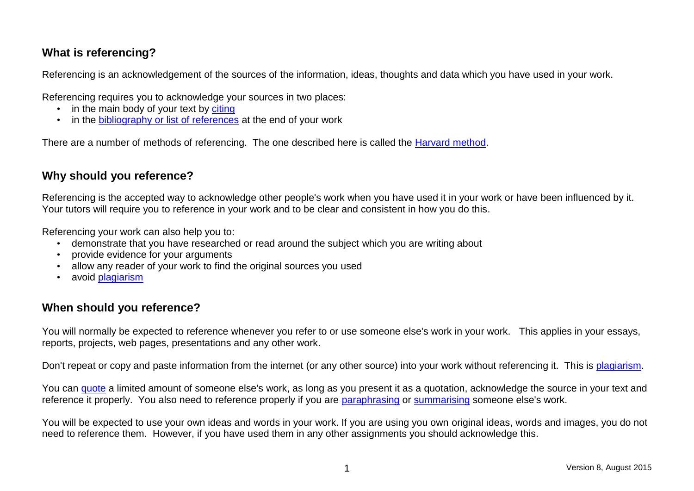# <span id="page-10-0"></span>**What is referencing?**

Referencing is an acknowledgement of the sources of the information, ideas, thoughts and data which you have used in your work.

Referencing requires you to acknowledge your sources in two places:

- in the main body of your text by [citing](#page-12-1)
- in the [bibliography or list of references](#page-27-0) at the end of your work

There are a number of methods of referencing. The one described here is called the [Harvard method.](#page-11-1)

# <span id="page-10-1"></span>**Why should you reference?**

Referencing is the accepted way to acknowledge other people's work when you have used it in your work or have been influenced by it. Your tutors will require you to reference in your work and to be clear and consistent in how you do this.

Referencing your work can also help you to:

- demonstrate that you have researched or read around the subject which you are writing about
- provide evidence for your arguments
- allow any reader of your work to find the original sources you used
- avoid **plagiarism**

# <span id="page-10-2"></span>**When should you reference?**

You will normally be expected to reference whenever you refer to or use someone else's work in your work. This applies in your essays, reports, projects, web pages, presentations and any other work.

Don't repeat or copy and paste information from the internet (or any other source) into your work without referencing it. This is [plagiarism.](#page-11-3)

You can [quote](#page-21-2) a limited amount of someone else's work, as long as you present it as a quotation, acknowledge the source in your text and reference it properly. You also need to reference properly if you are [paraphrasing](#page-23-3) or [summarising](#page-23-3) someone else's work.

You will be expected to use your own ideas and words in your work. If you are using you own original ideas, words and images, you do not need to reference them. However, if you have used them in any other assignments you should acknowledge this.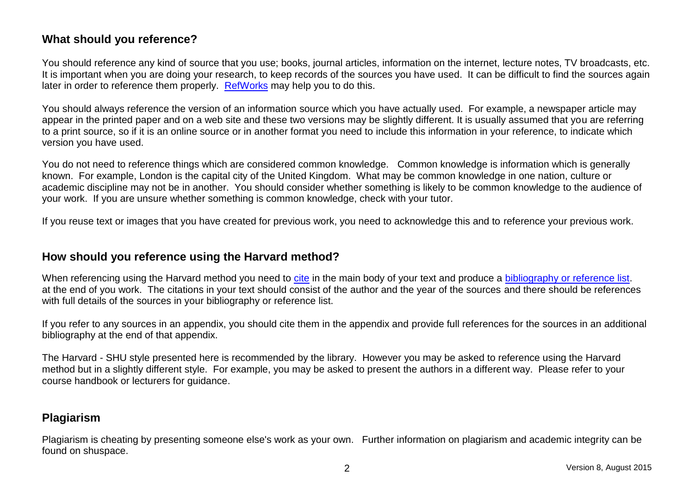# <span id="page-11-0"></span>**What should you reference?**

You should reference any kind of source that you use; books, journal articles, information on the internet, lecture notes, TV broadcasts, etc. It is important when you are doing your research, to keep records of the sources you have used. It can be difficult to find the sources again later in order to reference them properly. [RefWorks](http://libguides.shu.ac.uk/refworks) may help you to do this.

You should always reference the version of an information source which you have actually used. For example, a newspaper article may appear in the printed paper and on a web site and these two versions may be slightly different. It is usually assumed that you are referring to a print source, so if it is an online source or in another format you need to include this information in your reference, to indicate which version you have used.

You do not need to reference things which are considered common knowledge. Common knowledge is information which is generally known. For example, London is the capital city of the United Kingdom. What may be common knowledge in one nation, culture or academic discipline may not be in another. You should consider whether something is likely to be common knowledge to the audience of your work. If you are unsure whether something is common knowledge, check with your tutor.

If you reuse text or images that you have created for previous work, you need to acknowledge this and to reference your previous work.

# <span id="page-11-1"></span>**How should you reference using the Harvard method?**

When referencing using the Harvard method you need to [cite](#page-12-1) in the main body of your text and produce a [bibliography or reference list.](#page-27-0) at the end of you work. The citations in your text should consist of the author and the year of the sources and there should be references with full details of the sources in your bibliography or reference list.

If you refer to any sources in an appendix, you should cite them in the appendix and provide full references for the sources in an additional bibliography at the end of that appendix.

The Harvard - SHU style presented here is recommended by the library. However you may be asked to reference using the Harvard method but in a slightly different style. For example, you may be asked to present the authors in a different way. Please refer to your course handbook or lecturers for guidance.

# <span id="page-11-3"></span><span id="page-11-2"></span>**Plagiarism**

Plagiarism is cheating by presenting someone else's work as your own. Further information on plagiarism and academic integrity can be found on shuspace.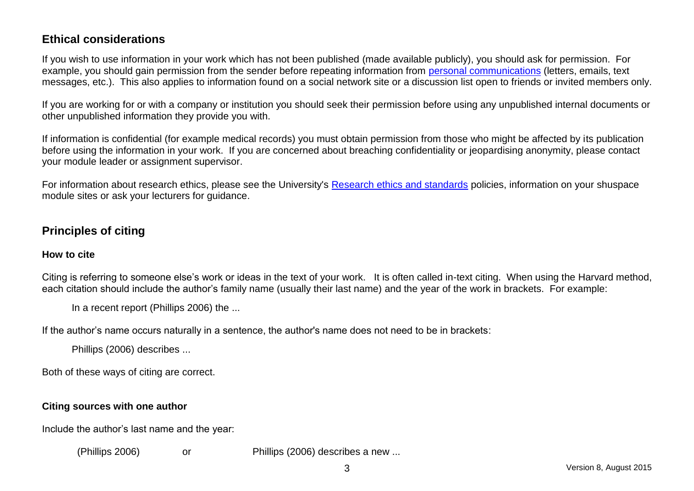# <span id="page-12-0"></span>**Ethical considerations**

If you wish to use information in your work which has not been published (made available publicly), you should ask for permission. For example, you should gain permission from the sender before repeating information from [personal communications](#page-75-0) (letters, emails, text messages, etc.). This also applies to information found on a social network site or a discussion list open to friends or invited members only.

If you are working for or with a company or institution you should seek their permission before using any unpublished internal documents or other unpublished information they provide you with.

If information is confidential (for example medical records) you must obtain permission from those who might be affected by its publication before using the information in your work. If you are concerned about breaching confidentiality or jeopardising anonymity, please contact your module leader or assignment supervisor.

For information about research ethics, please see the University's [Research ethics and standards](http://www.shu.ac.uk/research/ethics.html) policies, information on your shuspace module sites or ask your lecturers for quidance.

# <span id="page-12-1"></span>**Principles of citing**

## <span id="page-12-2"></span>**How to cite**

Citing is referring to someone else's work or ideas in the text of your work. It is often called in-text citing. When using the Harvard method, each citation should include the author's family name (usually their last name) and the year of the work in brackets. For example:

In a recent report (Phillips 2006) the ...

If the author's name occurs naturally in a sentence, the author's name does not need to be in brackets:

Phillips (2006) describes ...

Both of these ways of citing are correct.

## <span id="page-12-3"></span>**Citing sources with one author**

Include the author's last name and the year:

(Phillips 2006) or Phillips (2006) describes a new ...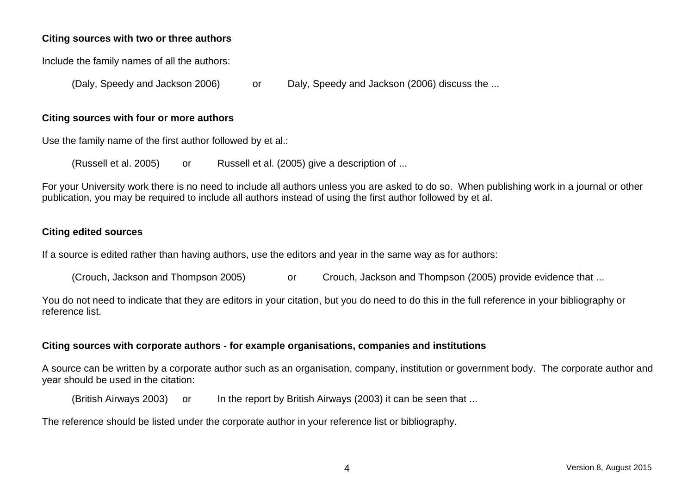#### <span id="page-13-0"></span>**Citing sources with two or three authors**

Include the family names of all the authors:

(Daly, Speedy and Jackson 2006) or Daly, Speedy and Jackson (2006) discuss the ...

#### <span id="page-13-1"></span>**Citing sources with four or more authors**

Use the family name of the first author followed by et al.:

(Russell et al. 2005) or Russell et al. (2005) give a description of ...

For your University work there is no need to include all authors unless you are asked to do so. When publishing work in a journal or other publication, you may be required to include all authors instead of using the first author followed by et al.

#### <span id="page-13-2"></span>**Citing edited sources**

If a source is edited rather than having authors, use the editors and year in the same way as for authors:

(Crouch, Jackson and Thompson 2005) or Crouch, Jackson and Thompson (2005) provide evidence that ...

You do not need to indicate that they are editors in your citation, but you do need to do this in the full reference in your bibliography or reference list.

#### <span id="page-13-4"></span><span id="page-13-3"></span>**Citing sources with corporate authors - for example organisations, companies and institutions**

A source can be written by a corporate author such as an organisation, company, institution or government body. The corporate author and year should be used in the citation:

(British Airways 2003) or In the report by British Airways (2003) it can be seen that ...

The reference should be listed under the corporate author in your reference list or bibliography.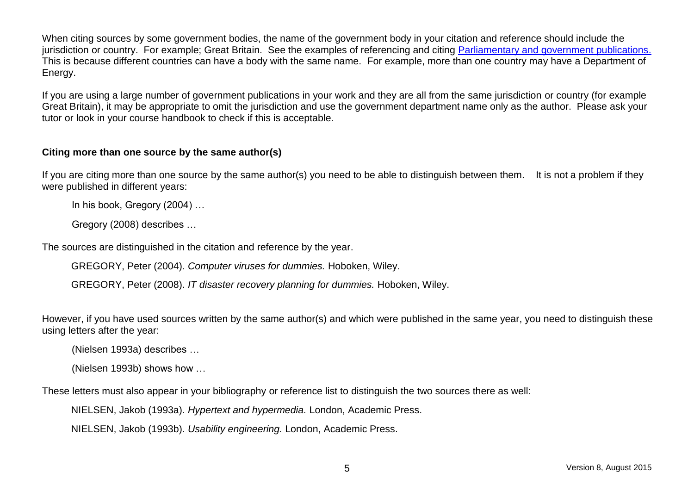When citing sources by some government bodies, the name of the government body in your citation and reference should include the jurisdiction or country. For example; Great Britain. See the examples of referencing and citing Parliamentary and government publications. This is because different countries can have a body with the same name. For example, more than one country may have a Department of Energy.

If you are using a large number of government publications in your work and they are all from the same jurisdiction or country (for example Great Britain), it may be appropriate to omit the jurisdiction and use the government department name only as the author. Please ask your tutor or look in your course handbook to check if this is acceptable.

#### <span id="page-14-0"></span>**Citing more than one source by the same author(s)**

If you are citing more than one source by the same author(s) you need to be able to distinguish between them. It is not a problem if they were published in different years:

In his book, Gregory (2004) …

Gregory (2008) describes …

The sources are distinguished in the citation and reference by the year.

GREGORY, Peter (2004). *Computer viruses for dummies.* Hoboken, Wiley.

GREGORY, Peter (2008). *IT disaster recovery planning for dummies.* Hoboken, Wiley.

However, if you have used sources written by the same author(s) and which were published in the same year, you need to distinguish these using letters after the year:

(Nielsen 1993a) describes …

(Nielsen 1993b) shows how …

These letters must also appear in your bibliography or reference list to distinguish the two sources there as well:

NIELSEN, Jakob (1993a). *Hypertext and hypermedia.* London, Academic Press.

NIELSEN, Jakob (1993b). *Usability engineering.* London, Academic Press.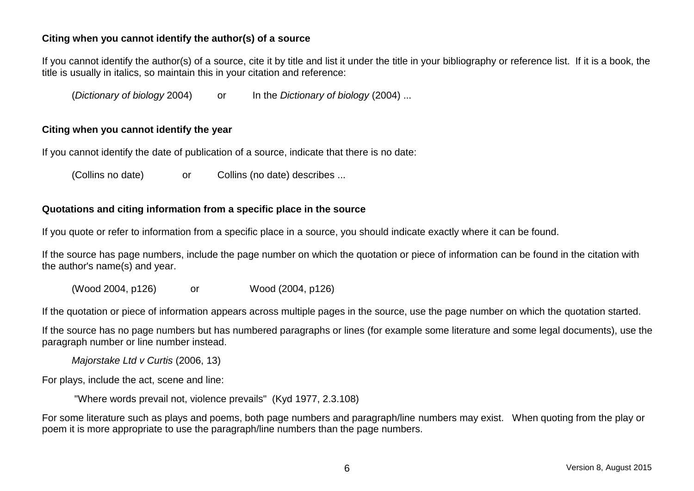#### <span id="page-15-0"></span>**Citing when you cannot identify the author(s) of a source**

If you cannot identify the author(s) of a source, cite it by title and list it under the title in your bibliography or reference list. If it is a book, the title is usually in italics, so maintain this in your citation and reference:

(*Dictionary of biology* 2004) or In the *Dictionary of biology* (2004) ...

#### <span id="page-15-1"></span>**Citing when you cannot identify the year**

If you cannot identify the date of publication of a source, indicate that there is no date:

(Collins no date) or Collins (no date) describes ...

#### <span id="page-15-2"></span>**Quotations and citing information from a specific place in the source**

If you quote or refer to information from a specific place in a source, you should indicate exactly where it can be found.

If the source has page numbers, include the page number on which the quotation or piece of information can be found in the citation with the author's name(s) and year.

(Wood 2004, p126) or Wood (2004, p126)

If the quotation or piece of information appears across multiple pages in the source, use the page number on which the quotation started.

If the source has no page numbers but has numbered paragraphs or lines (for example some literature and some legal documents), use the paragraph number or line number instead.

*Majorstake Ltd v Curtis* (2006, 13)

For plays, include the act, scene and line:

"Where words prevail not, violence prevails" (Kyd 1977, 2.3.108)

For some literature such as plays and poems, both page numbers and paragraph/line numbers may exist. When quoting from the play or poem it is more appropriate to use the paragraph/line numbers than the page numbers.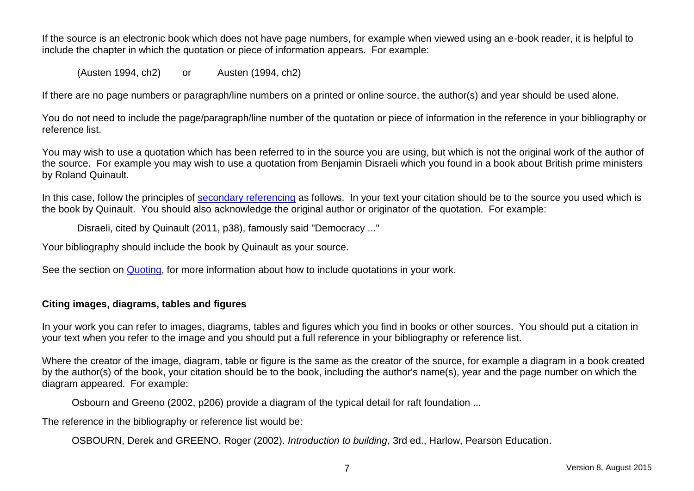If the source is an electronic book which does not have page numbers, for example when viewed using an e-book reader, it is helpful to include the chapter in which the quotation or piece of information appears. For example:

(Austen 1994, ch2) or Austen (1994, ch2)

If there are no page numbers or paragraph/line numbers on a printed or online source, the author(s) and year should be used alone.

You do not need to include the page/paragraph/line number of the quotation or piece of information in the reference in your bibliography or reference list.

You may wish to use a quotation which has been referred to in the source you are using, but which is not the original work of the author of the source. For example you may wish to use a quotation from Benjamin Disraeli which you found in a book about British prime ministers by Roland Quinault.

In this case, follow the principles of [secondary referencing](#page-25-2) as follows. In your text your citation should be to the source you used which is the book by Quinault. You should also acknowledge the original author or originator of the quotation. For example:

Disraeli, cited by Quinault (2011, p38), famously said "Democracy ..."

Your bibliography should include the book by Quinault as your source.

See the section on [Quoting,](#page-21-2) for more information about how to include quotations in your work.

#### <span id="page-16-1"></span><span id="page-16-0"></span>**Citing images, diagrams, tables and figures**

In your work you can refer to images, diagrams, tables and figures which you find in books or other sources. You should put a citation in your text when you refer to the image and you should put a full reference in your bibliography or reference list.

Where the creator of the image, diagram, table or figure is the same as the creator of the source, for example a diagram in a book created by the author(s) of the book, your citation should be to the book, including the author's name(s), year and the page number on which the diagram appeared. For example:

Osbourn and Greeno (2002, p206) provide a diagram of the typical detail for raft foundation ...

The reference in the bibliography or reference list would be:

OSBOURN, Derek and GREENO, Roger (2002). *Introduction to building*, 3rd ed., Harlow, Pearson Education.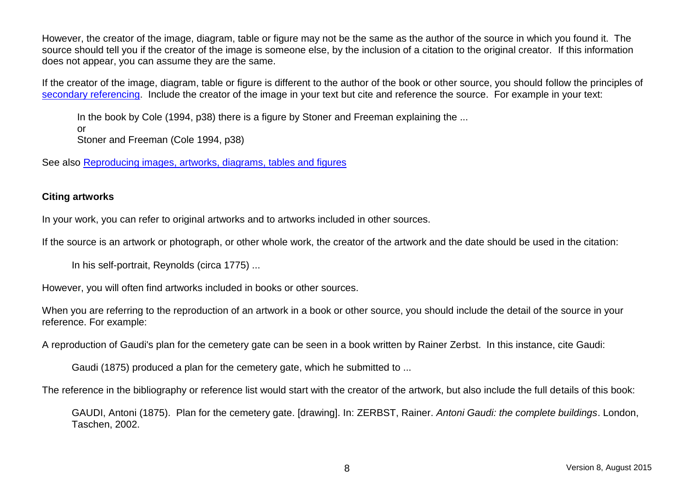However, the creator of the image, diagram, table or figure may not be the same as the author of the source in which you found it. The source should tell you if the creator of the image is someone else, by the inclusion of a citation to the original creator. If this information does not appear, you can assume they are the same.

If the creator of the image, diagram, table or figure is different to the author of the book or other source, you should follow the principles of [secondary referencing.](#page-25-2) Include the creator of the image in your text but cite and reference the source. For example in your text:

In the book by Cole (1994, p38) there is a figure by Stoner and Freeman explaining the ... or Stoner and Freeman (Cole 1994, p38)

See also [Reproducing images, artworks, diagrams, tables and figures](#page-24-0)

#### <span id="page-17-0"></span>**Citing artworks**

In your work, you can refer to original artworks and to artworks included in other sources.

If the source is an artwork or photograph, or other whole work, the creator of the artwork and the date should be used in the citation:

In his self-portrait, Reynolds (circa 1775) ...

However, you will often find artworks included in books or other sources.

When you are referring to the reproduction of an artwork in a book or other source, you should include the detail of the source in your reference. For example:

A reproduction of Gaudi's plan for the cemetery gate can be seen in a book written by Rainer Zerbst. In this instance, cite Gaudi:

Gaudi (1875) produced a plan for the cemetery gate, which he submitted to ...

The reference in the bibliography or reference list would start with the creator of the artwork, but also include the full details of this book:

GAUDI, Antoni (1875). Plan for the cemetery gate. [drawing]. In: ZERBST, Rainer. *Antoni Gaudi: the complete buildings*. London, Taschen, 2002.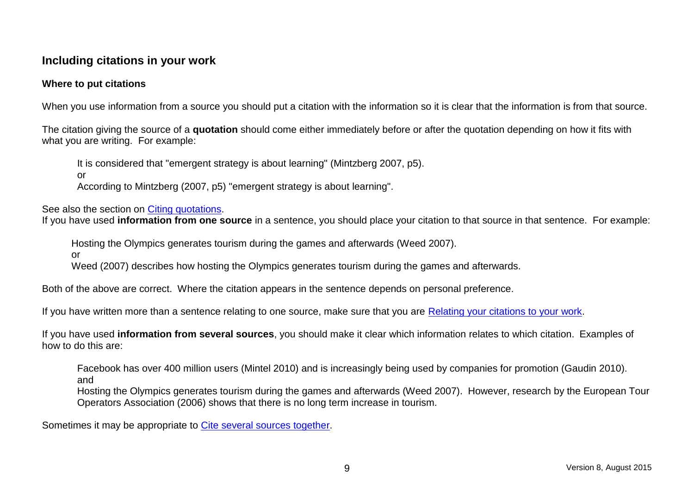# <span id="page-18-0"></span>**Including citations in your work**

#### <span id="page-18-1"></span>**Where to put citations**

When you use information from a source you should put a citation with the information so it is clear that the information is from that source.

The citation giving the source of a **quotation** should come either immediately before or after the quotation depending on how it fits with what you are writing. For example:

It is considered that "emergent strategy is about learning" (Mintzberg 2007, p5). or According to Mintzberg (2007, p5) "emergent strategy is about learning".

See also the section on [Citing quotations.](#page-15-2)

If you have used **information from one source** in a sentence, you should place your citation to that source in that sentence. For example:

Hosting the Olympics generates tourism during the games and afterwards (Weed 2007). or

Weed (2007) describes how hosting the Olympics generates tourism during the games and afterwards.

Both of the above are correct. Where the citation appears in the sentence depends on personal preference.

If you have written more than a sentence relating to one source, make sure that you are [Relating your citations to your work.](#page-19-0)

If you have used **information from several sources**, you should make it clear which information relates to which citation. Examples of how to do this are:

Facebook has over 400 million users (Mintel 2010) and is increasingly being used by companies for promotion (Gaudin 2010). and

Hosting the Olympics generates tourism during the games and afterwards (Weed 2007). However, research by the European Tour Operators Association (2006) shows that there is no long term increase in tourism.

Sometimes it may be appropriate to [Cite several sources together.](#page-20-1)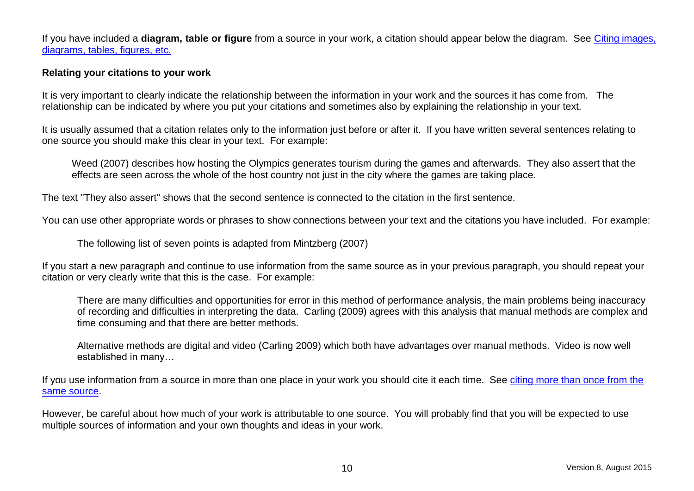If you have included a **diagram, table or figure** from a source in your work, a citation should appear below the diagram. Se[e Citing images,](#page-16-1)  [diagrams, tables, figures, etc.](#page-16-1)

#### <span id="page-19-0"></span>**Relating your citations to your work**

It is very important to clearly indicate the relationship between the information in your work and the sources it has come from. The relationship can be indicated by where you put your citations and sometimes also by explaining the relationship in your text.

It is usually assumed that a citation relates only to the information just before or after it. If you have written several sentences relating to one source you should make this clear in your text. For example:

Weed (2007) describes how hosting the Olympics generates tourism during the games and afterwards. They also assert that the effects are seen across the whole of the host country not just in the city where the games are taking place.

The text "They also assert" shows that the second sentence is connected to the citation in the first sentence.

You can use other appropriate words or phrases to show connections between your text and the citations you have included. For example:

The following list of seven points is adapted from Mintzberg (2007)

If you start a new paragraph and continue to use information from the same source as in your previous paragraph, you should repeat your citation or very clearly write that this is the case. For example:

There are many difficulties and opportunities for error in this method of performance analysis, the main problems being inaccuracy of recording and difficulties in interpreting the data. Carling (2009) agrees with this analysis that manual methods are complex and time consuming and that there are better methods.

Alternative methods are digital and video (Carling 2009) which both have advantages over manual methods. Video is now well established in many…

If you use information from a source in more than one place in your work you should cite it each time. See citing more than once from the [same source.](#page-19-1)

<span id="page-19-1"></span>However, be careful about how much of your work is attributable to one source. You will probably find that you will be expected to use multiple sources of information and your own thoughts and ideas in your work.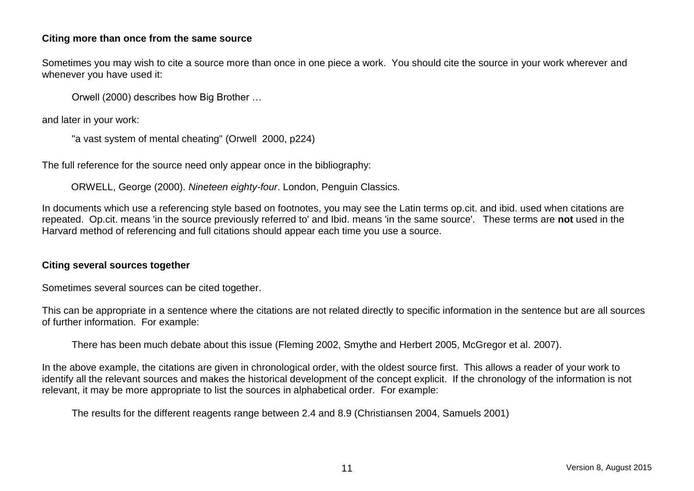#### <span id="page-20-0"></span>**Citing more than once from the same source**

Sometimes you may wish to cite a source more than once in one piece a work. You should cite the source in your work wherever and whenever you have used it:

Orwell (2000) describes how Big Brother …

and later in your work:

```
"a vast system of mental cheating" (Orwell 2000, p224)
```
The full reference for the source need only appear once in the bibliography:

ORWELL, George (2000). *Nineteen eighty-four*. London, Penguin Classics.

In documents which use a referencing style based on footnotes, you may see the Latin terms op.cit. and ibid. used when citations are repeated. Op.cit. means 'in the source previously referred to' and Ibid. means 'in the same source'. These terms are **not** used in the Harvard method of referencing and full citations should appear each time you use a source.

#### <span id="page-20-1"></span>**Citing several sources together**

Sometimes several sources can be cited together.

This can be appropriate in a sentence where the citations are not related directly to specific information in the sentence but are all sources of further information. For example:

There has been much debate about this issue (Fleming 2002, Smythe and Herbert 2005, McGregor et al. 2007).

In the above example, the citations are given in chronological order, with the oldest source first. This allows a reader of your work to identify all the relevant sources and makes the historical development of the concept explicit. If the chronology of the information is not relevant, it may be more appropriate to list the sources in alphabetical order. For example:

The results for the different reagents range between 2.4 and 8.9 (Christiansen 2004, Samuels 2001)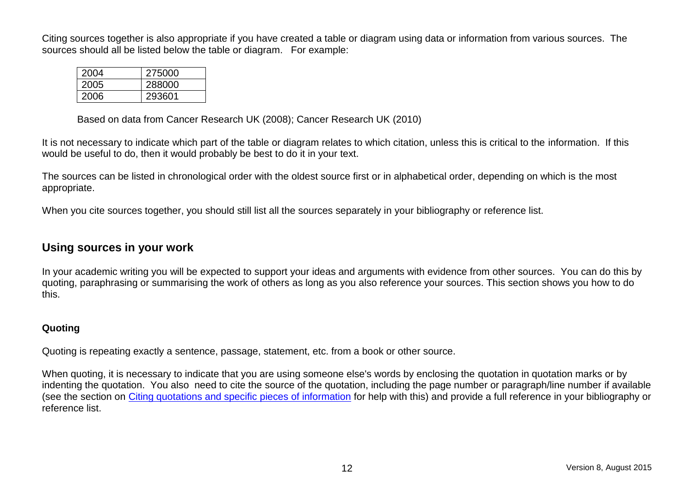Citing sources together is also appropriate if you have created a table or diagram using data or information from various sources. The sources should all be listed below the table or diagram. For example:

| 2004 | 275000 |
|------|--------|
| 2005 | 288000 |
| 2006 | 293601 |

Based on data from Cancer Research UK (2008); Cancer Research UK (2010)

It is not necessary to indicate which part of the table or diagram relates to which citation, unless this is critical to the information. If this would be useful to do, then it would probably be best to do it in your text.

The sources can be listed in chronological order with the oldest source first or in alphabetical order, depending on which is the most appropriate.

When you cite sources together, you should still list all the sources separately in your bibliography or reference list.

# <span id="page-21-0"></span>**Using sources in your work**

In your academic writing you will be expected to support your ideas and arguments with evidence from other sources. You can do this by quoting, paraphrasing or summarising the work of others as long as you also reference your sources. This section shows you how to do this.

#### <span id="page-21-2"></span><span id="page-21-1"></span>**Quoting**

Quoting is repeating exactly a sentence, passage, statement, etc. from a book or other source.

When quoting, it is necessary to indicate that you are using someone else's words by enclosing the quotation in quotation marks or by indenting the quotation. You also need to cite the source of the quotation, including the page number or paragraph/line number if available (see the section on [Citing quotations and specific pieces of information](#page-15-2) for help with this) and provide a full reference in your bibliography or reference list.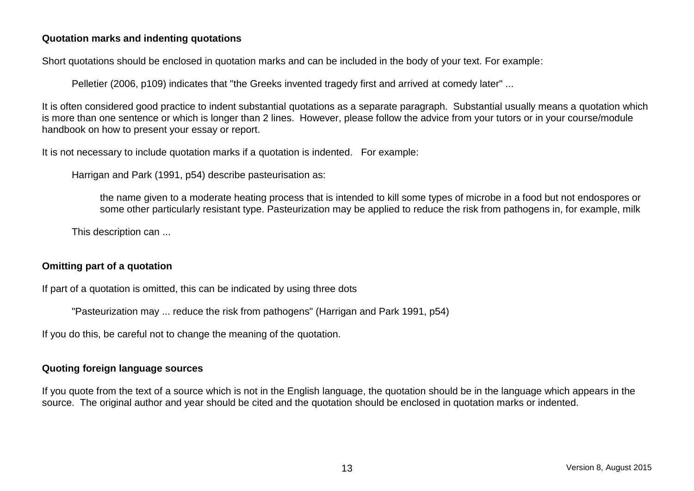#### <span id="page-22-0"></span>**Quotation marks and indenting quotations**

Short quotations should be enclosed in quotation marks and can be included in the body of your text. For example:

Pelletier (2006, p109) indicates that "the Greeks invented tragedy first and arrived at comedy later" ...

It is often considered good practice to indent substantial quotations as a separate paragraph. Substantial usually means a quotation which is more than one sentence or which is longer than 2 lines. However, please follow the advice from your tutors or in your course/module handbook on how to present your essay or report.

It is not necessary to include quotation marks if a quotation is indented. For example:

Harrigan and Park (1991, p54) describe pasteurisation as:

the name given to a moderate heating process that is intended to kill some types of microbe in a food but not endospores or some other particularly resistant type. Pasteurization may be applied to reduce the risk from pathogens in, for example, milk

This description can ...

#### <span id="page-22-1"></span>**Omitting part of a quotation**

If part of a quotation is omitted, this can be indicated by using three dots

"Pasteurization may ... reduce the risk from pathogens" (Harrigan and Park 1991, p54)

If you do this, be careful not to change the meaning of the quotation.

#### <span id="page-22-2"></span>**Quoting foreign language sources**

If you quote from the text of a source which is not in the English language, the quotation should be in the language which appears in the source. The original author and year should be cited and the quotation should be enclosed in quotation marks or indented.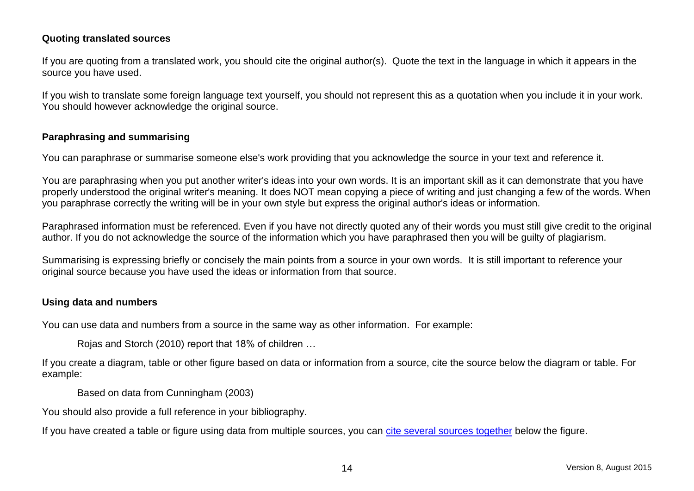#### <span id="page-23-0"></span>**Quoting translated sources**

If you are quoting from a translated work, you should cite the original author(s). Quote the text in the language in which it appears in the source you have used.

If you wish to translate some foreign language text yourself, you should not represent this as a quotation when you include it in your work. You should however acknowledge the original source.

#### <span id="page-23-3"></span><span id="page-23-1"></span>**Paraphrasing and summarising**

You can paraphrase or summarise someone else's work providing that you acknowledge the source in your text and reference it.

You are paraphrasing when you put another writer's ideas into your own words. It is an important skill as it can demonstrate that you have properly understood the original writer's meaning. It does NOT mean copying a piece of writing and just changing a few of the words. When you paraphrase correctly the writing will be in your own style but express the original author's ideas or information.

Paraphrased information must be referenced. Even if you have not directly quoted any of their words you must still give credit to the original author. If you do not acknowledge the source of the information which you have paraphrased then you will be guilty of plagiarism.

Summarising is expressing briefly or concisely the main points from a source in your own words. It is still important to reference your original source because you have used the ideas or information from that source.

#### <span id="page-23-2"></span>**Using data and numbers**

You can use data and numbers from a source in the same way as other information. For example:

Rojas and Storch (2010) report that 18% of children …

If you create a diagram, table or other figure based on data or information from a source, cite the source below the diagram or table. For example:

Based on data from Cunningham (2003)

You should also provide a full reference in your bibliography.

If you have created a table or figure using data from multiple sources, you can [cite several sources together](#page-20-1) below the figure.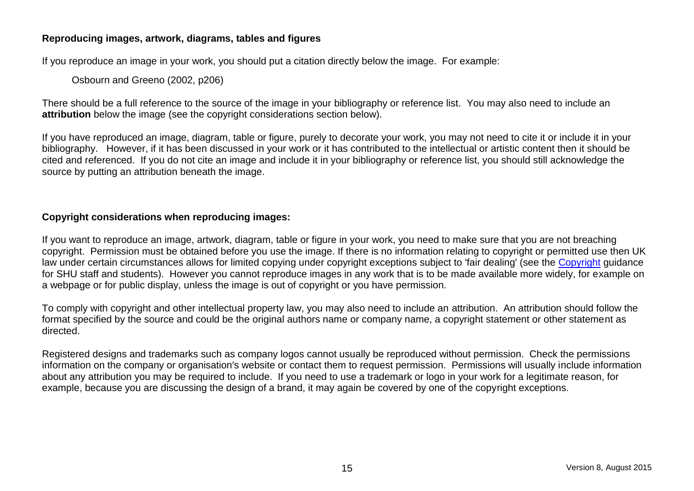#### <span id="page-24-0"></span>**Reproducing images, artwork, diagrams, tables and figures**

If you reproduce an image in your work, you should put a citation directly below the image. For example:

Osbourn and Greeno (2002, p206)

There should be a full reference to the source of the image in your bibliography or reference list. You may also need to include an **attribution** below the image (see the copyright considerations section below).

If you have reproduced an image, diagram, table or figure, purely to decorate your work, you may not need to cite it or include it in your bibliography. However, if it has been discussed in your work or it has contributed to the intellectual or artistic content then it should be cited and referenced. If you do not cite an image and include it in your bibliography or reference list, you should still acknowledge the source by putting an attribution beneath the image.

#### **Copyright considerations when reproducing images:**

If you want to reproduce an image, artwork, diagram, table or figure in your work, you need to make sure that you are not breaching copyright. Permission must be obtained before you use the image. If there is no information relating to copyright or permitted use then UK law under certain circumstances allows for limited copying under copyright exceptions subject to 'fair dealing' (see the [Copyright](http://libguides.shu.ac.uk/copyright) guidance for SHU staff and students). However you cannot reproduce images in any work that is to be made available more widely, for example on a webpage or for public display, unless the image is out of copyright or you have permission.

To comply with copyright and other intellectual property law, you may also need to include an attribution. An attribution should follow the format specified by the source and could be the original authors name or company name, a copyright statement or other statement as directed.

Registered designs and trademarks such as company logos cannot usually be reproduced without permission. Check the permissions information on the company or organisation's website or contact them to request permission. Permissions will usually include information about any attribution you may be required to include. If you need to use a trademark or logo in your work for a legitimate reason, for example, because you are discussing the design of a brand, it may again be covered by one of the copyright exceptions.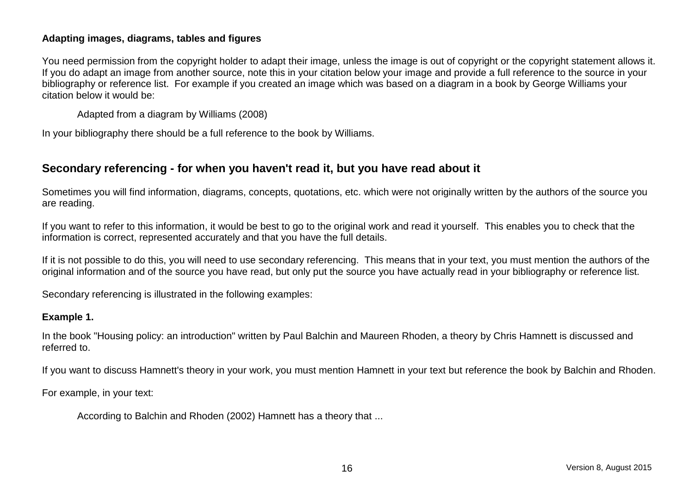#### <span id="page-25-0"></span>**Adapting images, diagrams, tables and figures**

You need permission from the copyright holder to adapt their image, unless the image is out of copyright or the copyright statement allows it. If you do adapt an image from another source, note this in your citation below your image and provide a full reference to the source in your bibliography or reference list. For example if you created an image which was based on a diagram in a book by George Williams your citation below it would be:

Adapted from a diagram by Williams (2008)

In your bibliography there should be a full reference to the book by Williams.

# <span id="page-25-2"></span><span id="page-25-1"></span>**Secondary referencing - for when you haven't read it, but you have read about it**

Sometimes you will find information, diagrams, concepts, quotations, etc. which were not originally written by the authors of the source you are reading.

If you want to refer to this information, it would be best to go to the original work and read it yourself. This enables you to check that the information is correct, represented accurately and that you have the full details.

If it is not possible to do this, you will need to use secondary referencing. This means that in your text, you must mention the authors of the original information and of the source you have read, but only put the source you have actually read in your bibliography or reference list.

Secondary referencing is illustrated in the following examples:

#### **Example 1.**

In the book "Housing policy: an introduction" written by Paul Balchin and Maureen Rhoden, a theory by Chris Hamnett is discussed and referred to.

If you want to discuss Hamnett's theory in your work, you must mention Hamnett in your text but reference the book by Balchin and Rhoden.

For example, in your text:

According to Balchin and Rhoden (2002) Hamnett has a theory that ...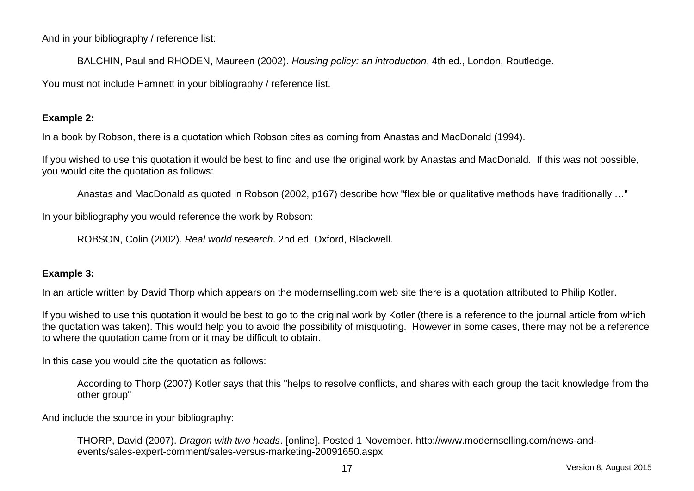And in your bibliography / reference list:

BALCHIN, Paul and RHODEN, Maureen (2002). *Housing policy: an introduction*. 4th ed., London, Routledge.

You must not include Hamnett in your bibliography / reference list.

#### **Example 2:**

In a book by Robson, there is a quotation which Robson cites as coming from Anastas and MacDonald (1994).

If you wished to use this quotation it would be best to find and use the original work by Anastas and MacDonald. If this was not possible, you would cite the quotation as follows:

Anastas and MacDonald as quoted in Robson (2002, p167) describe how "flexible or qualitative methods have traditionally …"

In your bibliography you would reference the work by Robson:

ROBSON, Colin (2002). *Real world research*. 2nd ed. Oxford, Blackwell.

#### **Example 3:**

In an article written by David Thorp which appears on the modernselling.com web site there is a quotation attributed to Philip Kotler.

If you wished to use this quotation it would be best to go to the original work by Kotler (there is a reference to the journal article from which the quotation was taken). This would help you to avoid the possibility of misquoting. However in some cases, there may not be a reference to where the quotation came from or it may be difficult to obtain.

In this case you would cite the quotation as follows:

According to Thorp (2007) Kotler says that this "helps to resolve conflicts, and shares with each group the tacit knowledge from the other group"

And include the source in your bibliography:

THORP, David (2007). *Dragon with two heads*. [online]. Posted 1 November. http://www.modernselling.com/news-andevents/sales-expert-comment/sales-versus-marketing-20091650.aspx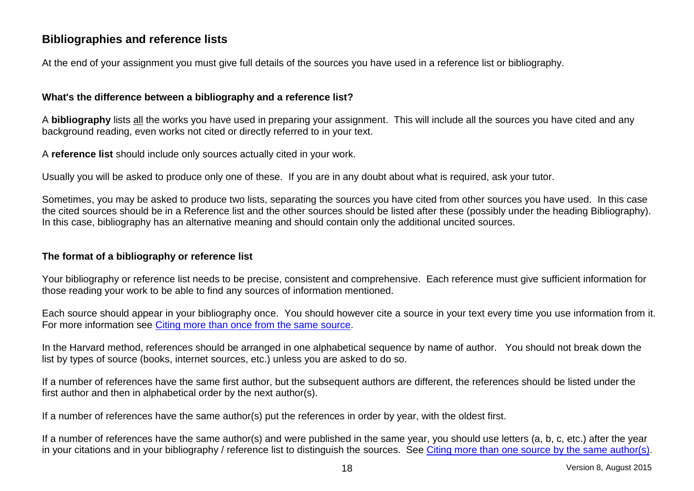# <span id="page-27-0"></span>**Bibliographies and reference lists**

At the end of your assignment you must give full details of the sources you have used in a reference list or bibliography.

#### <span id="page-27-1"></span>**What's the difference between a bibliography and a reference list?**

A **bibliography** lists all the works you have used in preparing your assignment. This will include all the sources you have cited and any background reading, even works not cited or directly referred to in your text.

A **reference list** should include only sources actually cited in your work.

Usually you will be asked to produce only one of these. If you are in any doubt about what is required, ask your tutor.

Sometimes, you may be asked to produce two lists, separating the sources you have cited from other sources you have used. In this case the cited sources should be in a Reference list and the other sources should be listed after these (possibly under the heading Bibliography). In this case, bibliography has an alternative meaning and should contain only the additional uncited sources.

#### <span id="page-27-2"></span>**The format of a bibliography or reference list**

Your bibliography or reference list needs to be precise, consistent and comprehensive. Each reference must give sufficient information for those reading your work to be able to find any sources of information mentioned.

Each source should appear in your bibliography once. You should however cite a source in your text every time you use information from it. For more information see Citing [more than once from the same source.](#page-19-1)

In the Harvard method, references should be arranged in one alphabetical sequence by name of author. You should not break down the list by types of source (books, internet sources, etc.) unless you are asked to do so.

If a number of references have the same first author, but the subsequent authors are different, the references should be listed under the first author and then in alphabetical order by the next author(s).

If a number of references have the same author(s) put the references in order by year, with the oldest first.

If a number of references have the same author(s) and were published in the same year, you should use letters (a, b, c, etc.) after the year in your citations and in your bibliography / reference list to distinguish the sources. See [Citing more than one source by the same author\(s\).](#page-14-0)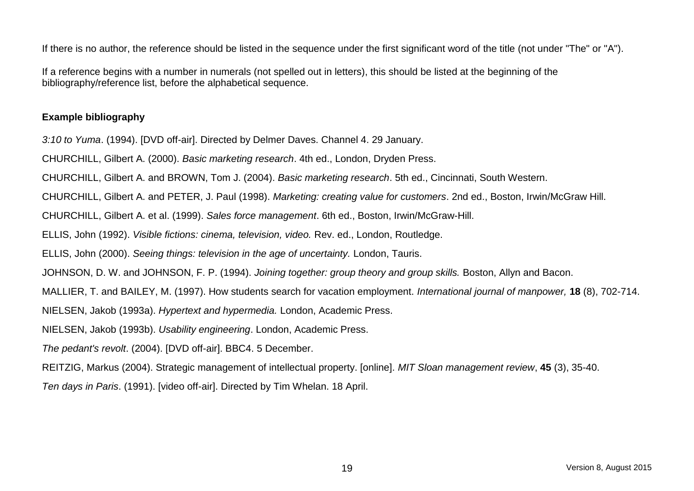If there is no author, the reference should be listed in the sequence under the first significant word of the title (not under "The" or "A").

If a reference begins with a number in numerals (not spelled out in letters), this should be listed at the beginning of the bibliography/reference list, before the alphabetical sequence.

#### <span id="page-28-0"></span>**Example bibliography**

*3:10 to Yuma*. (1994). [DVD off-air]. Directed by Delmer Daves. Channel 4. 29 January.

CHURCHILL, Gilbert A. (2000). *Basic marketing research*. 4th ed., London, Dryden Press.

CHURCHILL, Gilbert A. and BROWN, Tom J. (2004). *Basic marketing research*. 5th ed., Cincinnati, South Western.

CHURCHILL, Gilbert A. and PETER, J. Paul (1998). *Marketing: creating value for customers*. 2nd ed., Boston, Irwin/McGraw Hill.

CHURCHILL, Gilbert A. et al. (1999). *Sales force management*. 6th ed., Boston, Irwin/McGraw-Hill.

ELLIS, John (1992). *Visible fictions: cinema, television, video.* Rev. ed., London, Routledge.

ELLIS, John (2000). *Seeing things: television in the age of uncertainty.* London, Tauris.

JOHNSON, D. W. and JOHNSON, F. P. (1994). *Joining together: group theory and group skills.* Boston, Allyn and Bacon.

MALLIER, T. and BAILEY, M. (1997). How students search for vacation employment. *International journal of manpower,* **18** (8), 702-714.

NIELSEN, Jakob (1993a). *Hypertext and hypermedia.* London, Academic Press.

NIELSEN, Jakob (1993b). *Usability engineering*. London, Academic Press.

*The pedant's revolt*. (2004). [DVD off-air]. BBC4. 5 December.

REITZIG, Markus (2004). Strategic management of intellectual property. [online]. *MIT Sloan management review*, **45** (3), 35-40.

<span id="page-28-1"></span>*Ten days in Paris*. (1991). [video off-air]. Directed by Tim Whelan. 18 April.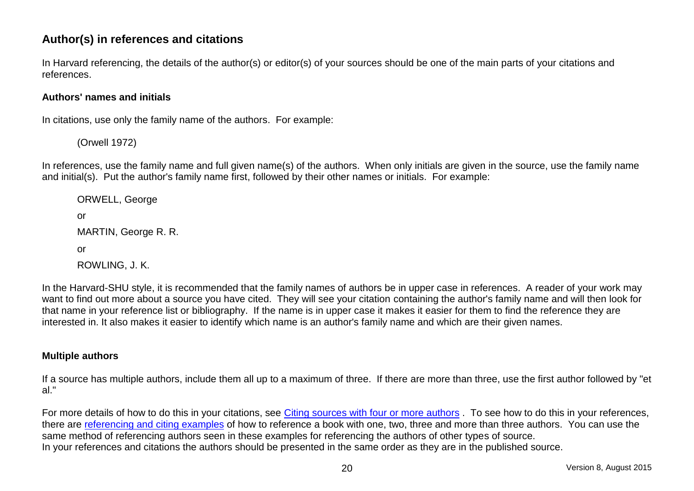# **Author(s) in references and citations**

In Harvard referencing, the details of the author(s) or editor(s) of your sources should be one of the main parts of your citations and references.

#### <span id="page-29-0"></span>**Authors' names and initials**

In citations, use only the family name of the authors. For example:

(Orwell 1972)

In references, use the family name and full given name(s) of the authors. When only initials are given in the source, use the family name and initial(s). Put the author's family name first, followed by their other names or initials. For example:

ORWELL, George or MARTIN, George R. R. or ROWLING, J. K.

In the Harvard-SHU style, it is recommended that the family names of authors be in upper case in references. A reader of your work may want to find out more about a source you have cited. They will see your citation containing the author's family name and will then look for that name in your reference list or bibliography. If the name is in upper case it makes it easier for them to find the reference they are interested in. It also makes it easier to identify which name is an author's family name and which are their given names.

#### <span id="page-29-1"></span>**Multiple authors**

If a source has multiple authors, include them all up to a maximum of three. If there are more than three, use the first author followed by "et al."

For more details of how to do this in your citations, see [Citing sources with four or more](#page-13-1) authors. To see how to do this in your references, there are [referencing and citing examples](#page-34-0) of how to reference a book with one, two, three and more than three authors. You can use the same method of referencing authors seen in these examples for referencing the authors of other types of source. In your references and citations the authors should be presented in the same order as they are in the published source.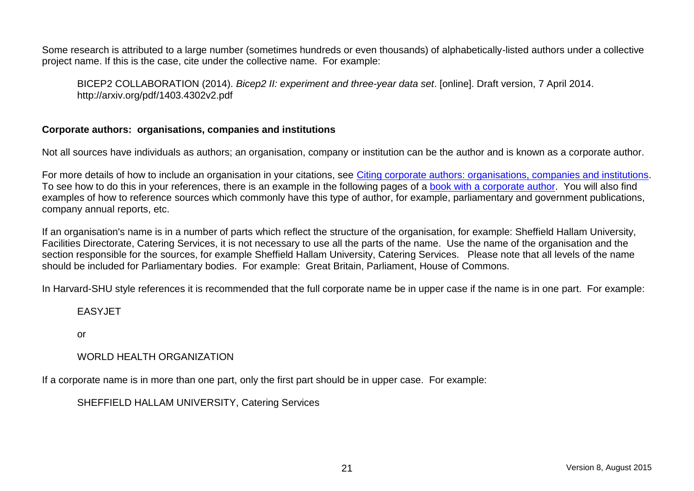Some research is attributed to a large number (sometimes hundreds or even thousands) of alphabetically-listed authors under a collective project name. If this is the case, cite under the collective name. For example:

BICEP2 COLLABORATION (2014). *Bicep2 II: experiment and three-year data set*. [online]. Draft version, 7 April 2014. http://arxiv.org/pdf/1403.4302v2.pdf

#### <span id="page-30-0"></span>**Corporate authors: organisations, companies and institutions**

Not all sources have individuals as authors; an organisation, company or institution can be the author and is known as a corporate author.

For more details of how to include an organisation in your citations, see [Citing corporate authors: organisations, companies and institutions.](#page-13-4) To see how to do this in your references, there is an example in the following pages of a [book with a corporate author.](#page-35-2) You will also find examples of how to reference sources which commonly have this type of author, for example, parliamentary and government publications, company annual reports, etc.

If an organisation's name is in a number of parts which reflect the structure of the organisation, for example: Sheffield Hallam University, Facilities Directorate, Catering Services, it is not necessary to use all the parts of the name. Use the name of the organisation and the section responsible for the sources, for example Sheffield Hallam University, Catering Services. Please note that all levels of the name should be included for Parliamentary bodies. For example: Great Britain, Parliament, House of Commons.

In Harvard-SHU style references it is recommended that the full corporate name be in upper case if the name is in one part. For example:

#### EASYJET

or

#### WORLD HEALTH ORGANIZATION

If a corporate name is in more than one part, only the first part should be in upper case. For example:

SHEFFIELD HALLAM UNIVERSITY, Catering Services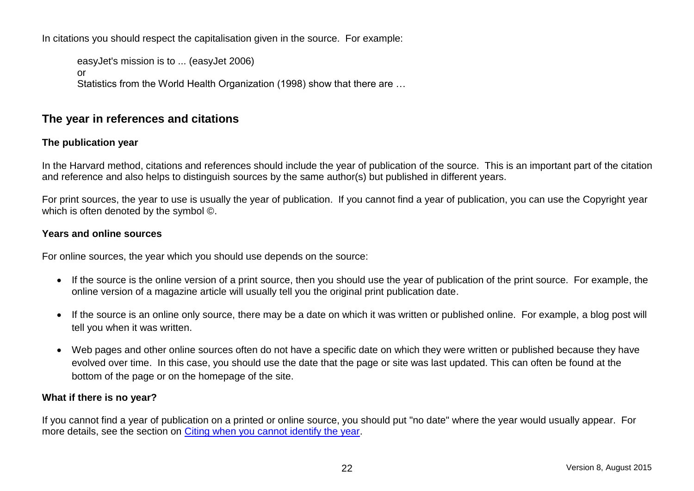In citations you should respect the capitalisation given in the source. For example:

easyJet's mission is to ... (easyJet 2006) or Statistics from the World Health Organization (1998) show that there are …

# <span id="page-31-0"></span>**The year in references and citations**

#### <span id="page-31-1"></span>**The publication year**

In the Harvard method, citations and references should include the year of publication of the source. This is an important part of the citation and reference and also helps to distinguish sources by the same author(s) but published in different years.

For print sources, the year to use is usually the year of publication. If you cannot find a year of publication, you can use the Copyright year which is often denoted by the symbol ©.

#### <span id="page-31-2"></span>**Years and online sources**

For online sources, the year which you should use depends on the source:

- If the source is the online version of a print source, then you should use the year of publication of the print source. For example, the online version of a magazine article will usually tell you the original print publication date.
- If the source is an online only source, there may be a date on which it was written or published online. For example, a blog post will tell you when it was written.
- <span id="page-31-3"></span> Web pages and other online sources often do not have a specific date on which they were written or published because they have evolved over time. In this case, you should use the date that the page or site was last updated. This can often be found at the bottom of the page or on the homepage of the site.

#### **What if there is no year?**

If you cannot find a year of publication on a printed or online source, you should put "no date" where the year would usually appear. For more details, see the section on [Citing when you cannot identify the year.](#page-15-1)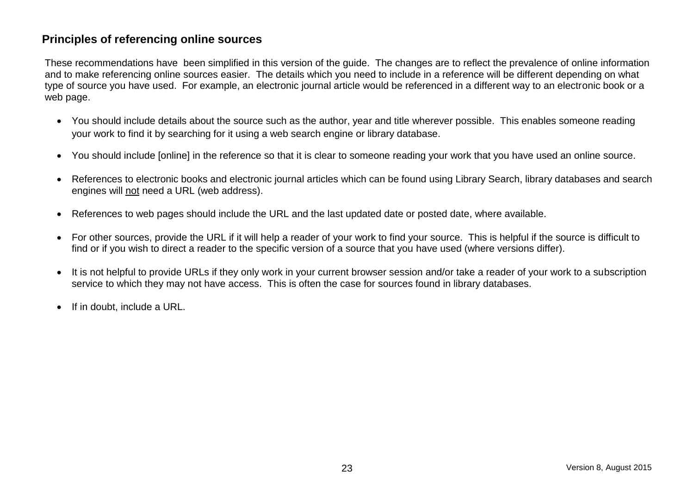# <span id="page-32-0"></span>**Principles of referencing online sources**

These recommendations have been simplified in this version of the guide. The changes are to reflect the prevalence of online information and to make referencing online sources easier. The details which you need to include in a reference will be different depending on what type of source you have used. For example, an electronic journal article would be referenced in a different way to an electronic book or a web page.

- You should include details about the source such as the author, year and title wherever possible. This enables someone reading your work to find it by searching for it using a web search engine or library database.
- You should include [online] in the reference so that it is clear to someone reading your work that you have used an online source.
- References to electronic books and electronic journal articles which can be found using Library Search, library databases and search engines will not need a URL (web address).
- References to web pages should include the URL and the last updated date or posted date, where available.
- For other sources, provide the URL if it will help a reader of your work to find your source. This is helpful if the source is difficult to find or if you wish to direct a reader to the specific version of a source that you have used (where versions differ).
- It is not helpful to provide URLs if they only work in your current browser session and/or take a reader of your work to a subscription service to which they may not have access. This is often the case for sources found in library databases.
- $\bullet$  If in doubt, include a URL.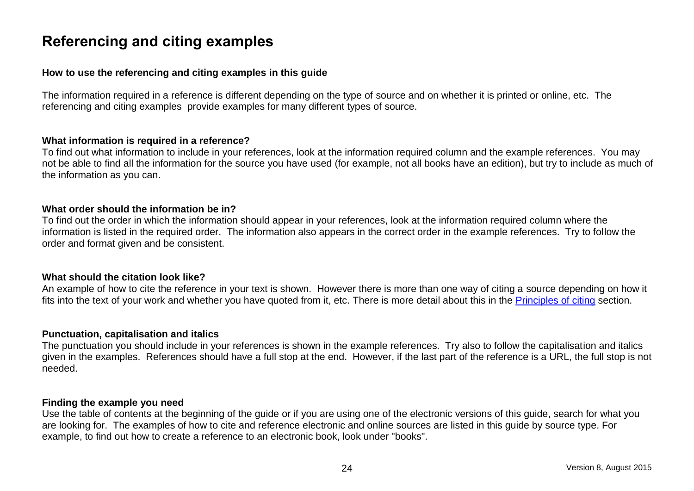# <span id="page-33-0"></span>**Referencing and citing examples**

#### <span id="page-33-1"></span>**How to use the referencing and citing examples in this guide**

The information required in a reference is different depending on the type of source and on whether it is printed or online, etc. The referencing and citing examples provide examples for many different types of source.

#### **What information is required in a reference?**

To find out what information to include in your references, look at the information required column and the example references. You may not be able to find all the information for the source you have used (for example, not all books have an edition), but try to include as much of the information as you can.

#### **What order should the information be in?**

To find out the order in which the information should appear in your references, look at the information required column where the information is listed in the required order. The information also appears in the correct order in the example references. Try to follow the order and format given and be consistent.

#### **What should the citation look like?**

An example of how to cite the reference in your text is shown. However there is more than one way of citing a source depending on how it fits into the text of your work and whether you have quoted from it, etc. There is more detail about this in the [Principles of citing](#page-12-1) section.

#### **Punctuation, capitalisation and italics**

The punctuation you should include in your references is shown in the example references. Try also to follow the capitalisation and italics given in the examples. References should have a full stop at the end. However, if the last part of the reference is a URL, the full stop is not needed.

#### **Finding the example you need**

Use the table of contents at the beginning of the guide or if you are using one of the electronic versions of this guide, search for what you are looking for. The examples of how to cite and reference electronic and online sources are listed in this guide by source type. For example, to find out how to create a reference to an electronic book, look under "books".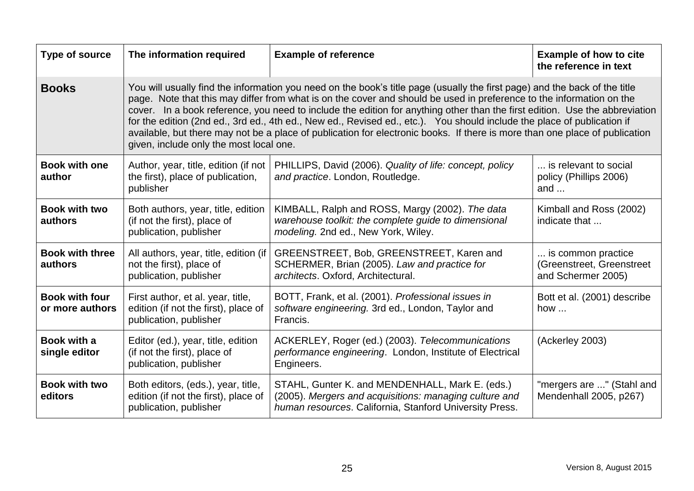<span id="page-34-6"></span><span id="page-34-5"></span><span id="page-34-4"></span><span id="page-34-3"></span><span id="page-34-2"></span><span id="page-34-1"></span><span id="page-34-0"></span>

| Type of source                           | The information required                                                                                                                                                                                                                                                                                                                                                                                                                                                                                                                                                                                                                                                               | <b>Example of reference</b>                                                                                                                                          | <b>Example of how to cite</b><br>the reference in text                |
|------------------------------------------|----------------------------------------------------------------------------------------------------------------------------------------------------------------------------------------------------------------------------------------------------------------------------------------------------------------------------------------------------------------------------------------------------------------------------------------------------------------------------------------------------------------------------------------------------------------------------------------------------------------------------------------------------------------------------------------|----------------------------------------------------------------------------------------------------------------------------------------------------------------------|-----------------------------------------------------------------------|
| <b>Books</b>                             | You will usually find the information you need on the book's title page (usually the first page) and the back of the title<br>page. Note that this may differ from what is on the cover and should be used in preference to the information on the<br>cover. In a book reference, you need to include the edition for anything other than the first edition. Use the abbreviation<br>for the edition (2nd ed., 3rd ed., 4th ed., New ed., Revised ed., etc.). You should include the place of publication if<br>available, but there may not be a place of publication for electronic books. If there is more than one place of publication<br>given, include only the most local one. |                                                                                                                                                                      |                                                                       |
| <b>Book with one</b><br>author           | Author, year, title, edition (if not<br>the first), place of publication,<br>publisher                                                                                                                                                                                                                                                                                                                                                                                                                                                                                                                                                                                                 | PHILLIPS, David (2006). Quality of life: concept, policy<br>and practice. London, Routledge.                                                                         | is relevant to social<br>policy (Phillips 2006)<br>and $\dots$        |
| <b>Book with two</b><br>authors          | Both authors, year, title, edition<br>(if not the first), place of<br>publication, publisher                                                                                                                                                                                                                                                                                                                                                                                                                                                                                                                                                                                           | KIMBALL, Ralph and ROSS, Margy (2002). The data<br>warehouse toolkit: the complete guide to dimensional<br>modeling. 2nd ed., New York, Wiley.                       | Kimball and Ross (2002)<br>indicate that                              |
| <b>Book with three</b><br>authors        | All authors, year, title, edition (if<br>not the first), place of<br>publication, publisher                                                                                                                                                                                                                                                                                                                                                                                                                                                                                                                                                                                            | GREENSTREET, Bob, GREENSTREET, Karen and<br>SCHERMER, Brian (2005). Law and practice for<br>architects. Oxford, Architectural.                                       | is common practice<br>(Greenstreet, Greenstreet<br>and Schermer 2005) |
| <b>Book with four</b><br>or more authors | First author, et al. year, title,<br>edition (if not the first), place of<br>publication, publisher                                                                                                                                                                                                                                                                                                                                                                                                                                                                                                                                                                                    | BOTT, Frank, et al. (2001). Professional issues in<br>software engineering. 3rd ed., London, Taylor and<br>Francis.                                                  | Bott et al. (2001) describe<br>how                                    |
| Book with a<br>single editor             | Editor (ed.), year, title, edition<br>(if not the first), place of<br>publication, publisher                                                                                                                                                                                                                                                                                                                                                                                                                                                                                                                                                                                           | ACKERLEY, Roger (ed.) (2003). Telecommunications<br>performance engineering. London, Institute of Electrical<br>Engineers.                                           | (Ackerley 2003)                                                       |
| <b>Book with two</b><br>editors          | Both editors, (eds.), year, title,<br>edition (if not the first), place of<br>publication, publisher                                                                                                                                                                                                                                                                                                                                                                                                                                                                                                                                                                                   | STAHL, Gunter K. and MENDENHALL, Mark E. (eds.)<br>(2005). Mergers and acquisitions: managing culture and<br>human resources. California, Stanford University Press. | "mergers are " (Stahl and<br>Mendenhall 2005, p267)                   |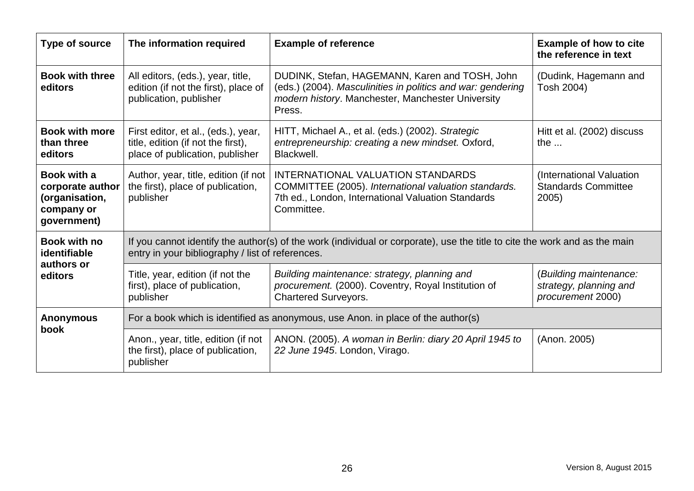<span id="page-35-4"></span><span id="page-35-3"></span><span id="page-35-2"></span><span id="page-35-1"></span><span id="page-35-0"></span>

| Type of source                                                                        | The information required                                                                                                                                                       | <b>Example of reference</b>                                                                                                                                                  | <b>Example of how to cite</b><br>the reference in text                |
|---------------------------------------------------------------------------------------|--------------------------------------------------------------------------------------------------------------------------------------------------------------------------------|------------------------------------------------------------------------------------------------------------------------------------------------------------------------------|-----------------------------------------------------------------------|
| <b>Book with three</b><br>editors                                                     | All editors, (eds.), year, title,<br>edition (if not the first), place of<br>publication, publisher                                                                            | DUDINK, Stefan, HAGEMANN, Karen and TOSH, John<br>(eds.) (2004). Masculinities in politics and war: gendering<br>modern history. Manchester, Manchester University<br>Press. | (Dudink, Hagemann and<br>Tosh 2004)                                   |
| <b>Book with more</b><br>than three<br>editors                                        | First editor, et al., (eds.), year,<br>title, edition (if not the first),<br>place of publication, publisher                                                                   | HITT, Michael A., et al. (eds.) (2002). Strategic<br>entrepreneurship: creating a new mindset. Oxford,<br>Blackwell.                                                         | Hitt et al. (2002) discuss<br>the $\dots$                             |
| <b>Book with a</b><br>corporate author<br>(organisation,<br>company or<br>government) | Author, year, title, edition (if not<br>the first), place of publication,<br>publisher                                                                                         | <b>INTERNATIONAL VALUATION STANDARDS</b><br>COMMITTEE (2005). International valuation standards.<br>7th ed., London, International Valuation Standards<br>Committee.         | (International Valuation<br><b>Standards Committee</b><br>2005        |
| <b>Book with no</b><br>identifiable                                                   | If you cannot identify the author(s) of the work (individual or corporate), use the title to cite the work and as the main<br>entry in your bibliography / list of references. |                                                                                                                                                                              |                                                                       |
| authors or<br>editors                                                                 | Title, year, edition (if not the<br>first), place of publication,<br>publisher                                                                                                 | Building maintenance: strategy, planning and<br>procurement. (2000). Coventry, Royal Institution of<br><b>Chartered Surveyors.</b>                                           | (Building maintenance:<br>strategy, planning and<br>procurement 2000) |
| <b>Anonymous</b>                                                                      | For a book which is identified as anonymous, use Anon. in place of the author(s)                                                                                               |                                                                                                                                                                              |                                                                       |
| book                                                                                  | Anon., year, title, edition (if not<br>the first), place of publication,<br>publisher                                                                                          | ANON. (2005). A woman in Berlin: diary 20 April 1945 to<br>22 June 1945. London, Virago.                                                                                     | (Anon. 2005)                                                          |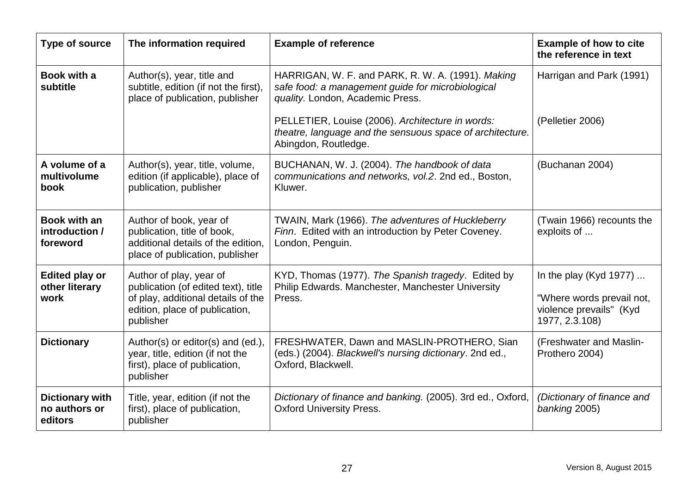| Type of source                                     | The information required                                                                                                                            | <b>Example of reference</b>                                                                                                                | <b>Example of how to cite</b><br>the reference in text                                                   |
|----------------------------------------------------|-----------------------------------------------------------------------------------------------------------------------------------------------------|--------------------------------------------------------------------------------------------------------------------------------------------|----------------------------------------------------------------------------------------------------------|
| <b>Book with a</b><br>subtitle                     | Author(s), year, title and<br>subtitle, edition (if not the first),<br>place of publication, publisher                                              | HARRIGAN, W. F. and PARK, R. W. A. (1991). Making<br>safe food: a management guide for microbiological<br>quality. London, Academic Press. | Harrigan and Park (1991)                                                                                 |
|                                                    |                                                                                                                                                     | PELLETIER, Louise (2006). Architecture in words:<br>theatre, language and the sensuous space of architecture.<br>Abingdon, Routledge.      | (Pelletier 2006)                                                                                         |
| A volume of a<br>multivolume<br>book               | Author(s), year, title, volume,<br>edition (if applicable), place of<br>publication, publisher                                                      | BUCHANAN, W. J. (2004). The handbook of data<br>communications and networks, vol.2. 2nd ed., Boston,<br>Kluwer.                            | (Buchanan 2004)                                                                                          |
| Book with an<br>introduction /<br>foreword         | Author of book, year of<br>publication, title of book,<br>additional details of the edition,<br>place of publication, publisher                     | TWAIN, Mark (1966). The adventures of Huckleberry<br>Finn. Edited with an introduction by Peter Coveney.<br>London, Penguin.               | (Twain 1966) recounts the<br>exploits of                                                                 |
| <b>Edited play or</b><br>other literary<br>work    | Author of play, year of<br>publication (of edited text), title<br>of play, additional details of the<br>edition, place of publication,<br>publisher | KYD, Thomas (1977). The Spanish tragedy. Edited by<br>Philip Edwards. Manchester, Manchester University<br>Press.                          | In the play (Kyd 1977) $\dots$<br>"Where words prevail not,<br>violence prevails" (Kyd<br>1977, 2.3.108) |
| <b>Dictionary</b>                                  | Author(s) or editor(s) and (ed.),<br>year, title, edition (if not the<br>first), place of publication,<br>publisher                                 | FRESHWATER, Dawn and MASLIN-PROTHERO, Sian<br>(eds.) (2004). Blackwell's nursing dictionary. 2nd ed.,<br>Oxford, Blackwell.                | (Freshwater and Maslin-<br>Prothero 2004)                                                                |
| <b>Dictionary with</b><br>no authors or<br>editors | Title, year, edition (if not the<br>first), place of publication,<br>publisher                                                                      | Dictionary of finance and banking. (2005). 3rd ed., Oxford,<br><b>Oxford University Press.</b>                                             | (Dictionary of finance and<br>banking 2005)                                                              |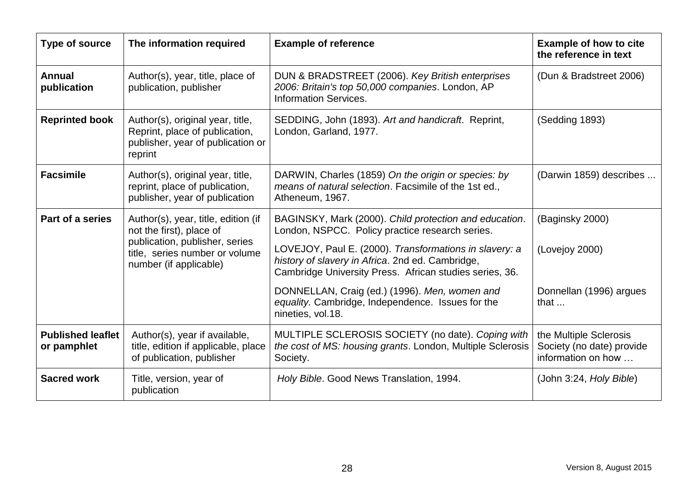| Type of source                          | The information required                                                                                           | <b>Example of reference</b>                                                                                                                                           | <b>Example of how to cite</b><br>the reference in text                    |
|-----------------------------------------|--------------------------------------------------------------------------------------------------------------------|-----------------------------------------------------------------------------------------------------------------------------------------------------------------------|---------------------------------------------------------------------------|
| <b>Annual</b><br>publication            | Author(s), year, title, place of<br>publication, publisher                                                         | DUN & BRADSTREET (2006). Key British enterprises<br>2006: Britain's top 50,000 companies. London, AP<br><b>Information Services.</b>                                  | (Dun & Bradstreet 2006)                                                   |
| <b>Reprinted book</b>                   | Author(s), original year, title,<br>Reprint, place of publication,<br>publisher, year of publication or<br>reprint | SEDDING, John (1893). Art and handicraft. Reprint,<br>London, Garland, 1977.                                                                                          | (Sedding 1893)                                                            |
| <b>Facsimile</b>                        | Author(s), original year, title,<br>reprint, place of publication,<br>publisher, year of publication               | DARWIN, Charles (1859) On the origin or species: by<br>means of natural selection. Facsimile of the 1st ed.,<br>Atheneum, 1967.                                       | (Darwin 1859) describes                                                   |
| Part of a series                        | Author(s), year, title, edition (if<br>not the first), place of<br>publication, publisher, series                  | BAGINSKY, Mark (2000). Child protection and education.<br>London, NSPCC. Policy practice research series.                                                             | (Baginsky 2000)                                                           |
|                                         | title, series number or volume<br>number (if applicable)                                                           | LOVEJOY, Paul E. (2000). Transformations in slavery: a<br>history of slavery in Africa. 2nd ed. Cambridge,<br>Cambridge University Press. African studies series, 36. | (Lovejoy 2000)                                                            |
|                                         |                                                                                                                    | DONNELLAN, Craig (ed.) (1996). Men, women and<br>equality. Cambridge, Independence. Issues for the<br>nineties, vol.18.                                               | Donnellan (1996) argues<br>that $\dots$                                   |
| <b>Published leaflet</b><br>or pamphlet | Author(s), year if available,<br>title, edition if applicable, place<br>of publication, publisher                  | MULTIPLE SCLEROSIS SOCIETY (no date). Coping with<br>the cost of MS: housing grants. London, Multiple Sclerosis<br>Society.                                           | the Multiple Sclerosis<br>Society (no date) provide<br>information on how |
| <b>Sacred work</b>                      | Title, version, year of<br>publication                                                                             | Holy Bible. Good News Translation, 1994.                                                                                                                              | (John 3:24, Holy Bible)                                                   |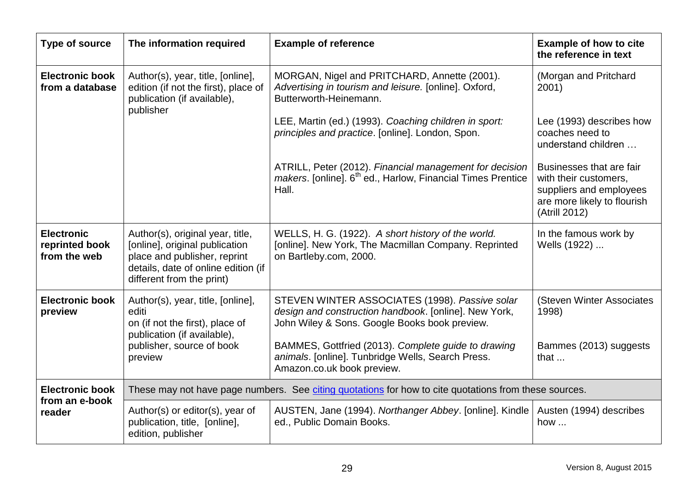| Type of source                                      | The information required                                                                                                                                               | <b>Example of reference</b>                                                                                                                                                                                                                                          | <b>Example of how to cite</b><br>the reference in text                                                                       |
|-----------------------------------------------------|------------------------------------------------------------------------------------------------------------------------------------------------------------------------|----------------------------------------------------------------------------------------------------------------------------------------------------------------------------------------------------------------------------------------------------------------------|------------------------------------------------------------------------------------------------------------------------------|
| <b>Electronic book</b><br>from a database           | Author(s), year, title, [online],<br>edition (if not the first), place of<br>publication (if available),<br>publisher                                                  | MORGAN, Nigel and PRITCHARD, Annette (2001).<br>Advertising in tourism and leisure. [online]. Oxford,<br>Butterworth-Heinemann.                                                                                                                                      | (Morgan and Pritchard<br>2001)                                                                                               |
|                                                     |                                                                                                                                                                        | LEE, Martin (ed.) (1993). Coaching children in sport:<br>principles and practice. [online]. London, Spon.                                                                                                                                                            | Lee (1993) describes how<br>coaches need to<br>understand children                                                           |
|                                                     |                                                                                                                                                                        | ATRILL, Peter (2012). Financial management for decision<br>makers. [online]. 6 <sup>th</sup> ed., Harlow, Financial Times Prentice<br>Hall.                                                                                                                          | Businesses that are fair<br>with their customers,<br>suppliers and employees<br>are more likely to flourish<br>(Atrill 2012) |
| <b>Electronic</b><br>reprinted book<br>from the web | Author(s), original year, title,<br>[online], original publication<br>place and publisher, reprint<br>details, date of online edition (if<br>different from the print) | WELLS, H. G. (1922). A short history of the world.<br>[online]. New York, The Macmillan Company. Reprinted<br>on Bartleby.com, 2000.                                                                                                                                 | In the famous work by<br>Wells (1922)                                                                                        |
| <b>Electronic book</b><br>preview                   | Author(s), year, title, [online],<br>editi<br>on (if not the first), place of<br>publication (if available),<br>publisher, source of book<br>preview                   | STEVEN WINTER ASSOCIATES (1998). Passive solar<br>design and construction handbook. [online]. New York,<br>John Wiley & Sons. Google Books book preview.<br>BAMMES, Gottfried (2013). Complete guide to drawing<br>animals. [online]. Tunbridge Wells, Search Press. | (Steven Winter Associates<br>1998)<br>Bammes (2013) suggests<br>that                                                         |
|                                                     |                                                                                                                                                                        | Amazon.co.uk book preview.                                                                                                                                                                                                                                           |                                                                                                                              |
| <b>Electronic book</b><br>from an e-book            |                                                                                                                                                                        | These may not have page numbers. See citing quotations for how to cite quotations from these sources.                                                                                                                                                                |                                                                                                                              |
| reader                                              | Author(s) or editor(s), year of<br>publication, title, [online],<br>edition, publisher                                                                                 | AUSTEN, Jane (1994). Northanger Abbey. [online]. Kindle<br>ed., Public Domain Books.                                                                                                                                                                                 | Austen (1994) describes<br>how                                                                                               |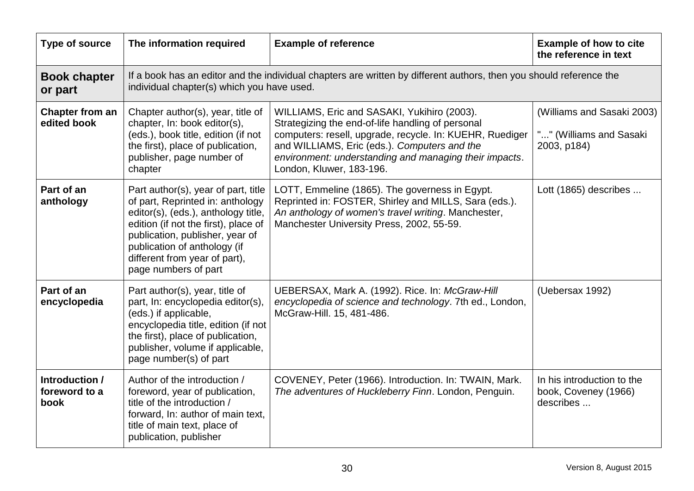| <b>Type of source</b>                   | The information required                                                                                                                                                                                                                                                           | <b>Example of reference</b>                                                                                                                                                                                                                                                                        | <b>Example of how to cite</b><br>the reference in text               |  |
|-----------------------------------------|------------------------------------------------------------------------------------------------------------------------------------------------------------------------------------------------------------------------------------------------------------------------------------|----------------------------------------------------------------------------------------------------------------------------------------------------------------------------------------------------------------------------------------------------------------------------------------------------|----------------------------------------------------------------------|--|
| <b>Book chapter</b><br>or part          |                                                                                                                                                                                                                                                                                    | If a book has an editor and the individual chapters are written by different authors, then you should reference the<br>individual chapter(s) which you have used.                                                                                                                                  |                                                                      |  |
| <b>Chapter from an</b><br>edited book   | Chapter author(s), year, title of<br>chapter, In: book editor(s),<br>(eds.), book title, edition (if not<br>the first), place of publication,<br>publisher, page number of<br>chapter                                                                                              | WILLIAMS, Eric and SASAKI, Yukihiro (2003).<br>Strategizing the end-of-life handling of personal<br>computers: resell, upgrade, recycle. In: KUEHR, Ruediger<br>and WILLIAMS, Eric (eds.). Computers and the<br>environment: understanding and managing their impacts.<br>London, Kluwer, 183-196. | (Williams and Sasaki 2003)<br>"" (Williams and Sasaki<br>2003, p184) |  |
| Part of an<br>anthology                 | Part author(s), year of part, title<br>of part, Reprinted in: anthology<br>editor(s), (eds.), anthology title,<br>edition (if not the first), place of<br>publication, publisher, year of<br>publication of anthology (if<br>different from year of part),<br>page numbers of part | LOTT, Emmeline (1865). The governess in Egypt.<br>Reprinted in: FOSTER, Shirley and MILLS, Sara (eds.).<br>An anthology of women's travel writing. Manchester,<br>Manchester University Press, 2002, 55-59.                                                                                        | Lott (1865) describes                                                |  |
| Part of an<br>encyclopedia              | Part author(s), year, title of<br>part, In: encyclopedia editor(s),<br>(eds.) if applicable,<br>encyclopedia title, edition (if not<br>the first), place of publication,<br>publisher, volume if applicable,<br>page number(s) of part                                             | UEBERSAX, Mark A. (1992). Rice. In: McGraw-Hill<br>encyclopedia of science and technology. 7th ed., London,<br>McGraw-Hill. 15, 481-486.                                                                                                                                                           | (Uebersax 1992)                                                      |  |
| Introduction /<br>foreword to a<br>book | Author of the introduction /<br>foreword, year of publication,<br>title of the introduction /<br>forward, In: author of main text,<br>title of main text, place of<br>publication, publisher                                                                                       | COVENEY, Peter (1966). Introduction. In: TWAIN, Mark.<br>The adventures of Huckleberry Finn. London, Penguin.                                                                                                                                                                                      | In his introduction to the<br>book, Coveney (1966)<br>describes      |  |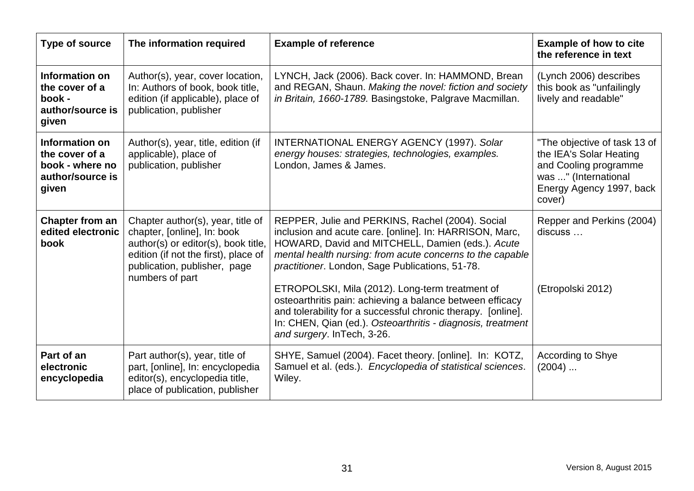| Type of source                                                                   | The information required                                                                                                                                                                           | <b>Example of reference</b>                                                                                                                                                                                                                                                                                                                                                                                                                                                                                                                                  | <b>Example of how to cite</b><br>the reference in text                                                                                         |
|----------------------------------------------------------------------------------|----------------------------------------------------------------------------------------------------------------------------------------------------------------------------------------------------|--------------------------------------------------------------------------------------------------------------------------------------------------------------------------------------------------------------------------------------------------------------------------------------------------------------------------------------------------------------------------------------------------------------------------------------------------------------------------------------------------------------------------------------------------------------|------------------------------------------------------------------------------------------------------------------------------------------------|
| Information on<br>the cover of a<br>book -<br>author/source is<br>given          | Author(s), year, cover location,<br>In: Authors of book, book title,<br>edition (if applicable), place of<br>publication, publisher                                                                | LYNCH, Jack (2006). Back cover. In: HAMMOND, Brean<br>and REGAN, Shaun. Making the novel: fiction and society<br>in Britain, 1660-1789. Basingstoke, Palgrave Macmillan.                                                                                                                                                                                                                                                                                                                                                                                     | (Lynch 2006) describes<br>this book as "unfailingly<br>lively and readable"                                                                    |
| Information on<br>the cover of a<br>book - where no<br>author/source is<br>given | Author(s), year, title, edition (if<br>applicable), place of<br>publication, publisher                                                                                                             | <b>INTERNATIONAL ENERGY AGENCY (1997). Solar</b><br>energy houses: strategies, technologies, examples.<br>London, James & James.                                                                                                                                                                                                                                                                                                                                                                                                                             | "The objective of task 13 of<br>the IEA's Solar Heating<br>and Cooling programme<br>was " (International<br>Energy Agency 1997, back<br>cover) |
| Chapter from an<br>edited electronic<br>book                                     | Chapter author(s), year, title of<br>chapter, [online], In: book<br>author(s) or editor(s), book title,<br>edition (if not the first), place of<br>publication, publisher, page<br>numbers of part | REPPER, Julie and PERKINS, Rachel (2004). Social<br>inclusion and acute care. [online]. In: HARRISON, Marc,<br>HOWARD, David and MITCHELL, Damien (eds.). Acute<br>mental health nursing: from acute concerns to the capable<br>practitioner. London, Sage Publications, 51-78.<br>ETROPOLSKI, Mila (2012). Long-term treatment of<br>osteoarthritis pain: achieving a balance between efficacy<br>and tolerability for a successful chronic therapy. [online].<br>In: CHEN, Qian (ed.). Osteoarthritis - diagnosis, treatment<br>and surgery. InTech, 3-26. | Repper and Perkins (2004)<br>discuss<br>(Etropolski 2012)                                                                                      |
| Part of an<br>electronic<br>encyclopedia                                         | Part author(s), year, title of<br>part, [online], In: encyclopedia<br>editor(s), encyclopedia title,<br>place of publication, publisher                                                            | SHYE, Samuel (2004). Facet theory. [online]. In: KOTZ,<br>Samuel et al. (eds.). Encyclopedia of statistical sciences.<br>Wiley.                                                                                                                                                                                                                                                                                                                                                                                                                              | According to Shye<br>$(2004)$                                                                                                                  |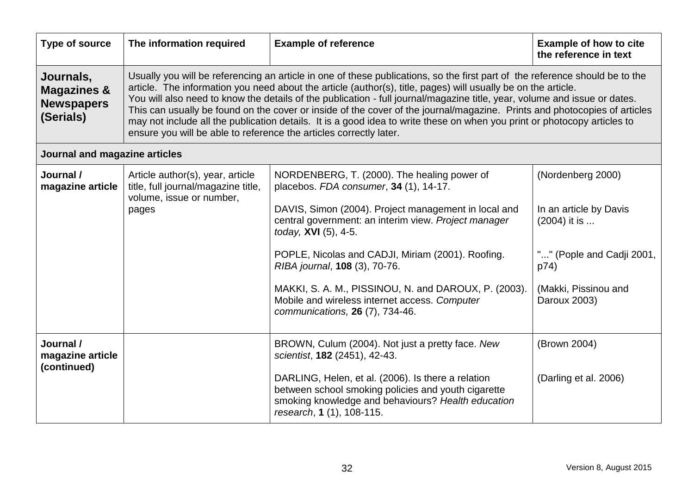| Type of source                                                        | The information required                                                                                                                                                                                                                                                                                                                                                                                                                                                                                                                                                                                                                                                                                  | <b>Example of reference</b>                                                                                                                                                                                                                                                                                                                                                                                                                                     | <b>Example of how to cite</b><br>the reference in text                                                                                   |  |
|-----------------------------------------------------------------------|-----------------------------------------------------------------------------------------------------------------------------------------------------------------------------------------------------------------------------------------------------------------------------------------------------------------------------------------------------------------------------------------------------------------------------------------------------------------------------------------------------------------------------------------------------------------------------------------------------------------------------------------------------------------------------------------------------------|-----------------------------------------------------------------------------------------------------------------------------------------------------------------------------------------------------------------------------------------------------------------------------------------------------------------------------------------------------------------------------------------------------------------------------------------------------------------|------------------------------------------------------------------------------------------------------------------------------------------|--|
| Journals,<br><b>Magazines &amp;</b><br><b>Newspapers</b><br>(Serials) | Usually you will be referencing an article in one of these publications, so the first part of the reference should be to the<br>article. The information you need about the article (author(s), title, pages) will usually be on the article.<br>You will also need to know the details of the publication - full journal/magazine title, year, volume and issue or dates.<br>This can usually be found on the cover or inside of the cover of the journal/magazine. Prints and photocopies of articles<br>may not include all the publication details. It is a good idea to write these on when you print or photocopy articles to<br>ensure you will be able to reference the articles correctly later. |                                                                                                                                                                                                                                                                                                                                                                                                                                                                 |                                                                                                                                          |  |
| Journal and magazine articles                                         |                                                                                                                                                                                                                                                                                                                                                                                                                                                                                                                                                                                                                                                                                                           |                                                                                                                                                                                                                                                                                                                                                                                                                                                                 |                                                                                                                                          |  |
| Journal /<br>magazine article                                         | Article author(s), year, article<br>title, full journal/magazine title,<br>volume, issue or number,<br>pages                                                                                                                                                                                                                                                                                                                                                                                                                                                                                                                                                                                              | NORDENBERG, T. (2000). The healing power of<br>placebos. FDA consumer, 34 (1), 14-17.<br>DAVIS, Simon (2004). Project management in local and<br>central government: an interim view. Project manager<br>today, XVI (5), 4-5.<br>POPLE, Nicolas and CADJI, Miriam (2001). Roofing.<br>RIBA journal, 108 (3), 70-76.<br>MAKKI, S. A. M., PISSINOU, N. and DAROUX, P. (2003).<br>Mobile and wireless internet access. Computer<br>communications, 26 (7), 734-46. | (Nordenberg 2000)<br>In an article by Davis<br>(2004) it is<br>"" (Pople and Cadji 2001,<br>p74)<br>(Makki, Pissinou and<br>Daroux 2003) |  |
| Journal /<br>magazine article<br>(continued)                          |                                                                                                                                                                                                                                                                                                                                                                                                                                                                                                                                                                                                                                                                                                           | BROWN, Culum (2004). Not just a pretty face. New<br>scientist, 182 (2451), 42-43.<br>DARLING, Helen, et al. (2006). Is there a relation<br>between school smoking policies and youth cigarette<br>smoking knowledge and behaviours? Health education<br>research, 1 (1), 108-115.                                                                                                                                                                               | (Brown 2004)<br>(Darling et al. 2006)                                                                                                    |  |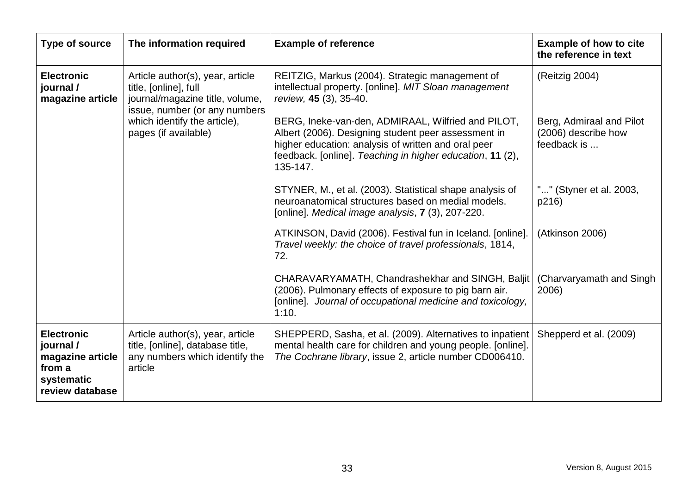| <b>Type of source</b>                                                                         | The information required                                                                                                                                                                                                                                                                                         | <b>Example of reference</b>                                                                                                                                                                                                                                                                                                                                         | <b>Example of how to cite</b><br>the reference in text                           |
|-----------------------------------------------------------------------------------------------|------------------------------------------------------------------------------------------------------------------------------------------------------------------------------------------------------------------------------------------------------------------------------------------------------------------|---------------------------------------------------------------------------------------------------------------------------------------------------------------------------------------------------------------------------------------------------------------------------------------------------------------------------------------------------------------------|----------------------------------------------------------------------------------|
| <b>Electronic</b><br>journal /<br>magazine article                                            | Article author(s), year, article<br>title, [online], full<br>journal/magazine title, volume,<br>issue, number (or any numbers<br>which identify the article),<br>pages (if available)                                                                                                                            | REITZIG, Markus (2004). Strategic management of<br>intellectual property. [online]. MIT Sloan management<br>review, 45 (3), 35-40.<br>BERG, Ineke-van-den, ADMIRAAL, Wilfried and PILOT,<br>Albert (2006). Designing student peer assessment in<br>higher education: analysis of written and oral peer<br>feedback. [online]. Teaching in higher education, 11 (2), | (Reitzig 2004)<br>Berg, Admiraal and Pilot<br>(2006) describe how<br>feedback is |
|                                                                                               | 135-147.<br>STYNER, M., et al. (2003). Statistical shape analysis of<br>neuroanatomical structures based on medial models.<br>[online]. Medical image analysis, 7 (3), 207-220.<br>ATKINSON, David (2006). Festival fun in Iceland. [online].<br>Travel weekly: the choice of travel professionals, 1814,<br>72. | "" (Styner et al. 2003,<br>p216)<br>(Atkinson 2006)                                                                                                                                                                                                                                                                                                                 |                                                                                  |
|                                                                                               |                                                                                                                                                                                                                                                                                                                  | CHARAVARYAMATH, Chandrashekhar and SINGH, Baljit<br>(2006). Pulmonary effects of exposure to pig barn air.<br>[online]. Journal of occupational medicine and toxicology,<br>1:10.                                                                                                                                                                                   | (Charvaryamath and Singh<br>2006)                                                |
| <b>Electronic</b><br>journal /<br>magazine article<br>from a<br>systematic<br>review database | Article author(s), year, article<br>title, [online], database title,<br>any numbers which identify the<br>article                                                                                                                                                                                                | SHEPPERD, Sasha, et al. (2009). Alternatives to inpatient<br>mental health care for children and young people. [online].<br>The Cochrane library, issue 2, article number CD006410.                                                                                                                                                                                 | Shepperd et al. (2009)                                                           |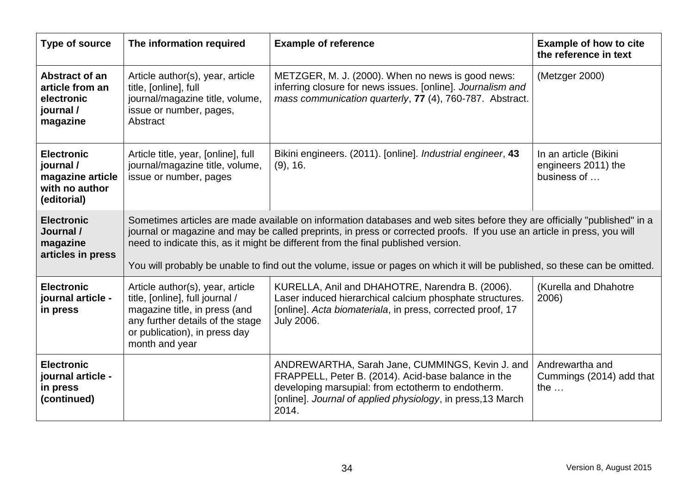| Type of source                                                                      | The information required                                                                                                                                                                                                                                                                                                                                                                                                                                               | <b>Example of reference</b>                                                                                                                                                                                                          | <b>Example of how to cite</b><br>the reference in text      |
|-------------------------------------------------------------------------------------|------------------------------------------------------------------------------------------------------------------------------------------------------------------------------------------------------------------------------------------------------------------------------------------------------------------------------------------------------------------------------------------------------------------------------------------------------------------------|--------------------------------------------------------------------------------------------------------------------------------------------------------------------------------------------------------------------------------------|-------------------------------------------------------------|
| Abstract of an<br>article from an<br>electronic<br>journal /<br>magazine            | Article author(s), year, article<br>title, [online], full<br>journal/magazine title, volume,<br>issue or number, pages,<br>Abstract                                                                                                                                                                                                                                                                                                                                    | METZGER, M. J. (2000). When no news is good news:<br>inferring closure for news issues. [online]. Journalism and<br>mass communication quarterly, 77 (4), 760-787. Abstract.                                                         | (Metzger 2000)                                              |
| <b>Electronic</b><br>journal /<br>magazine article<br>with no author<br>(editorial) | Article title, year, [online], full<br>journal/magazine title, volume,<br>issue or number, pages                                                                                                                                                                                                                                                                                                                                                                       | Bikini engineers. (2011). [online]. <i>Industrial engineer</i> , 43<br>$(9)$ , 16.                                                                                                                                                   | In an article (Bikini<br>engineers 2011) the<br>business of |
| <b>Electronic</b><br>Journal /<br>magazine<br>articles in press                     | Sometimes articles are made available on information databases and web sites before they are officially "published" in a<br>journal or magazine and may be called preprints, in press or corrected proofs. If you use an article in press, you will<br>need to indicate this, as it might be different from the final published version.<br>You will probably be unable to find out the volume, issue or pages on which it will be published, so these can be omitted. |                                                                                                                                                                                                                                      |                                                             |
| <b>Electronic</b><br>journal article -<br>in press                                  | Article author(s), year, article<br>title, [online], full journal /<br>magazine title, in press (and<br>any further details of the stage<br>or publication), in press day<br>month and year                                                                                                                                                                                                                                                                            | KURELLA, Anil and DHAHOTRE, Narendra B. (2006).<br>Laser induced hierarchical calcium phosphate structures.<br>[online]. Acta biomateriala, in press, corrected proof, 17<br><b>July 2006.</b>                                       | (Kurella and Dhahotre<br>2006)                              |
| <b>Electronic</b><br>journal article -<br>in press<br>(continued)                   |                                                                                                                                                                                                                                                                                                                                                                                                                                                                        | ANDREWARTHA, Sarah Jane, CUMMINGS, Kevin J. and<br>FRAPPELL, Peter B. (2014). Acid-base balance in the<br>developing marsupial: from ectotherm to endotherm.<br>[online]. Journal of applied physiology, in press, 13 March<br>2014. | Andrewartha and<br>Cummings (2014) add that<br>the $\ldots$ |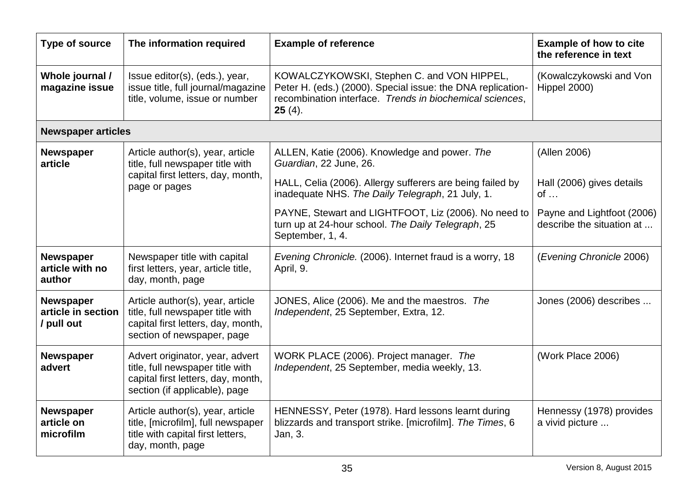| Type of source                                       | The information required                                                                                                                   | <b>Example of reference</b>                                                                                                                                                        | <b>Example of how to cite</b><br>the reference in text  |
|------------------------------------------------------|--------------------------------------------------------------------------------------------------------------------------------------------|------------------------------------------------------------------------------------------------------------------------------------------------------------------------------------|---------------------------------------------------------|
| Whole journal /<br>magazine issue                    | Issue editor(s), (eds.), year,<br>issue title, full journal/magazine<br>title, volume, issue or number                                     | KOWALCZYKOWSKI, Stephen C. and VON HIPPEL,<br>Peter H. (eds.) (2000). Special issue: the DNA replication-<br>recombination interface. Trends in biochemical sciences.<br>$25(4)$ . | (Kowalczykowski and Von<br>Hippel 2000)                 |
| <b>Newspaper articles</b>                            |                                                                                                                                            |                                                                                                                                                                                    |                                                         |
| <b>Newspaper</b><br>article                          | Article author(s), year, article<br>title, full newspaper title with                                                                       | ALLEN, Katie (2006). Knowledge and power. The<br>Guardian, 22 June, 26.                                                                                                            | (Allen 2006)                                            |
|                                                      | capital first letters, day, month,<br>page or pages                                                                                        | HALL, Celia (2006). Allergy sufferers are being failed by<br>inadequate NHS. The Daily Telegraph, 21 July, 1.                                                                      | Hall (2006) gives details<br>$of \dots$                 |
|                                                      |                                                                                                                                            | PAYNE, Stewart and LIGHTFOOT, Liz (2006). No need to<br>turn up at 24-hour school. The Daily Telegraph, 25<br>September, 1, 4.                                                     | Payne and Lightfoot (2006)<br>describe the situation at |
| <b>Newspaper</b><br>article with no<br>author        | Newspaper title with capital<br>first letters, year, article title,<br>day, month, page                                                    | Evening Chronicle. (2006). Internet fraud is a worry, 18<br>April, 9.                                                                                                              | (Evening Chronicle 2006)                                |
| <b>Newspaper</b><br>article in section<br>/ pull out | Article author(s), year, article<br>title, full newspaper title with<br>capital first letters, day, month,<br>section of newspaper, page   | JONES, Alice (2006). Me and the maestros. The<br>Independent, 25 September, Extra, 12.                                                                                             | Jones (2006) describes                                  |
| <b>Newspaper</b><br>advert                           | Advert originator, year, advert<br>title, full newspaper title with<br>capital first letters, day, month,<br>section (if applicable), page | WORK PLACE (2006). Project manager. The<br>Independent, 25 September, media weekly, 13.                                                                                            | (Work Place 2006)                                       |
| <b>Newspaper</b><br>article on<br>microfilm          | Article author(s), year, article<br>title, [microfilm], full newspaper<br>title with capital first letters,<br>day, month, page            | HENNESSY, Peter (1978). Hard lessons learnt during<br>blizzards and transport strike. [microfilm]. The Times, 6<br>Jan, 3.                                                         | Hennessy (1978) provides<br>a vivid picture             |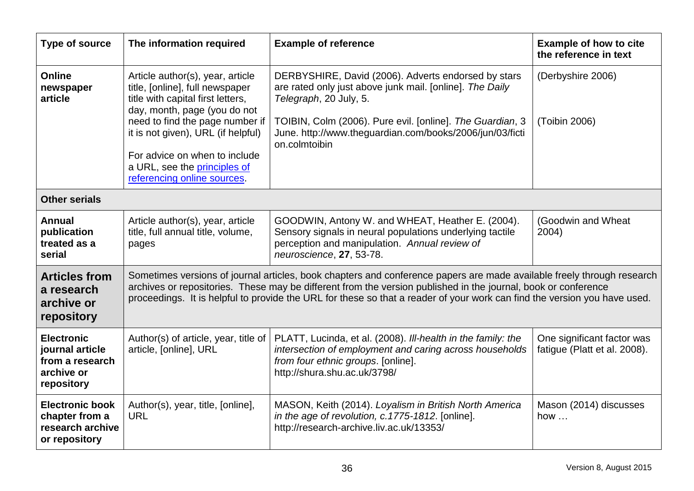| <b>Type of source</b>                                                               | The information required                                                                                                                                                                                                                                                                                                                                              | <b>Example of reference</b>                                                                                                                                                                                                                                                         | <b>Example of how to cite</b><br>the reference in text     |
|-------------------------------------------------------------------------------------|-----------------------------------------------------------------------------------------------------------------------------------------------------------------------------------------------------------------------------------------------------------------------------------------------------------------------------------------------------------------------|-------------------------------------------------------------------------------------------------------------------------------------------------------------------------------------------------------------------------------------------------------------------------------------|------------------------------------------------------------|
| Online<br>newspaper<br>article                                                      | Article author(s), year, article<br>title, [online], full newspaper<br>title with capital first letters,<br>day, month, page (you do not<br>need to find the page number if<br>it is not given), URL (if helpful)<br>For advice on when to include<br>a URL, see the principles of<br>referencing online sources.                                                     | DERBYSHIRE, David (2006). Adverts endorsed by stars<br>are rated only just above junk mail. [online]. The Daily<br>Telegraph, 20 July, 5.<br>TOIBIN, Colm (2006). Pure evil. [online]. The Guardian, 3<br>June. http://www.theguardian.com/books/2006/jun/03/ficti<br>on.colmtoibin | (Derbyshire 2006)<br>(Toibin 2006)                         |
| <b>Other serials</b>                                                                |                                                                                                                                                                                                                                                                                                                                                                       |                                                                                                                                                                                                                                                                                     |                                                            |
| Annual<br>publication<br>treated as a<br>serial                                     | Article author(s), year, article<br>title, full annual title, volume,<br>pages                                                                                                                                                                                                                                                                                        | GOODWIN, Antony W. and WHEAT, Heather E. (2004).<br>Sensory signals in neural populations underlying tactile<br>perception and manipulation. Annual review of<br>neuroscience, 27, 53-78.                                                                                           | (Goodwin and Wheat<br>2004)                                |
| <b>Articles from</b><br>a research<br>archive or<br>repository                      | Sometimes versions of journal articles, book chapters and conference papers are made available freely through research<br>archives or repositories. These may be different from the version published in the journal, book or conference<br>proceedings. It is helpful to provide the URL for these so that a reader of your work can find the version you have used. |                                                                                                                                                                                                                                                                                     |                                                            |
| <b>Electronic</b><br>journal article<br>from a research<br>archive or<br>repository | Author(s) of article, year, title of<br>article, [online], URL                                                                                                                                                                                                                                                                                                        | PLATT, Lucinda, et al. (2008). Ill-health in the family: the<br>intersection of employment and caring across households<br>from four ethnic groups. [online].<br>http://shura.shu.ac.uk/3798/                                                                                       | One significant factor was<br>fatigue (Platt et al. 2008). |
| <b>Electronic book</b><br>chapter from a<br>research archive<br>or repository       | Author(s), year, title, [online],<br><b>URL</b>                                                                                                                                                                                                                                                                                                                       | MASON, Keith (2014). Loyalism in British North America<br>in the age of revolution, c.1775-1812. [online].<br>http://research-archive.liv.ac.uk/13353/                                                                                                                              | Mason (2014) discusses<br>how $\dots$                      |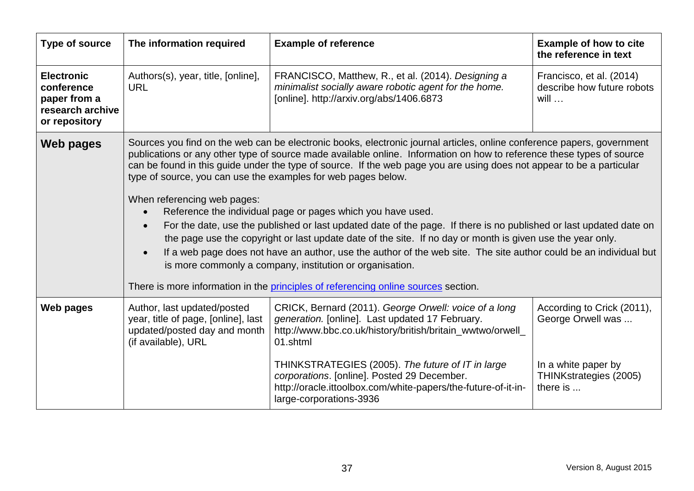| Type of source                                                                       | The information required                                                                                                                                                                                                                                                                                                                                                                                                                                                                                                                                                                                                                                                                                                                                                                                                                                                                                                                                                                                                                           | <b>Example of reference</b>                                                                                                                                                                                                                                                                                                                                                        | <b>Example of how to cite</b><br>the reference in text                                                       |
|--------------------------------------------------------------------------------------|----------------------------------------------------------------------------------------------------------------------------------------------------------------------------------------------------------------------------------------------------------------------------------------------------------------------------------------------------------------------------------------------------------------------------------------------------------------------------------------------------------------------------------------------------------------------------------------------------------------------------------------------------------------------------------------------------------------------------------------------------------------------------------------------------------------------------------------------------------------------------------------------------------------------------------------------------------------------------------------------------------------------------------------------------|------------------------------------------------------------------------------------------------------------------------------------------------------------------------------------------------------------------------------------------------------------------------------------------------------------------------------------------------------------------------------------|--------------------------------------------------------------------------------------------------------------|
| <b>Electronic</b><br>conference<br>paper from a<br>research archive<br>or repository | Authors(s), year, title, [online],<br><b>URL</b>                                                                                                                                                                                                                                                                                                                                                                                                                                                                                                                                                                                                                                                                                                                                                                                                                                                                                                                                                                                                   | FRANCISCO, Matthew, R., et al. (2014). Designing a<br>minimalist socially aware robotic agent for the home.<br>[online]. http://arxiv.org/abs/1406.6873                                                                                                                                                                                                                            | Francisco, et al. (2014)<br>describe how future robots<br>$will \dots$                                       |
| <b>Web pages</b>                                                                     | Sources you find on the web can be electronic books, electronic journal articles, online conference papers, government<br>publications or any other type of source made available online. Information on how to reference these types of source<br>can be found in this guide under the type of source. If the web page you are using does not appear to be a particular<br>type of source, you can use the examples for web pages below.<br>When referencing web pages:<br>Reference the individual page or pages which you have used.<br>For the date, use the published or last updated date of the page. If there is no published or last updated date on<br>the page use the copyright or last update date of the site. If no day or month is given use the year only.<br>If a web page does not have an author, use the author of the web site. The site author could be an individual but<br>is more commonly a company, institution or organisation.<br>There is more information in the principles of referencing online sources section. |                                                                                                                                                                                                                                                                                                                                                                                    |                                                                                                              |
| Web pages                                                                            | Author, last updated/posted<br>year, title of page, [online], last<br>updated/posted day and month<br>(if available), URL                                                                                                                                                                                                                                                                                                                                                                                                                                                                                                                                                                                                                                                                                                                                                                                                                                                                                                                          | CRICK, Bernard (2011). George Orwell: voice of a long<br>generation. [online]. Last updated 17 February.<br>http://www.bbc.co.uk/history/british/britain_wwtwo/orwell_<br>01.shtml<br>THINKSTRATEGIES (2005). The future of IT in large<br>corporations. [online]. Posted 29 December.<br>http://oracle.ittoolbox.com/white-papers/the-future-of-it-in-<br>large-corporations-3936 | According to Crick (2011),<br>George Orwell was<br>In a white paper by<br>THINKstrategies (2005)<br>there is |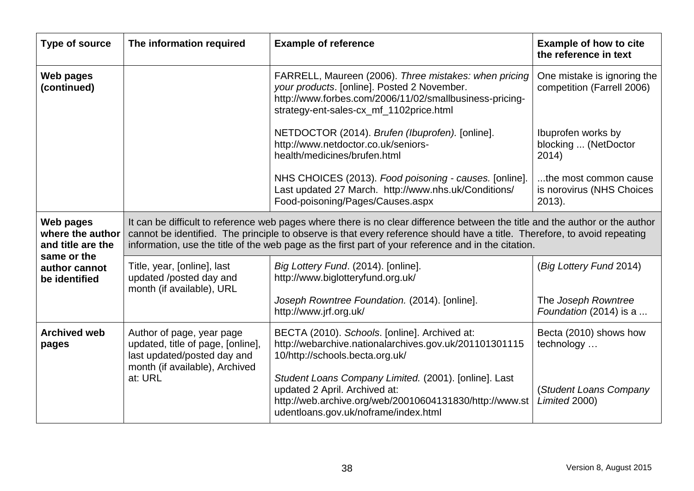| Type of source                                     | The information required                                                                                                                                                                                                                                                                                                                                         | <b>Example of reference</b>                                                                                                                                                                                | <b>Example of how to cite</b><br>the reference in text          |
|----------------------------------------------------|------------------------------------------------------------------------------------------------------------------------------------------------------------------------------------------------------------------------------------------------------------------------------------------------------------------------------------------------------------------|------------------------------------------------------------------------------------------------------------------------------------------------------------------------------------------------------------|-----------------------------------------------------------------|
| Web pages<br>(continued)                           |                                                                                                                                                                                                                                                                                                                                                                  | FARRELL, Maureen (2006). Three mistakes: when pricing<br>your products. [online]. Posted 2 November.<br>http://www.forbes.com/2006/11/02/smallbusiness-pricing-<br>strategy-ent-sales-cx_mf_1102price.html | One mistake is ignoring the<br>competition (Farrell 2006)       |
|                                                    |                                                                                                                                                                                                                                                                                                                                                                  | NETDOCTOR (2014). Brufen (Ibuprofen). [online].<br>http://www.netdoctor.co.uk/seniors-<br>health/medicines/brufen.html                                                                                     | Ibuprofen works by<br>blocking  (NetDoctor<br>2014)             |
|                                                    |                                                                                                                                                                                                                                                                                                                                                                  | NHS CHOICES (2013). Food poisoning - causes. [online].<br>Last updated 27 March. http://www.nhs.uk/Conditions/<br>Food-poisoning/Pages/Causes.aspx                                                         | the most common cause<br>is norovirus (NHS Choices<br>$2013$ ). |
| Web pages<br>where the author<br>and title are the | It can be difficult to reference web pages where there is no clear difference between the title and the author or the author<br>cannot be identified. The principle to observe is that every reference should have a title. Therefore, to avoid repeating<br>information, use the title of the web page as the first part of your reference and in the citation. |                                                                                                                                                                                                            |                                                                 |
| same or the<br>author cannot<br>be identified      | Title, year, [online], last<br>updated /posted day and<br>month (if available), URL                                                                                                                                                                                                                                                                              | Big Lottery Fund. (2014). [online].<br>http://www.biglotteryfund.org.uk/                                                                                                                                   | (Big Lottery Fund 2014)                                         |
|                                                    |                                                                                                                                                                                                                                                                                                                                                                  | Joseph Rowntree Foundation. (2014). [online].<br>http://www.jrf.org.uk/                                                                                                                                    | The Joseph Rowntree<br>Foundation (2014) is a                   |
| <b>Archived web</b><br>pages                       | Author of page, year page<br>updated, title of page, [online],<br>last updated/posted day and<br>month (if available), Archived                                                                                                                                                                                                                                  | BECTA (2010). Schools. [online]. Archived at:<br>http://webarchive.nationalarchives.gov.uk/201101301115<br>10/http://schools.becta.org.uk/                                                                 | Becta (2010) shows how<br>technology                            |
|                                                    | at: URL                                                                                                                                                                                                                                                                                                                                                          | Student Loans Company Limited. (2001). [online]. Last<br>updated 2 April. Archived at:<br>http://web.archive.org/web/20010604131830/http://www.st<br>udentloans.gov.uk/noframe/index.html                  | (Student Loans Company<br>Limited 2000)                         |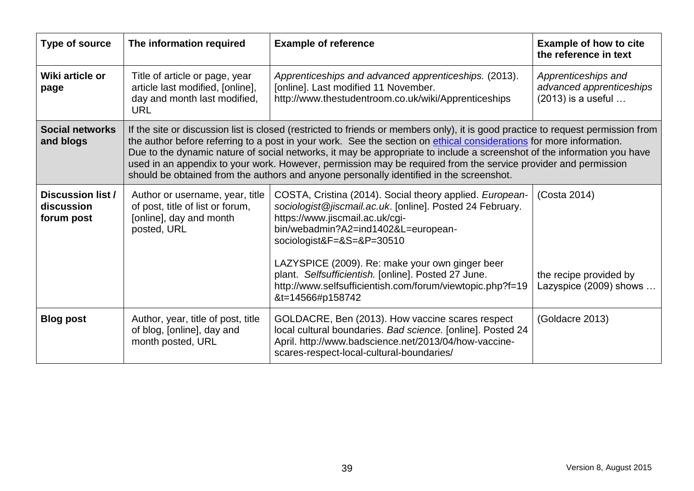| <b>Type of source</b>                                | The information required                                                                                                                                                                                                                                                                                                                                                                                                                                                                                                                                                                        | <b>Example of reference</b>                                                                                                                                                                                                                                                                                                                                                                                             | <b>Example of how to cite</b><br>the reference in text                |
|------------------------------------------------------|-------------------------------------------------------------------------------------------------------------------------------------------------------------------------------------------------------------------------------------------------------------------------------------------------------------------------------------------------------------------------------------------------------------------------------------------------------------------------------------------------------------------------------------------------------------------------------------------------|-------------------------------------------------------------------------------------------------------------------------------------------------------------------------------------------------------------------------------------------------------------------------------------------------------------------------------------------------------------------------------------------------------------------------|-----------------------------------------------------------------------|
| Wiki article or<br>page                              | Title of article or page, year<br>article last modified, [online],<br>day and month last modified,<br><b>URL</b>                                                                                                                                                                                                                                                                                                                                                                                                                                                                                | Apprenticeships and advanced apprenticeships. (2013).<br>[online]. Last modified 11 November.<br>http://www.thestudentroom.co.uk/wiki/Apprenticeships                                                                                                                                                                                                                                                                   | Apprenticeships and<br>advanced apprenticeships<br>(2013) is a useful |
| <b>Social networks</b><br>and blogs                  | If the site or discussion list is closed (restricted to friends or members only), it is good practice to request permission from<br>the author before referring to a post in your work. See the section on ethical considerations for more information.<br>Due to the dynamic nature of social networks, it may be appropriate to include a screenshot of the information you have<br>used in an appendix to your work. However, permission may be required from the service provider and permission<br>should be obtained from the authors and anyone personally identified in the screenshot. |                                                                                                                                                                                                                                                                                                                                                                                                                         |                                                                       |
| <b>Discussion list /</b><br>discussion<br>forum post | Author or username, year, title<br>of post, title of list or forum,<br>[online], day and month<br>posted, URL                                                                                                                                                                                                                                                                                                                                                                                                                                                                                   | COSTA, Cristina (2014). Social theory applied. European-<br>sociologist@jiscmail.ac.uk. [online]. Posted 24 February.<br>https://www.jiscmail.ac.uk/cgi-<br>bin/webadmin?A2=ind1402&L=european-<br>sociologist&F=&S=&P=30510<br>LAZYSPICE (2009). Re: make your own ginger beer<br>plant. Selfsufficientish. [online]. Posted 27 June.<br>http://www.selfsufficientish.com/forum/viewtopic.php?f=19<br>&t=14566#p158742 | (Costa 2014)<br>the recipe provided by<br>Lazyspice (2009) shows      |
| <b>Blog post</b>                                     | Author, year, title of post, title<br>of blog, [online], day and<br>month posted, URL                                                                                                                                                                                                                                                                                                                                                                                                                                                                                                           | GOLDACRE, Ben (2013). How vaccine scares respect<br>local cultural boundaries. Bad science. [online]. Posted 24<br>April. http://www.badscience.net/2013/04/how-vaccine-<br>scares-respect-local-cultural-boundaries/                                                                                                                                                                                                   | (Goldacre 2013)                                                       |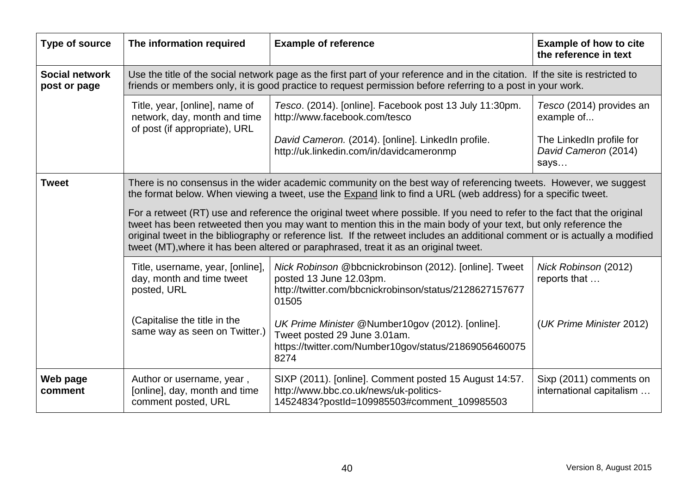| Type of source                        | The information required                                                                                                                                                                                                                                                                                                                                                                                                                                                | <b>Example of reference</b>                                                                                                                                                                                                                   | <b>Example of how to cite</b><br>the reference in text                                     |
|---------------------------------------|-------------------------------------------------------------------------------------------------------------------------------------------------------------------------------------------------------------------------------------------------------------------------------------------------------------------------------------------------------------------------------------------------------------------------------------------------------------------------|-----------------------------------------------------------------------------------------------------------------------------------------------------------------------------------------------------------------------------------------------|--------------------------------------------------------------------------------------------|
| <b>Social network</b><br>post or page |                                                                                                                                                                                                                                                                                                                                                                                                                                                                         | Use the title of the social network page as the first part of your reference and in the citation. If the site is restricted to<br>friends or members only, it is good practice to request permission before referring to a post in your work. |                                                                                            |
|                                       | Title, year, [online], name of<br>network, day, month and time<br>of post (if appropriate), URL                                                                                                                                                                                                                                                                                                                                                                         | Tesco. (2014). [online]. Facebook post 13 July 11:30pm.<br>http://www.facebook.com/tesco<br>David Cameron. (2014). [online]. LinkedIn profile.<br>http://uk.linkedin.com/in/davidcameronmp                                                    | Tesco (2014) provides an<br>example of<br>The LinkedIn profile for<br>David Cameron (2014) |
|                                       |                                                                                                                                                                                                                                                                                                                                                                                                                                                                         |                                                                                                                                                                                                                                               | says                                                                                       |
| <b>Tweet</b>                          | There is no consensus in the wider academic community on the best way of referencing tweets. However, we suggest<br>the format below. When viewing a tweet, use the Expand link to find a URL (web address) for a specific tweet.                                                                                                                                                                                                                                       |                                                                                                                                                                                                                                               |                                                                                            |
|                                       | For a retweet (RT) use and reference the original tweet where possible. If you need to refer to the fact that the original<br>tweet has been retweeted then you may want to mention this in the main body of your text, but only reference the<br>original tweet in the bibliography or reference list. If the retweet includes an additional comment or is actually a modified<br>tweet (MT), where it has been altered or paraphrased, treat it as an original tweet. |                                                                                                                                                                                                                                               |                                                                                            |
|                                       | Title, username, year, [online],<br>day, month and time tweet<br>posted, URL                                                                                                                                                                                                                                                                                                                                                                                            | Nick Robinson @bbcnickrobinson (2012). [online]. Tweet<br>posted 13 June 12.03pm.<br>http://twitter.com/bbcnickrobinson/status/2128627157677<br>01505                                                                                         | Nick Robinson (2012)<br>reports that                                                       |
|                                       | (Capitalise the title in the<br>same way as seen on Twitter.)                                                                                                                                                                                                                                                                                                                                                                                                           | UK Prime Minister @Number10gov (2012). [online].<br>Tweet posted 29 June 3.01am.<br>https://twitter.com/Number10gov/status/21869056460075<br>8274                                                                                             | (UK Prime Minister 2012)                                                                   |
| Web page<br>comment                   | Author or username, year,<br>[online], day, month and time<br>comment posted, URL                                                                                                                                                                                                                                                                                                                                                                                       | SIXP (2011). [online]. Comment posted 15 August 14:57.<br>http://www.bbc.co.uk/news/uk-politics-<br>14524834?postId=109985503#comment_109985503                                                                                               | Sixp (2011) comments on<br>international capitalism                                        |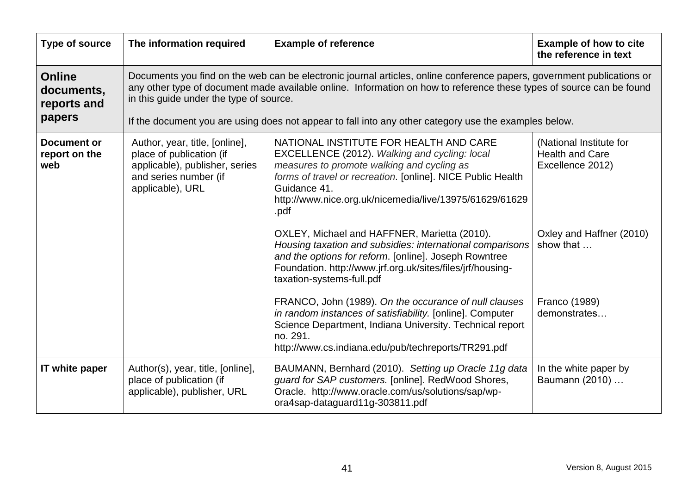| Type of source                                       | The information required                                                                                                                                                                                                                                                                                                                                                                           | <b>Example of reference</b>                                                                                                                                                                                                                                                             | <b>Example of how to cite</b><br>the reference in text                |
|------------------------------------------------------|----------------------------------------------------------------------------------------------------------------------------------------------------------------------------------------------------------------------------------------------------------------------------------------------------------------------------------------------------------------------------------------------------|-----------------------------------------------------------------------------------------------------------------------------------------------------------------------------------------------------------------------------------------------------------------------------------------|-----------------------------------------------------------------------|
| <b>Online</b><br>documents,<br>reports and<br>papers | Documents you find on the web can be electronic journal articles, online conference papers, government publications or<br>any other type of document made available online. Information on how to reference these types of source can be found<br>in this guide under the type of source.<br>If the document you are using does not appear to fall into any other category use the examples below. |                                                                                                                                                                                                                                                                                         |                                                                       |
| <b>Document or</b><br>report on the<br>web           | Author, year, title, [online],<br>place of publication (if<br>applicable), publisher, series<br>and series number (if<br>applicable), URL                                                                                                                                                                                                                                                          | NATIONAL INSTITUTE FOR HEALTH AND CARE<br>EXCELLENCE (2012). Walking and cycling: local<br>measures to promote walking and cycling as<br>forms of travel or recreation. [online]. NICE Public Health<br>Guidance 41.<br>http://www.nice.org.uk/nicemedia/live/13975/61629/61629<br>.pdf | (National Institute for<br><b>Health and Care</b><br>Excellence 2012) |
|                                                      |                                                                                                                                                                                                                                                                                                                                                                                                    | OXLEY, Michael and HAFFNER, Marietta (2010).<br>Housing taxation and subsidies: international comparisons<br>and the options for reform. [online]. Joseph Rowntree<br>Foundation. http://www.jrf.org.uk/sites/files/jrf/housing-<br>taxation-systems-full.pdf                           | Oxley and Haffner (2010)<br>show that                                 |
|                                                      |                                                                                                                                                                                                                                                                                                                                                                                                    | FRANCO, John (1989). On the occurance of null clauses<br>in random instances of satisfiability. [online]. Computer<br>Science Department, Indiana University. Technical report<br>no. 291.<br>http://www.cs.indiana.edu/pub/techreports/TR291.pdf                                       | Franco (1989)<br>demonstrates                                         |
| IT white paper                                       | Author(s), year, title, [online],<br>place of publication (if<br>applicable), publisher, URL                                                                                                                                                                                                                                                                                                       | BAUMANN, Bernhard (2010). Setting up Oracle 11g data<br>guard for SAP customers. [online]. RedWood Shores,<br>Oracle. http://www.oracle.com/us/solutions/sap/wp-<br>ora4sap-dataguard11g-303811.pdf                                                                                     | In the white paper by<br>Baumann (2010)                               |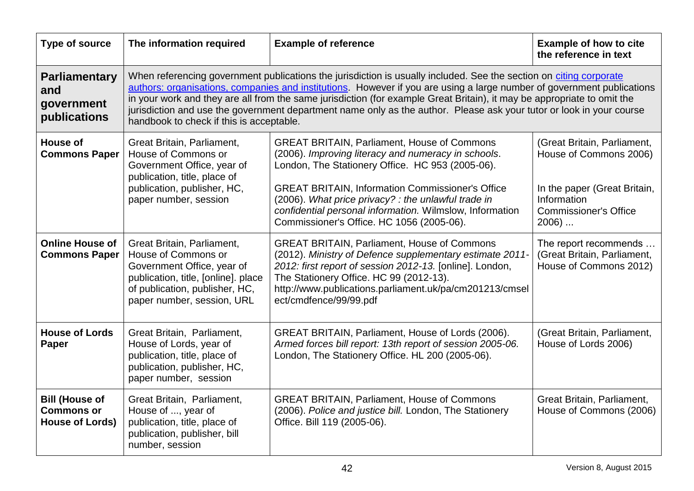| Type of source                                                       | The information required                                                                                                                                                                                                                                                                                                                                                                                                                                                                                                                    | <b>Example of reference</b>                                                                                                                                                                                                                                                                                                                                                              | <b>Example of how to cite</b><br>the reference in text                                                                                          |
|----------------------------------------------------------------------|---------------------------------------------------------------------------------------------------------------------------------------------------------------------------------------------------------------------------------------------------------------------------------------------------------------------------------------------------------------------------------------------------------------------------------------------------------------------------------------------------------------------------------------------|------------------------------------------------------------------------------------------------------------------------------------------------------------------------------------------------------------------------------------------------------------------------------------------------------------------------------------------------------------------------------------------|-------------------------------------------------------------------------------------------------------------------------------------------------|
| <b>Parliamentary</b><br>and<br>government<br>publications            | When referencing government publications the jurisdiction is usually included. See the section on citing corporate<br>authors: organisations, companies and institutions. However if you are using a large number of government publications<br>in your work and they are all from the same jurisdiction (for example Great Britain), it may be appropriate to omit the<br>jurisdiction and use the government department name only as the author. Please ask your tutor or look in your course<br>handbook to check if this is acceptable. |                                                                                                                                                                                                                                                                                                                                                                                          |                                                                                                                                                 |
| House of<br><b>Commons Paper</b>                                     | Great Britain, Parliament,<br>House of Commons or<br>Government Office, year of<br>publication, title, place of<br>publication, publisher, HC,<br>paper number, session                                                                                                                                                                                                                                                                                                                                                                     | <b>GREAT BRITAIN, Parliament, House of Commons</b><br>(2006). Improving literacy and numeracy in schools.<br>London, The Stationery Office. HC 953 (2005-06).<br><b>GREAT BRITAIN, Information Commissioner's Office</b><br>(2006). What price privacy? : the unlawful trade in<br>confidential personal information. Wilmslow, Information<br>Commissioner's Office. HC 1056 (2005-06). | (Great Britain, Parliament,<br>House of Commons 2006)<br>In the paper (Great Britain,<br>Information<br><b>Commissioner's Office</b><br>$2006)$ |
| <b>Online House of</b><br><b>Commons Paper</b>                       | Great Britain, Parliament,<br>House of Commons or<br>Government Office, year of<br>publication, title, [online]. place<br>of publication, publisher, HC,<br>paper number, session, URL                                                                                                                                                                                                                                                                                                                                                      | <b>GREAT BRITAIN, Parliament, House of Commons</b><br>(2012). Ministry of Defence supplementary estimate 2011-<br>2012: first report of session 2012-13. [online]. London,<br>The Stationery Office. HC 99 (2012-13).<br>http://www.publications.parliament.uk/pa/cm201213/cmsel<br>ect/cmdfence/99/99.pdf                                                                               | The report recommends<br>(Great Britain, Parliament,<br>House of Commons 2012)                                                                  |
| <b>House of Lords</b><br>Paper                                       | Great Britain, Parliament,<br>House of Lords, year of<br>publication, title, place of<br>publication, publisher, HC,<br>paper number, session                                                                                                                                                                                                                                                                                                                                                                                               | GREAT BRITAIN, Parliament, House of Lords (2006).<br>Armed forces bill report: 13th report of session 2005-06.<br>London, The Stationery Office. HL 200 (2005-06).                                                                                                                                                                                                                       | (Great Britain, Parliament,<br>House of Lords 2006)                                                                                             |
| <b>Bill (House of</b><br><b>Commons or</b><br><b>House of Lords)</b> | Great Britain, Parliament,<br>House of , year of<br>publication, title, place of<br>publication, publisher, bill<br>number, session                                                                                                                                                                                                                                                                                                                                                                                                         | <b>GREAT BRITAIN, Parliament, House of Commons</b><br>(2006). Police and justice bill. London, The Stationery<br>Office. Bill 119 (2005-06).                                                                                                                                                                                                                                             | Great Britain, Parliament,<br>House of Commons (2006)                                                                                           |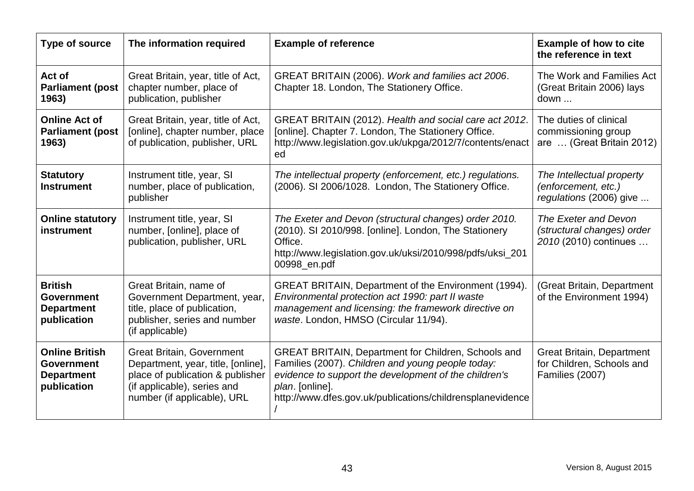| Type of source                                                                 | The information required                                                                                                                                                 | <b>Example of reference</b>                                                                                                                                                                                                                       | <b>Example of how to cite</b><br>the reference in text                           |
|--------------------------------------------------------------------------------|--------------------------------------------------------------------------------------------------------------------------------------------------------------------------|---------------------------------------------------------------------------------------------------------------------------------------------------------------------------------------------------------------------------------------------------|----------------------------------------------------------------------------------|
| Act of<br><b>Parliament (post</b><br>1963)                                     | Great Britain, year, title of Act,<br>chapter number, place of<br>publication, publisher                                                                                 | GREAT BRITAIN (2006). Work and families act 2006.<br>Chapter 18. London, The Stationery Office.                                                                                                                                                   | The Work and Families Act<br>(Great Britain 2006) lays<br>down                   |
| <b>Online Act of</b><br><b>Parliament (post</b><br>1963)                       | Great Britain, year, title of Act,<br>[online], chapter number, place<br>of publication, publisher, URL                                                                  | GREAT BRITAIN (2012). Health and social care act 2012.<br>[online]. Chapter 7. London, The Stationery Office.<br>http://www.legislation.gov.uk/ukpga/2012/7/contents/enact<br>ed                                                                  | The duties of clinical<br>commissioning group<br>are  (Great Britain 2012)       |
| <b>Statutory</b><br><b>Instrument</b>                                          | Instrument title, year, SI<br>number, place of publication,<br>publisher                                                                                                 | The intellectual property (enforcement, etc.) regulations.<br>(2006). SI 2006/1028. London, The Stationery Office.                                                                                                                                | The Intellectual property<br>(enforcement, etc.)<br>regulations (2006) give      |
| <b>Online statutory</b><br>instrument                                          | Instrument title, year, SI<br>number, [online], place of<br>publication, publisher, URL                                                                                  | The Exeter and Devon (structural changes) order 2010.<br>(2010). SI 2010/998. [online]. London, The Stationery<br>Office.<br>http://www.legislation.gov.uk/uksi/2010/998/pdfs/uksi_201<br>00998_en.pdf                                            | The Exeter and Devon<br>(structural changes) order<br>2010 (2010) continues      |
| <b>British</b><br><b>Government</b><br><b>Department</b><br>publication        | Great Britain, name of<br>Government Department, year,<br>title, place of publication,<br>publisher, series and number<br>(if applicable)                                | <b>GREAT BRITAIN, Department of the Environment (1994).</b><br>Environmental protection act 1990: part II waste<br>management and licensing: the framework directive on<br>waste. London, HMSO (Circular 11/94).                                  | (Great Britain, Department<br>of the Environment 1994)                           |
| <b>Online British</b><br><b>Government</b><br><b>Department</b><br>publication | <b>Great Britain, Government</b><br>Department, year, title, [online],<br>place of publication & publisher<br>(if applicable), series and<br>number (if applicable), URL | GREAT BRITAIN, Department for Children, Schools and<br>Families (2007). Children and young people today:<br>evidence to support the development of the children's<br>plan. [online].<br>http://www.dfes.gov.uk/publications/childrensplanevidence | <b>Great Britain, Department</b><br>for Children, Schools and<br>Families (2007) |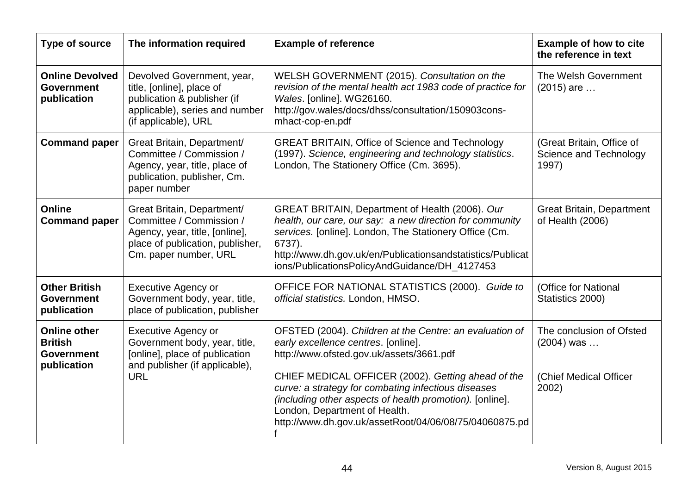| Type of source                                                            | The information required                                                                                                                              | <b>Example of reference</b>                                                                                                                                                                                                                                                                                                                                                                                    | <b>Example of how to cite</b><br>the reference in text                      |
|---------------------------------------------------------------------------|-------------------------------------------------------------------------------------------------------------------------------------------------------|----------------------------------------------------------------------------------------------------------------------------------------------------------------------------------------------------------------------------------------------------------------------------------------------------------------------------------------------------------------------------------------------------------------|-----------------------------------------------------------------------------|
| <b>Online Devolved</b><br><b>Government</b><br>publication                | Devolved Government, year,<br>title, [online], place of<br>publication & publisher (if<br>applicable), series and number<br>(if applicable), URL      | WELSH GOVERNMENT (2015). Consultation on the<br>revision of the mental health act 1983 code of practice for<br>Wales. [online]. WG26160.<br>http://gov.wales/docs/dhss/consultation/150903cons-<br>mhact-cop-en.pdf                                                                                                                                                                                            | The Welsh Government<br>$(2015)$ are                                        |
| <b>Command paper</b>                                                      | Great Britain, Department/<br>Committee / Commission /<br>Agency, year, title, place of<br>publication, publisher, Cm.<br>paper number                | <b>GREAT BRITAIN, Office of Science and Technology</b><br>(1997). Science, engineering and technology statistics.<br>London, The Stationery Office (Cm. 3695).                                                                                                                                                                                                                                                 | (Great Britain, Office of<br>Science and Technology<br>1997)                |
| <b>Online</b><br><b>Command paper</b>                                     | Great Britain, Department/<br>Committee / Commission /<br>Agency, year, title, [online],<br>place of publication, publisher,<br>Cm. paper number, URL | GREAT BRITAIN, Department of Health (2006). Our<br>health, our care, our say: a new direction for community<br>services. [online]. London, The Stationery Office (Cm.<br>6737).<br>http://www.dh.gov.uk/en/Publicationsandstatistics/Publicat<br>ions/PublicationsPolicyAndGuidance/DH_4127453                                                                                                                 | <b>Great Britain, Department</b><br>of Health (2006)                        |
| <b>Other British</b><br><b>Government</b><br>publication                  | <b>Executive Agency or</b><br>Government body, year, title,<br>place of publication, publisher                                                        | OFFICE FOR NATIONAL STATISTICS (2000). Guide to<br>official statistics. London, HMSO.                                                                                                                                                                                                                                                                                                                          | (Office for National<br>Statistics 2000)                                    |
| <b>Online other</b><br><b>British</b><br><b>Government</b><br>publication | <b>Executive Agency or</b><br>Government body, year, title,<br>[online], place of publication<br>and publisher (if applicable),<br><b>URL</b>         | OFSTED (2004). Children at the Centre: an evaluation of<br>early excellence centres. [online].<br>http://www.ofsted.gov.uk/assets/3661.pdf<br>CHIEF MEDICAL OFFICER (2002). Getting ahead of the<br>curve: a strategy for combating infectious diseases<br>(including other aspects of health promotion). [online].<br>London, Department of Health.<br>http://www.dh.gov.uk/assetRoot/04/06/08/75/04060875.pd | The conclusion of Ofsted<br>$(2004)$ was<br>(Chief Medical Officer<br>2002) |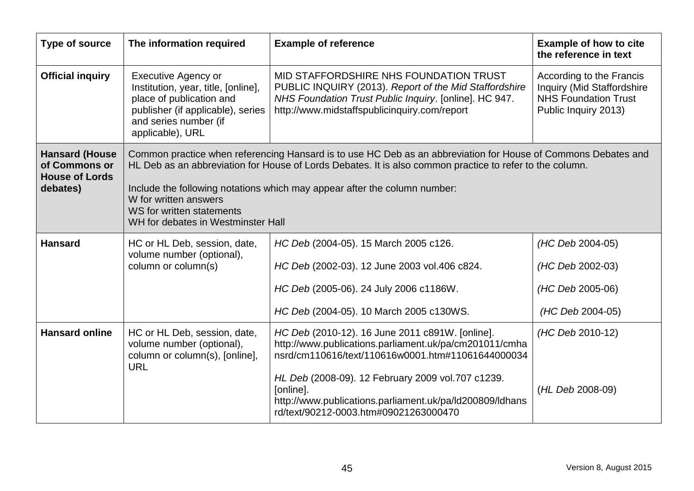| Type of source                                                              | The information required                                                                                                                                                                                                                                                                                                                                                                           | <b>Example of reference</b>                                                                                                                                                                                                                                                                                                           | <b>Example of how to cite</b><br>the reference in text                                                               |
|-----------------------------------------------------------------------------|----------------------------------------------------------------------------------------------------------------------------------------------------------------------------------------------------------------------------------------------------------------------------------------------------------------------------------------------------------------------------------------------------|---------------------------------------------------------------------------------------------------------------------------------------------------------------------------------------------------------------------------------------------------------------------------------------------------------------------------------------|----------------------------------------------------------------------------------------------------------------------|
| <b>Official inquiry</b>                                                     | <b>Executive Agency or</b><br>Institution, year, title, [online],<br>place of publication and<br>publisher (if applicable), series<br>and series number (if<br>applicable), URL                                                                                                                                                                                                                    | MID STAFFORDSHIRE NHS FOUNDATION TRUST<br>PUBLIC INQUIRY (2013). Report of the Mid Staffordshire<br>NHS Foundation Trust Public Inquiry. [online]. HC 947.<br>http://www.midstaffspublicinquiry.com/report                                                                                                                            | According to the Francis<br><b>Inquiry (Mid Staffordshire</b><br><b>NHS Foundation Trust</b><br>Public Inquiry 2013) |
| <b>Hansard (House</b><br>of Commons or<br><b>House of Lords</b><br>debates) | Common practice when referencing Hansard is to use HC Deb as an abbreviation for House of Commons Debates and<br>HL Deb as an abbreviation for House of Lords Debates. It is also common practice to refer to the column.<br>Include the following notations which may appear after the column number:<br>W for written answers<br>WS for written statements<br>WH for debates in Westminster Hall |                                                                                                                                                                                                                                                                                                                                       |                                                                                                                      |
| <b>Hansard</b>                                                              | HC or HL Deb, session, date,<br>volume number (optional),<br>column or column(s)                                                                                                                                                                                                                                                                                                                   | HC Deb (2004-05). 15 March 2005 c126.<br>HC Deb (2002-03). 12 June 2003 vol.406 c824.<br>HC Deb (2005-06). 24 July 2006 c1186W.<br>HC Deb (2004-05). 10 March 2005 c130WS.                                                                                                                                                            | (HC Deb 2004-05)<br>(HC Deb 2002-03)<br>(HC Deb 2005-06)<br>(HC Deb 2004-05)                                         |
| <b>Hansard online</b>                                                       | HC or HL Deb, session, date,<br>volume number (optional),<br>column or column(s), [online],<br><b>URL</b>                                                                                                                                                                                                                                                                                          | HC Deb (2010-12). 16 June 2011 c891W. [online].<br>http://www.publications.parliament.uk/pa/cm201011/cmha<br>nsrd/cm110616/text/110616w0001.htm#11061644000034<br>HL Deb (2008-09). 12 February 2009 vol.707 c1239.<br>[online].<br>http://www.publications.parliament.uk/pa/ld200809/ldhans<br>rd/text/90212-0003.htm#09021263000470 | (HC Deb 2010-12)<br>(HL Deb 2008-09)                                                                                 |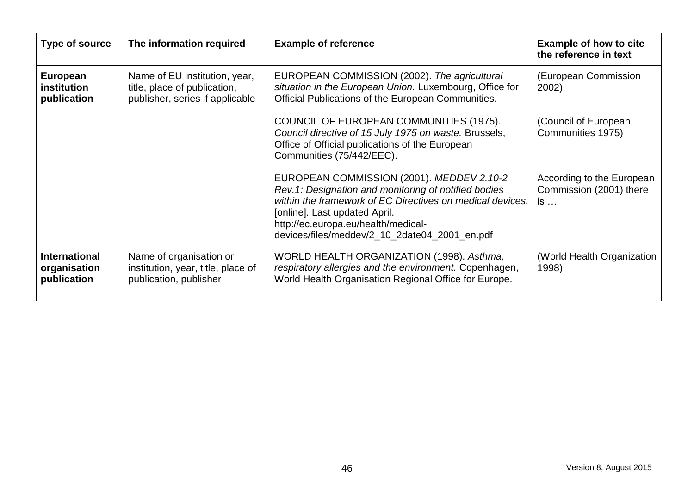| Type of source                                      | The information required                                                                         | <b>Example of reference</b>                                                                                                                                                                                                                                                             | <b>Example of how to cite</b><br>the reference in text     |
|-----------------------------------------------------|--------------------------------------------------------------------------------------------------|-----------------------------------------------------------------------------------------------------------------------------------------------------------------------------------------------------------------------------------------------------------------------------------------|------------------------------------------------------------|
| European<br><b>institution</b><br>publication       | Name of EU institution, year,<br>title, place of publication,<br>publisher, series if applicable | EUROPEAN COMMISSION (2002). The agricultural<br>situation in the European Union. Luxembourg, Office for<br>Official Publications of the European Communities.                                                                                                                           | (European Commission<br>2002)                              |
|                                                     |                                                                                                  | COUNCIL OF EUROPEAN COMMUNITIES (1975).<br>Council directive of 15 July 1975 on waste. Brussels,<br>Office of Official publications of the European<br>Communities (75/442/EEC).                                                                                                        | (Council of European<br>Communities 1975)                  |
|                                                     |                                                                                                  | EUROPEAN COMMISSION (2001). MEDDEV 2.10-2<br>Rev.1: Designation and monitoring of notified bodies<br>within the framework of EC Directives on medical devices.<br>[online]. Last updated April.<br>http://ec.europa.eu/health/medical-<br>devices/files/meddev/2_10_2date04_2001_en.pdf | According to the European<br>Commission (2001) there<br>is |
| <b>International</b><br>organisation<br>publication | Name of organisation or<br>institution, year, title, place of<br>publication, publisher          | WORLD HEALTH ORGANIZATION (1998). Asthma,<br>respiratory allergies and the environment. Copenhagen,<br>World Health Organisation Regional Office for Europe.                                                                                                                            | (World Health Organization<br>1998)                        |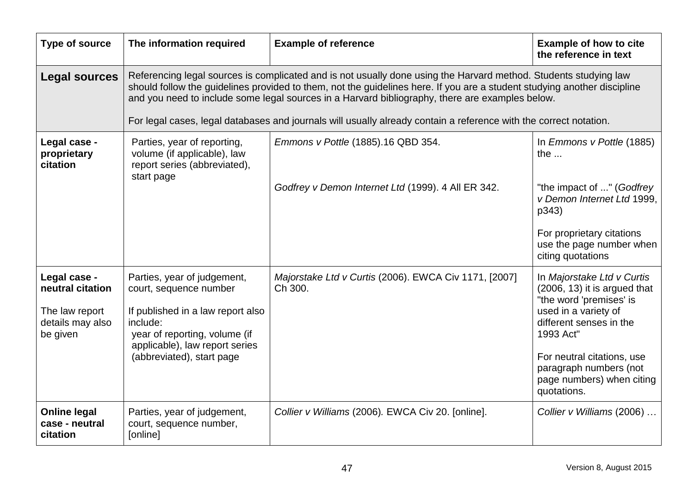| Type of source                                                                     | The information required                                                                                                                                                                                                                                                                                                                                                                                                                                             | <b>Example of reference</b>                                                              | <b>Example of how to cite</b><br>the reference in text                                                                                                                                                                                                      |
|------------------------------------------------------------------------------------|----------------------------------------------------------------------------------------------------------------------------------------------------------------------------------------------------------------------------------------------------------------------------------------------------------------------------------------------------------------------------------------------------------------------------------------------------------------------|------------------------------------------------------------------------------------------|-------------------------------------------------------------------------------------------------------------------------------------------------------------------------------------------------------------------------------------------------------------|
| <b>Legal sources</b>                                                               | Referencing legal sources is complicated and is not usually done using the Harvard method. Students studying law<br>should follow the guidelines provided to them, not the guidelines here. If you are a student studying another discipline<br>and you need to include some legal sources in a Harvard bibliography, there are examples below.<br>For legal cases, legal databases and journals will usually already contain a reference with the correct notation. |                                                                                          |                                                                                                                                                                                                                                                             |
| Legal case -<br>proprietary<br>citation                                            | Parties, year of reporting,<br>volume (if applicable), law<br>report series (abbreviated),<br>start page                                                                                                                                                                                                                                                                                                                                                             | Emmons v Pottle (1885).16 QBD 354.<br>Godfrey v Demon Internet Ltd (1999). 4 All ER 342. | In Emmons v Pottle (1885)<br>the $\ldots$<br>"the impact of " (Godfrey<br>v Demon Internet Ltd 1999.<br>p343)<br>For proprietary citations<br>use the page number when<br>citing quotations                                                                 |
| Legal case -<br>neutral citation<br>The law report<br>details may also<br>be given | Parties, year of judgement,<br>court, sequence number<br>If published in a law report also<br>include:<br>year of reporting, volume (if<br>applicable), law report series<br>(abbreviated), start page                                                                                                                                                                                                                                                               | Majorstake Ltd v Curtis (2006). EWCA Civ 1171, [2007]<br>Ch 300.                         | In Majorstake Ltd v Curtis<br>$(2006, 13)$ it is argued that<br>"the word 'premises' is<br>used in a variety of<br>different senses in the<br>1993 Act"<br>For neutral citations, use<br>paragraph numbers (not<br>page numbers) when citing<br>quotations. |
| <b>Online legal</b><br>case - neutral<br>citation                                  | Parties, year of judgement,<br>court, sequence number,<br>[online]                                                                                                                                                                                                                                                                                                                                                                                                   | Collier v Williams (2006). EWCA Civ 20. [online].                                        | Collier v Williams (2006)                                                                                                                                                                                                                                   |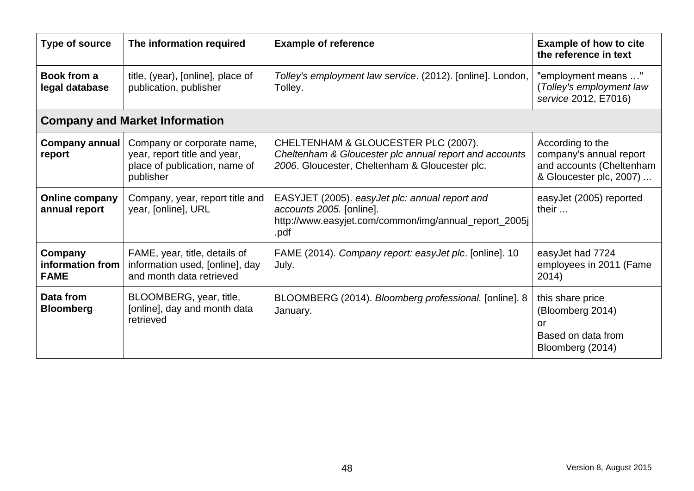| Type of source                             | The information required                                                                                 | <b>Example of reference</b>                                                                                                                     | <b>Example of how to cite</b><br>the reference in text                                             |
|--------------------------------------------|----------------------------------------------------------------------------------------------------------|-------------------------------------------------------------------------------------------------------------------------------------------------|----------------------------------------------------------------------------------------------------|
| Book from a<br>legal database              | title, (year), [online], place of<br>publication, publisher                                              | Tolley's employment law service. (2012). [online]. London,<br>Tolley.                                                                           | "employment means "<br>(Tolley's employment law<br>service 2012, E7016)                            |
|                                            | <b>Company and Market Information</b>                                                                    |                                                                                                                                                 |                                                                                                    |
| <b>Company annual</b><br>report            | Company or corporate name,<br>year, report title and year,<br>place of publication, name of<br>publisher | CHELTENHAM & GLOUCESTER PLC (2007).<br>Cheltenham & Gloucester plc annual report and accounts<br>2006. Gloucester, Cheltenham & Gloucester plc. | According to the<br>company's annual report<br>and accounts (Cheltenham<br>& Gloucester plc, 2007) |
| <b>Online company</b><br>annual report     | Company, year, report title and<br>year, [online], URL                                                   | EASYJET (2005). easyJet plc: annual report and<br>accounts 2005. [online].<br>http://www.easyjet.com/common/img/annual_report_2005j<br>.pdf     | easyJet (2005) reported<br>their                                                                   |
| Company<br>information from<br><b>FAME</b> | FAME, year, title, details of<br>information used, [online], day<br>and month data retrieved             | FAME (2014). Company report: easyJet plc. [online]. 10<br>July.                                                                                 | easyJet had 7724<br>employees in 2011 (Fame<br>2014)                                               |
| Data from<br><b>Bloomberg</b>              | BLOOMBERG, year, title,<br>[online], day and month data<br>retrieved                                     | BLOOMBERG (2014). Bloomberg professional. [online]. 8<br>January.                                                                               | this share price<br>(Bloomberg 2014)<br>or<br>Based on data from<br>Bloomberg (2014)               |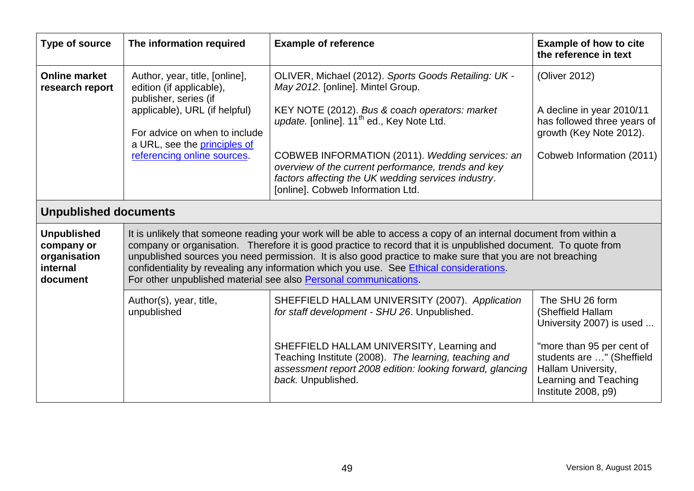| Type of source                                                           | The information required                                                                                                                                                                                                                                                                                                                                                                                                                                                                                         | <b>Example of reference</b>                                                                                                                                                                                                                                                                                                                                                                                | <b>Example of how to cite</b><br>the reference in text                                                                            |
|--------------------------------------------------------------------------|------------------------------------------------------------------------------------------------------------------------------------------------------------------------------------------------------------------------------------------------------------------------------------------------------------------------------------------------------------------------------------------------------------------------------------------------------------------------------------------------------------------|------------------------------------------------------------------------------------------------------------------------------------------------------------------------------------------------------------------------------------------------------------------------------------------------------------------------------------------------------------------------------------------------------------|-----------------------------------------------------------------------------------------------------------------------------------|
| <b>Online market</b><br>research report                                  | Author, year, title, [online],<br>edition (if applicable),<br>publisher, series (if<br>applicable), URL (if helpful)<br>For advice on when to include<br>a URL, see the principles of<br>referencing online sources.                                                                                                                                                                                                                                                                                             | OLIVER, Michael (2012). Sports Goods Retailing: UK -<br>May 2012. [online]. Mintel Group.<br>KEY NOTE (2012). Bus & coach operators: market<br>update. [online]. 11 <sup>th</sup> ed., Key Note Ltd.<br>COBWEB INFORMATION (2011). Wedding services: an<br>overview of the current performance, trends and key<br>factors affecting the UK wedding services industry.<br>[online]. Cobweb Information Ltd. | (Oliver 2012)<br>A decline in year 2010/11<br>has followed three years of<br>growth (Key Note 2012).<br>Cobweb Information (2011) |
| <b>Unpublished documents</b>                                             |                                                                                                                                                                                                                                                                                                                                                                                                                                                                                                                  |                                                                                                                                                                                                                                                                                                                                                                                                            |                                                                                                                                   |
| <b>Unpublished</b><br>company or<br>organisation<br>internal<br>document | It is unlikely that someone reading your work will be able to access a copy of an internal document from within a<br>company or organisation. Therefore it is good practice to record that it is unpublished document. To quote from<br>unpublished sources you need permission. It is also good practice to make sure that you are not breaching<br>confidentiality by revealing any information which you use. See Ethical considerations.<br>For other unpublished material see also Personal communications. |                                                                                                                                                                                                                                                                                                                                                                                                            |                                                                                                                                   |
|                                                                          | Author(s), year, title,<br>unpublished                                                                                                                                                                                                                                                                                                                                                                                                                                                                           | SHEFFIELD HALLAM UNIVERSITY (2007). Application<br>for staff development - SHU 26. Unpublished.                                                                                                                                                                                                                                                                                                            | The SHU 26 form<br>(Sheffield Hallam<br>University 2007) is used                                                                  |
|                                                                          |                                                                                                                                                                                                                                                                                                                                                                                                                                                                                                                  | SHEFFIELD HALLAM UNIVERSITY, Learning and<br>Teaching Institute (2008). The learning, teaching and<br>assessment report 2008 edition: looking forward, glancing<br>back. Unpublished.                                                                                                                                                                                                                      | "more than 95 per cent of<br>students are " (Sheffield<br>Hallam University,<br>Learning and Teaching<br>Institute 2008, p9)      |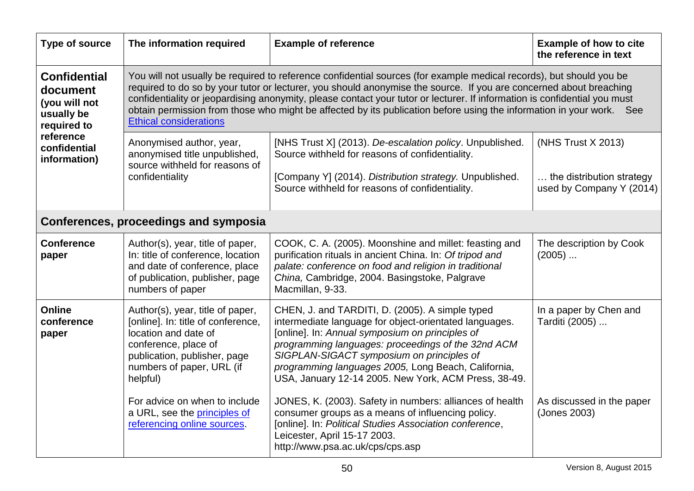| <b>Type of source</b>                                                         | The information required                                                                                                                                                                                                                                                                                                                                                                                                                                                                                                        | <b>Example of reference</b>                                                                                                                                                                                                                                                                                                                                                    | <b>Example of how to cite</b><br>the reference in text                      |
|-------------------------------------------------------------------------------|---------------------------------------------------------------------------------------------------------------------------------------------------------------------------------------------------------------------------------------------------------------------------------------------------------------------------------------------------------------------------------------------------------------------------------------------------------------------------------------------------------------------------------|--------------------------------------------------------------------------------------------------------------------------------------------------------------------------------------------------------------------------------------------------------------------------------------------------------------------------------------------------------------------------------|-----------------------------------------------------------------------------|
| <b>Confidential</b><br>document<br>(you will not<br>usually be<br>required to | You will not usually be required to reference confidential sources (for example medical records), but should you be<br>required to do so by your tutor or lecturer, you should anonymise the source. If you are concerned about breaching<br>confidentiality or jeopardising anonymity, please contact your tutor or lecturer. If information is confidential you must<br>obtain permission from those who might be affected by its publication before using the information in your work. See<br><b>Ethical considerations</b> |                                                                                                                                                                                                                                                                                                                                                                                |                                                                             |
| reference<br>confidential<br>information)                                     | Anonymised author, year,<br>anonymised title unpublished,<br>source withheld for reasons of<br>confidentiality                                                                                                                                                                                                                                                                                                                                                                                                                  | [NHS Trust X] (2013). De-escalation policy. Unpublished.<br>Source withheld for reasons of confidentiality.<br>[Company Y] (2014). Distribution strategy. Unpublished.<br>Source withheld for reasons of confidentiality.                                                                                                                                                      | (NHS Trust X 2013)<br>the distribution strategy<br>used by Company Y (2014) |
|                                                                               | Conferences, proceedings and symposia                                                                                                                                                                                                                                                                                                                                                                                                                                                                                           |                                                                                                                                                                                                                                                                                                                                                                                |                                                                             |
| <b>Conference</b><br>paper                                                    | Author(s), year, title of paper,<br>In: title of conference, location<br>and date of conference, place<br>of publication, publisher, page<br>numbers of paper                                                                                                                                                                                                                                                                                                                                                                   | COOK, C. A. (2005). Moonshine and millet: feasting and<br>purification rituals in ancient China. In: Of tripod and<br>palate: conference on food and religion in traditional<br>China, Cambridge, 2004. Basingstoke, Palgrave<br>Macmillan, 9-33.                                                                                                                              | The description by Cook<br>$(2005)$                                         |
| <b>Online</b><br>conference<br>paper                                          | Author(s), year, title of paper,<br>[online]. In: title of conference,<br>location and date of<br>conference, place of<br>publication, publisher, page<br>numbers of paper, URL (if<br>helpful)                                                                                                                                                                                                                                                                                                                                 | CHEN, J. and TARDITI, D. (2005). A simple typed<br>intermediate language for object-orientated languages.<br>[online]. In: Annual symposium on principles of<br>programming languages: proceedings of the 32nd ACM<br>SIGPLAN-SIGACT symposium on principles of<br>programming languages 2005, Long Beach, California,<br>USA, January 12-14 2005. New York, ACM Press, 38-49. | In a paper by Chen and<br>Tarditi (2005)                                    |
|                                                                               | For advice on when to include<br>a URL, see the principles of<br>referencing online sources.                                                                                                                                                                                                                                                                                                                                                                                                                                    | JONES, K. (2003). Safety in numbers: alliances of health<br>consumer groups as a means of influencing policy.<br>[online]. In: Political Studies Association conference,<br>Leicester, April 15-17 2003.<br>http://www.psa.ac.uk/cps/cps.asp                                                                                                                                   | As discussed in the paper<br>(Jones 2003)                                   |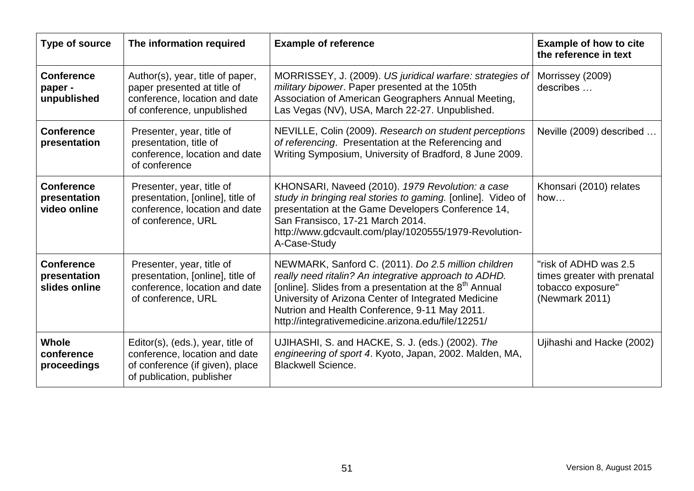| <b>Type of source</b>                              | The information required                                                                                                           | <b>Example of reference</b>                                                                                                                                                                                                                                                                                                                      | <b>Example of how to cite</b><br>the reference in text                                      |
|----------------------------------------------------|------------------------------------------------------------------------------------------------------------------------------------|--------------------------------------------------------------------------------------------------------------------------------------------------------------------------------------------------------------------------------------------------------------------------------------------------------------------------------------------------|---------------------------------------------------------------------------------------------|
| <b>Conference</b><br>paper -<br>unpublished        | Author(s), year, title of paper,<br>paper presented at title of<br>conference, location and date<br>of conference, unpublished     | MORRISSEY, J. (2009). US juridical warfare: strategies of<br>military bipower. Paper presented at the 105th<br>Association of American Geographers Annual Meeting,<br>Las Vegas (NV), USA, March 22-27. Unpublished.                                                                                                                             | Morrissey (2009)<br>describes                                                               |
| <b>Conference</b><br>presentation                  | Presenter, year, title of<br>presentation, title of<br>conference, location and date<br>of conference                              | NEVILLE, Colin (2009). Research on student perceptions<br>of referencing. Presentation at the Referencing and<br>Writing Symposium, University of Bradford, 8 June 2009.                                                                                                                                                                         | Neville (2009) described                                                                    |
| <b>Conference</b><br>presentation<br>video online  | Presenter, year, title of<br>presentation, [online], title of<br>conference, location and date<br>of conference, URL               | KHONSARI, Naveed (2010). 1979 Revolution: a case<br>study in bringing real stories to gaming. [online]. Video of<br>presentation at the Game Developers Conference 14,<br>San Fransisco, 17-21 March 2014.<br>http://www.gdcvault.com/play/1020555/1979-Revolution-<br>A-Case-Study                                                              | Khonsari (2010) relates<br>how                                                              |
| <b>Conference</b><br>presentation<br>slides online | Presenter, year, title of<br>presentation, [online], title of<br>conference, location and date<br>of conference, URL               | NEWMARK, Sanford C. (2011). Do 2.5 million children<br>really need ritalin? An integrative approach to ADHD.<br>[online]. Slides from a presentation at the 8 <sup>th</sup> Annual<br>University of Arizona Center of Integrated Medicine<br>Nutrion and Health Conference, 9-11 May 2011.<br>http://integrativemedicine.arizona.edu/file/12251/ | "risk of ADHD was 2.5<br>times greater with prenatal<br>tobacco exposure"<br>(Newmark 2011) |
| <b>Whole</b><br>conference<br>proceedings          | Editor(s), (eds.), year, title of<br>conference, location and date<br>of conference (if given), place<br>of publication, publisher | UJIHASHI, S. and HACKE, S. J. (eds.) (2002). The<br>engineering of sport 4. Kyoto, Japan, 2002. Malden, MA,<br><b>Blackwell Science.</b>                                                                                                                                                                                                         | Ujihashi and Hacke (2002)                                                                   |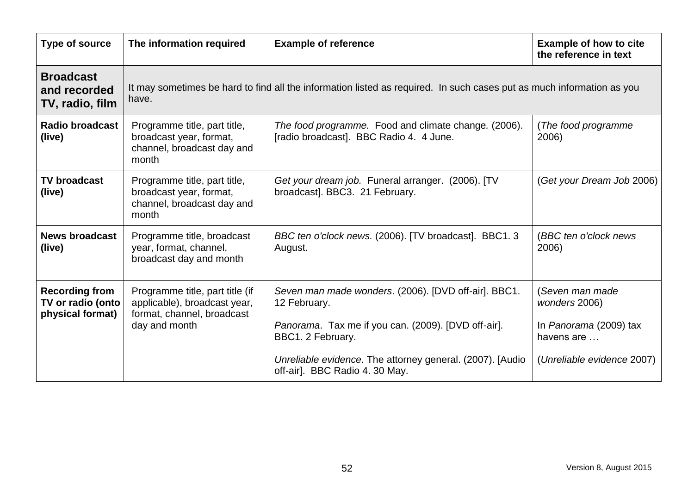| Type of source                                                 | The information required                                                                                                       | <b>Example of reference</b>                                                                                                                                                                                                                      | <b>Example of how to cite</b><br>the reference in text                                                 |  |
|----------------------------------------------------------------|--------------------------------------------------------------------------------------------------------------------------------|--------------------------------------------------------------------------------------------------------------------------------------------------------------------------------------------------------------------------------------------------|--------------------------------------------------------------------------------------------------------|--|
| <b>Broadcast</b><br>and recorded<br>TV, radio, film            | It may sometimes be hard to find all the information listed as required. In such cases put as much information as you<br>have. |                                                                                                                                                                                                                                                  |                                                                                                        |  |
| <b>Radio broadcast</b><br>(live)                               | Programme title, part title,<br>broadcast year, format,<br>channel, broadcast day and<br>month                                 | The food programme. Food and climate change. (2006).<br>[radio broadcast]. BBC Radio 4. 4 June.                                                                                                                                                  | (The food programme)<br>2006)                                                                          |  |
| <b>TV broadcast</b><br>(live)                                  | Programme title, part title,<br>broadcast year, format,<br>channel, broadcast day and<br>month                                 | Get your dream job. Funeral arranger. (2006). [TV<br>broadcast]. BBC3. 21 February.                                                                                                                                                              | (Get your Dream Job 2006)                                                                              |  |
| <b>News broadcast</b><br>(live)                                | Programme title, broadcast<br>year, format, channel,<br>broadcast day and month                                                | BBC ten o'clock news. (2006). [TV broadcast]. BBC1. 3<br>August.                                                                                                                                                                                 | (BBC ten o'clock news<br>2006)                                                                         |  |
| <b>Recording from</b><br>TV or radio (onto<br>physical format) | Programme title, part title (if<br>applicable), broadcast year,<br>format, channel, broadcast<br>day and month                 | Seven man made wonders. (2006). [DVD off-air]. BBC1.<br>12 February.<br>Panorama. Tax me if you can. (2009). [DVD off-air].<br>BBC1. 2 February.<br>Unreliable evidence. The attorney general. (2007). [Audio]<br>off-air]. BBC Radio 4. 30 May. | (Seven man made<br>wonders 2006)<br>In Panorama (2009) tax<br>havens are<br>(Unreliable evidence 2007) |  |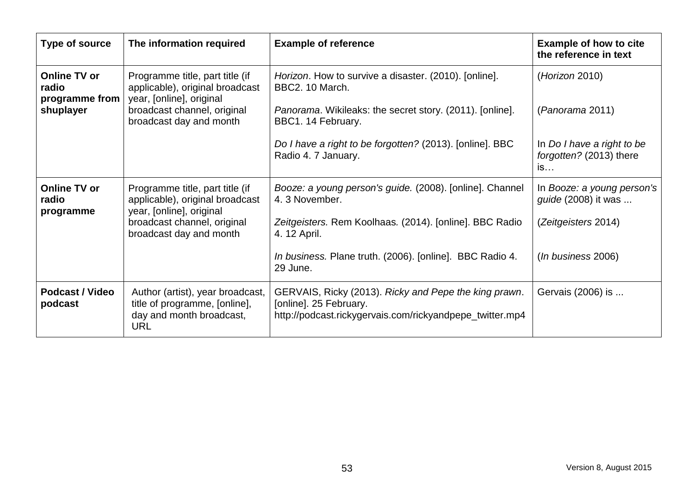| Type of source                                 | The information required                                                                                    | <b>Example of reference</b>                                                                                                                 | <b>Example of how to cite</b><br>the reference in text      |
|------------------------------------------------|-------------------------------------------------------------------------------------------------------------|---------------------------------------------------------------------------------------------------------------------------------------------|-------------------------------------------------------------|
| <b>Online TV or</b><br>radio<br>programme from | Programme title, part title (if<br>applicable), original broadcast<br>year, [online], original              | Horizon. How to survive a disaster. (2010). [online].<br>BBC2. 10 March.                                                                    | (Horizon 2010)                                              |
| shuplayer                                      | broadcast channel, original<br>broadcast day and month                                                      | Panorama. Wikileaks: the secret story. (2011). [online].<br>BBC1. 14 February.                                                              | (Panorama 2011)                                             |
|                                                |                                                                                                             | Do I have a right to be forgotten? (2013). [online]. BBC<br>Radio 4. 7 January.                                                             | In Do I have a right to be<br>forgotten? (2013) there<br>is |
| <b>Online TV or</b><br>radio<br>programme      | Programme title, part title (if<br>applicable), original broadcast<br>year, [online], original              | Booze: a young person's guide. (2008). [online]. Channel<br>4.3 November.                                                                   | In Booze: a young person's<br><i>guide</i> (2008) it was    |
|                                                | broadcast channel, original<br>broadcast day and month                                                      | Zeitgeisters. Rem Koolhaas. (2014). [online]. BBC Radio<br>4. 12 April.                                                                     | (Zeitgeisters 2014)                                         |
|                                                |                                                                                                             | In business. Plane truth. (2006). [online]. BBC Radio 4.<br>29 June.                                                                        | (In business 2006)                                          |
| <b>Podcast / Video</b><br>podcast              | Author (artist), year broadcast,<br>title of programme, [online],<br>day and month broadcast,<br><b>URL</b> | GERVAIS, Ricky (2013). Ricky and Pepe the king prawn.<br>[online]. 25 February.<br>http://podcast.rickygervais.com/rickyandpepe_twitter.mp4 | Gervais (2006) is                                           |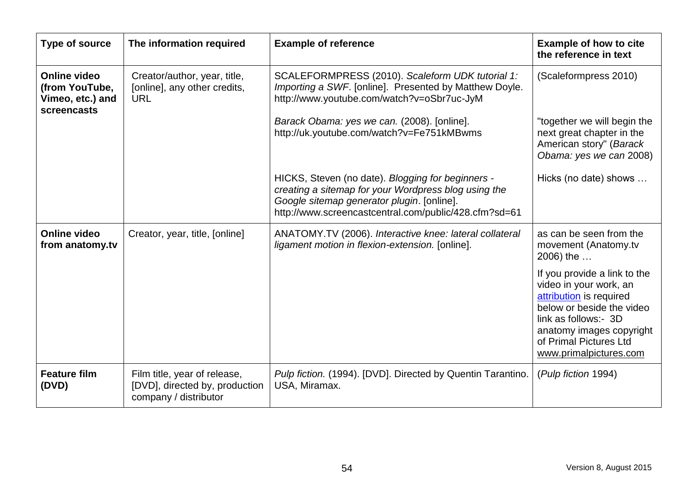| Type of source                                                           | The information required                                                                | <b>Example of reference</b>                                                                                                                                                                                      | <b>Example of how to cite</b><br>the reference in text                                                                                                                                                                 |
|--------------------------------------------------------------------------|-----------------------------------------------------------------------------------------|------------------------------------------------------------------------------------------------------------------------------------------------------------------------------------------------------------------|------------------------------------------------------------------------------------------------------------------------------------------------------------------------------------------------------------------------|
| <b>Online video</b><br>(from YouTube,<br>Vimeo, etc.) and<br>screencasts | Creator/author, year, title,<br>[online], any other credits,<br><b>URL</b>              | SCALEFORMPRESS (2010). Scaleform UDK tutorial 1:<br>Importing a SWF. [online]. Presented by Matthew Doyle.<br>http://www.youtube.com/watch?v=oSbr7uc-JyM                                                         | (Scaleformpress 2010)                                                                                                                                                                                                  |
|                                                                          |                                                                                         | Barack Obama: yes we can. (2008). [online].<br>http://uk.youtube.com/watch?v=Fe751kMBwms                                                                                                                         | "together we will begin the<br>next great chapter in the<br>American story" (Barack<br>Obama: yes we can 2008)                                                                                                         |
|                                                                          |                                                                                         | HICKS, Steven (no date). Blogging for beginners -<br>creating a sitemap for your Wordpress blog using the<br>Google sitemap generator plugin. [online].<br>http://www.screencastcentral.com/public/428.cfm?sd=61 | Hicks (no date) shows                                                                                                                                                                                                  |
| <b>Online video</b><br>from anatomy.tv                                   | Creator, year, title, [online]                                                          | ANATOMY.TV (2006). Interactive knee: lateral collateral<br>ligament motion in flexion-extension. [online].                                                                                                       | as can be seen from the<br>movement (Anatomy.tv<br>2006) the                                                                                                                                                           |
|                                                                          |                                                                                         |                                                                                                                                                                                                                  | If you provide a link to the<br>video in your work, an<br>attribution is required<br>below or beside the video<br>link as follows:- 3D<br>anatomy images copyright<br>of Primal Pictures Ltd<br>www.primalpictures.com |
| <b>Feature film</b><br>(DVD)                                             | Film title, year of release,<br>[DVD], directed by, production<br>company / distributor | Pulp fiction. (1994). [DVD]. Directed by Quentin Tarantino.<br>USA, Miramax.                                                                                                                                     | (Pulp fiction 1994)                                                                                                                                                                                                    |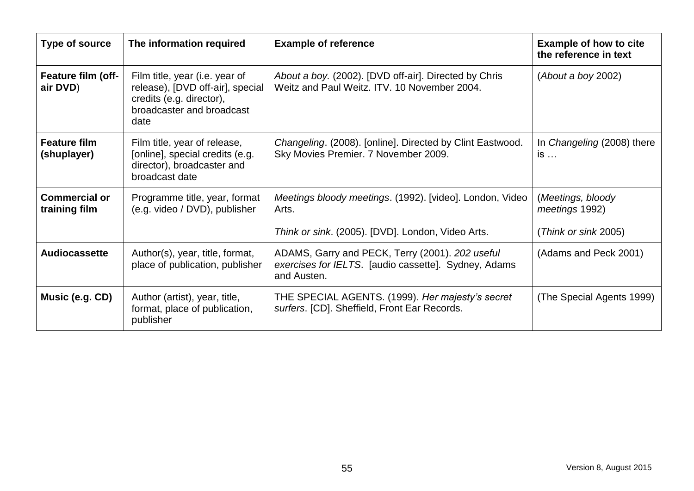| Type of source                        | The information required                                                                                                            | <b>Example of reference</b>                                                                                            | <b>Example of how to cite</b><br>the reference in text |
|---------------------------------------|-------------------------------------------------------------------------------------------------------------------------------------|------------------------------------------------------------------------------------------------------------------------|--------------------------------------------------------|
| Feature film (off-<br>air DVD)        | Film title, year (i.e. year of<br>release), [DVD off-air], special<br>credits (e.g. director),<br>broadcaster and broadcast<br>date | About a boy. (2002). [DVD off-air]. Directed by Chris<br>Weitz and Paul Weitz. ITV. 10 November 2004.                  | (About a boy 2002)                                     |
| <b>Feature film</b><br>(shuplayer)    | Film title, year of release,<br>[online], special credits (e.g.<br>director), broadcaster and<br>broadcast date                     | Changeling. (2008). [online]. Directed by Clint Eastwood.<br>Sky Movies Premier. 7 November 2009.                      | In Changeling (2008) there<br>$is \dots$               |
| <b>Commercial or</b><br>training film | Programme title, year, format<br>(e.g. video / DVD), publisher                                                                      | Meetings bloody meetings. (1992). [video]. London, Video<br>Arts.                                                      | (Meetings, bloody<br>meetings 1992)                    |
|                                       |                                                                                                                                     | Think or sink. (2005). [DVD]. London, Video Arts.                                                                      | (Think or sink 2005)                                   |
| <b>Audiocassette</b>                  | Author(s), year, title, format,<br>place of publication, publisher                                                                  | ADAMS, Garry and PECK, Terry (2001). 202 useful<br>exercises for IELTS. [audio cassette]. Sydney, Adams<br>and Austen. | (Adams and Peck 2001)                                  |
| <b>Music (e.g. CD)</b>                | Author (artist), year, title,<br>format, place of publication,<br>publisher                                                         | THE SPECIAL AGENTS. (1999). Her majesty's secret<br>surfers. [CD]. Sheffield, Front Ear Records.                       | (The Special Agents 1999)                              |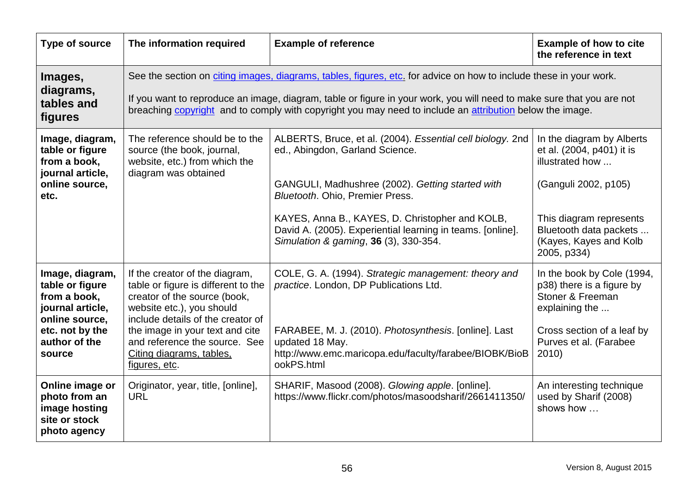| Type of source                                                                                                                         | The information required                                                                                                                                                                                                                                                                                                                                | <b>Example of reference</b>                                                                                                                                                                                                                                                                                                                    | <b>Example of how to cite</b><br>the reference in text                                                                                                                                          |
|----------------------------------------------------------------------------------------------------------------------------------------|---------------------------------------------------------------------------------------------------------------------------------------------------------------------------------------------------------------------------------------------------------------------------------------------------------------------------------------------------------|------------------------------------------------------------------------------------------------------------------------------------------------------------------------------------------------------------------------------------------------------------------------------------------------------------------------------------------------|-------------------------------------------------------------------------------------------------------------------------------------------------------------------------------------------------|
| Images,<br>diagrams,<br>tables and<br>figures                                                                                          | See the section on citing images, diagrams, tables, figures, etc. for advice on how to include these in your work.<br>If you want to reproduce an image, diagram, table or figure in your work, you will need to make sure that you are not<br>breaching copyright and to comply with copyright you may need to include an attribution below the image. |                                                                                                                                                                                                                                                                                                                                                |                                                                                                                                                                                                 |
| Image, diagram,<br>table or figure<br>from a book,<br>journal article,<br>online source,<br>etc.                                       | The reference should be to the<br>source (the book, journal,<br>website, etc.) from which the<br>diagram was obtained                                                                                                                                                                                                                                   | ALBERTS, Bruce, et al. (2004). Essential cell biology. 2nd<br>ed., Abingdon, Garland Science.<br>GANGULI, Madhushree (2002). Getting started with<br>Bluetooth. Ohio, Premier Press.<br>KAYES, Anna B., KAYES, D. Christopher and KOLB,<br>David A. (2005). Experiential learning in teams. [online].<br>Simulation & gaming, 36 (3), 330-354. | In the diagram by Alberts<br>et al. (2004, p401) it is<br>illustrated how<br>(Ganguli 2002, p105)<br>This diagram represents<br>Bluetooth data packets<br>(Kayes, Kayes and Kolb<br>2005, p334) |
| Image, diagram,<br>table or figure<br>from a book,<br>journal article,<br>online source,<br>etc. not by the<br>author of the<br>source | If the creator of the diagram,<br>table or figure is different to the<br>creator of the source (book,<br>website etc.), you should<br>include details of the creator of<br>the image in your text and cite<br>and reference the source. See<br>Citing diagrams, tables,<br>figures, etc.                                                                | COLE, G. A. (1994). Strategic management: theory and<br>practice. London, DP Publications Ltd.<br>FARABEE, M. J. (2010). Photosynthesis. [online]. Last<br>updated 18 May.<br>http://www.emc.maricopa.edu/faculty/farabee/BIOBK/BioB<br>ookPS.html                                                                                             | In the book by Cole (1994,<br>p38) there is a figure by<br>Stoner & Freeman<br>explaining the<br>Cross section of a leaf by<br>Purves et al. (Farabee<br>2010)                                  |
| Online image or<br>photo from an<br>image hosting<br>site or stock<br>photo agency                                                     | Originator, year, title, [online],<br><b>URL</b>                                                                                                                                                                                                                                                                                                        | SHARIF, Masood (2008). Glowing apple. [online].<br>https://www.flickr.com/photos/masoodsharif/2661411350/                                                                                                                                                                                                                                      | An interesting technique<br>used by Sharif (2008)<br>shows how                                                                                                                                  |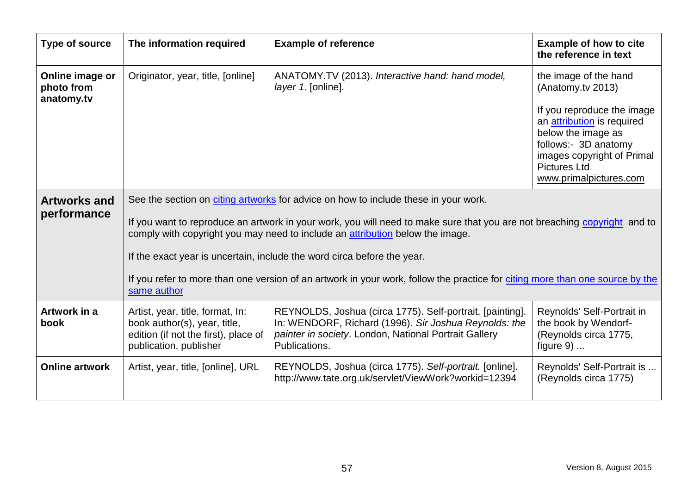<span id="page-66-0"></span>

| Type of source                              | The information required                                                                                                                                                                                  | <b>Example of reference</b>                                                                                                                                                                  | <b>Example of how to cite</b><br>the reference in text                                                                                                                                |
|---------------------------------------------|-----------------------------------------------------------------------------------------------------------------------------------------------------------------------------------------------------------|----------------------------------------------------------------------------------------------------------------------------------------------------------------------------------------------|---------------------------------------------------------------------------------------------------------------------------------------------------------------------------------------|
| Online image or<br>photo from<br>anatomy.tv | Originator, year, title, [online]                                                                                                                                                                         | ANATOMY.TV (2013). Interactive hand: hand model,<br>layer 1. [online].                                                                                                                       | the image of the hand<br>(Anatomy.tv 2013)                                                                                                                                            |
|                                             |                                                                                                                                                                                                           |                                                                                                                                                                                              | If you reproduce the image<br>an attribution is required<br>below the image as<br>follows:- 3D anatomy<br>images copyright of Primal<br><b>Pictures Ltd</b><br>www.primalpictures.com |
| <b>Artworks and</b>                         | See the section on citing artworks for advice on how to include these in your work.                                                                                                                       |                                                                                                                                                                                              |                                                                                                                                                                                       |
| performance                                 | If you want to reproduce an artwork in your work, you will need to make sure that you are not breaching copyright and to<br>comply with copyright you may need to include an attribution below the image. |                                                                                                                                                                                              |                                                                                                                                                                                       |
|                                             |                                                                                                                                                                                                           | If the exact year is uncertain, include the word circa before the year.                                                                                                                      |                                                                                                                                                                                       |
|                                             | If you refer to more than one version of an artwork in your work, follow the practice for citing more than one source by the<br>same author                                                               |                                                                                                                                                                                              |                                                                                                                                                                                       |
| Artwork in a<br>book                        | Artist, year, title, format, In:<br>book author(s), year, title,<br>edition (if not the first), place of<br>publication, publisher                                                                        | REYNOLDS, Joshua (circa 1775). Self-portrait. [painting].<br>In: WENDORF, Richard (1996). Sir Joshua Reynolds: the<br>painter in society. London, National Portrait Gallery<br>Publications. | Reynolds' Self-Portrait in<br>the book by Wendorf-<br>(Reynolds circa 1775,<br>figure $9)$                                                                                            |
| <b>Online artwork</b>                       | Artist, year, title, [online], URL                                                                                                                                                                        | REYNOLDS, Joshua (circa 1775). Self-portrait. [online].<br>http://www.tate.org.uk/servlet/ViewWork?workid=12394                                                                              | Reynolds' Self-Portrait is<br>(Reynolds circa 1775)                                                                                                                                   |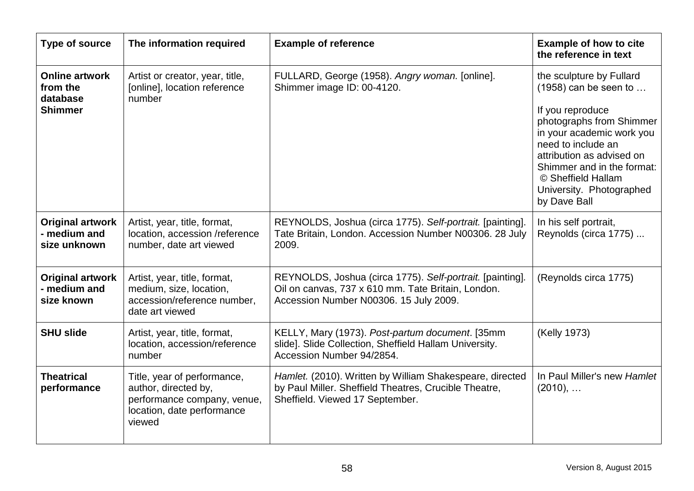| <b>Type of source</b>                                           | The information required                                                                                                   | <b>Example of reference</b>                                                                                                                               | <b>Example of how to cite</b><br>the reference in text                                                                                                                                                                                                                              |
|-----------------------------------------------------------------|----------------------------------------------------------------------------------------------------------------------------|-----------------------------------------------------------------------------------------------------------------------------------------------------------|-------------------------------------------------------------------------------------------------------------------------------------------------------------------------------------------------------------------------------------------------------------------------------------|
| <b>Online artwork</b><br>from the<br>database<br><b>Shimmer</b> | Artist or creator, year, title,<br>[online], location reference<br>number                                                  | FULLARD, George (1958). Angry woman. [online].<br>Shimmer image ID: 00-4120.                                                                              | the sculpture by Fullard<br>$(1958)$ can be seen to<br>If you reproduce<br>photographs from Shimmer<br>in your academic work you<br>need to include an<br>attribution as advised on<br>Shimmer and in the format:<br>© Sheffield Hallam<br>University. Photographed<br>by Dave Ball |
| <b>Original artwork</b><br>- medium and<br>size unknown         | Artist, year, title, format,<br>location, accession /reference<br>number, date art viewed                                  | REYNOLDS, Joshua (circa 1775). Self-portrait. [painting].<br>Tate Britain, London. Accession Number N00306. 28 July<br>2009.                              | In his self portrait,<br>Reynolds (circa 1775)                                                                                                                                                                                                                                      |
| <b>Original artwork</b><br>- medium and<br>size known           | Artist, year, title, format,<br>medium, size, location,<br>accession/reference number,<br>date art viewed                  | REYNOLDS, Joshua (circa 1775). Self-portrait. [painting].<br>Oil on canvas, 737 x 610 mm. Tate Britain, London.<br>Accession Number N00306. 15 July 2009. | (Reynolds circa 1775)                                                                                                                                                                                                                                                               |
| <b>SHU slide</b>                                                | Artist, year, title, format,<br>location, accession/reference<br>number                                                    | KELLY, Mary (1973). Post-partum document. [35mm<br>slide]. Slide Collection, Sheffield Hallam University.<br>Accession Number 94/2854.                    | (Kelly 1973)                                                                                                                                                                                                                                                                        |
| <b>Theatrical</b><br>performance                                | Title, year of performance,<br>author, directed by,<br>performance company, venue,<br>location, date performance<br>viewed | Hamlet. (2010). Written by William Shakespeare, directed<br>by Paul Miller. Sheffield Theatres, Crucible Theatre,<br>Sheffield. Viewed 17 September.      | In Paul Miller's new Hamlet<br>$(2010), \ldots$                                                                                                                                                                                                                                     |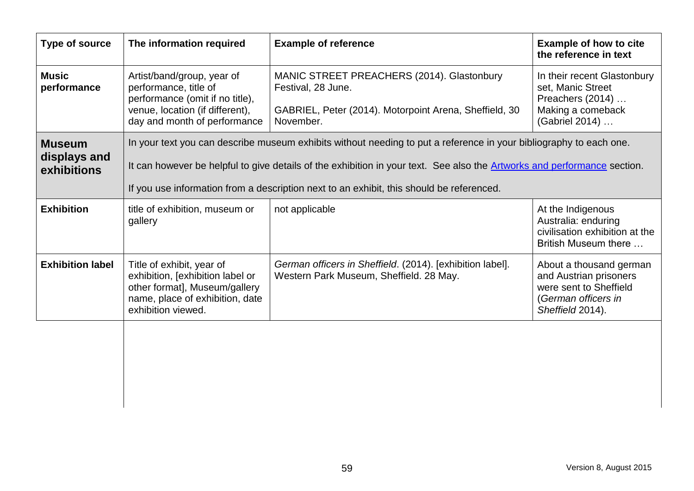| Type of source                               | The information required                                                                                                                                                                                                                                                                                                                          | <b>Example of reference</b>                                                                                                             | <b>Example of how to cite</b><br>the reference in text                                                                 |
|----------------------------------------------|---------------------------------------------------------------------------------------------------------------------------------------------------------------------------------------------------------------------------------------------------------------------------------------------------------------------------------------------------|-----------------------------------------------------------------------------------------------------------------------------------------|------------------------------------------------------------------------------------------------------------------------|
| <b>Music</b><br>performance                  | Artist/band/group, year of<br>performance, title of<br>performance (omit if no title),<br>venue, location (if different),<br>day and month of performance                                                                                                                                                                                         | MANIC STREET PREACHERS (2014). Glastonbury<br>Festival, 28 June.<br>GABRIEL, Peter (2014). Motorpoint Arena, Sheffield, 30<br>November. | In their recent Glastonbury<br>set, Manic Street<br>Preachers (2014)<br>Making a comeback<br>(Gabriel 2014)            |
| <b>Museum</b><br>displays and<br>exhibitions | In your text you can describe museum exhibits without needing to put a reference in your bibliography to each one.<br>It can however be helpful to give details of the exhibition in your text. See also the <b>Artworks and performance</b> section.<br>If you use information from a description next to an exhibit, this should be referenced. |                                                                                                                                         |                                                                                                                        |
| <b>Exhibition</b>                            | title of exhibition, museum or<br>gallery                                                                                                                                                                                                                                                                                                         | not applicable                                                                                                                          | At the Indigenous<br>Australia: enduring<br>civilisation exhibition at the<br>British Museum there                     |
| <b>Exhibition label</b>                      | Title of exhibit, year of<br>exhibition, [exhibition label or<br>other format], Museum/gallery<br>name, place of exhibition, date<br>exhibition viewed.                                                                                                                                                                                           | German officers in Sheffield. (2014). [exhibition label].<br>Western Park Museum, Sheffield. 28 May.                                    | About a thousand german<br>and Austrian prisoners<br>were sent to Sheffield<br>(German officers in<br>Sheffield 2014). |
|                                              |                                                                                                                                                                                                                                                                                                                                                   |                                                                                                                                         |                                                                                                                        |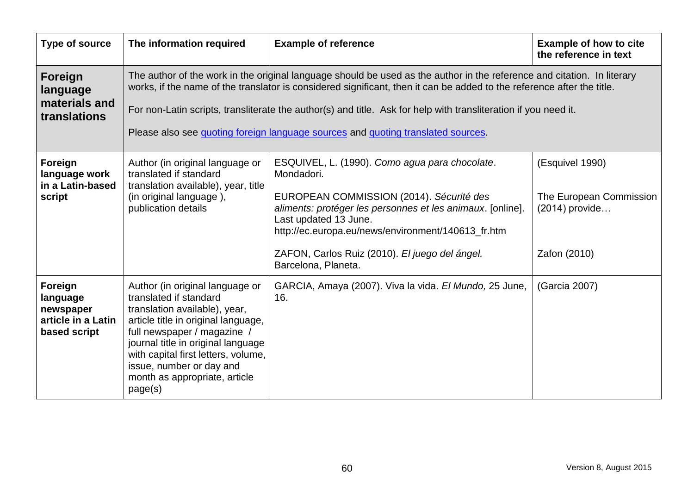| Type of source                                                         | The information required                                                                                                                                                                                                                                                                                                                                                                                                                                 | <b>Example of reference</b>                                                                                                                                                                                                                                                                                                    | <b>Example of how to cite</b><br>the reference in text                       |
|------------------------------------------------------------------------|----------------------------------------------------------------------------------------------------------------------------------------------------------------------------------------------------------------------------------------------------------------------------------------------------------------------------------------------------------------------------------------------------------------------------------------------------------|--------------------------------------------------------------------------------------------------------------------------------------------------------------------------------------------------------------------------------------------------------------------------------------------------------------------------------|------------------------------------------------------------------------------|
| Foreign<br>language<br>materials and<br>translations                   | The author of the work in the original language should be used as the author in the reference and citation. In literary<br>works, if the name of the translator is considered significant, then it can be added to the reference after the title.<br>For non-Latin scripts, transliterate the author(s) and title. Ask for help with transliteration if you need it.<br>Please also see quoting foreign language sources and quoting translated sources. |                                                                                                                                                                                                                                                                                                                                |                                                                              |
| Foreign<br>language work<br>in a Latin-based<br>script                 | Author (in original language or<br>translated if standard<br>translation available), year, title<br>(in original language),<br>publication details                                                                                                                                                                                                                                                                                                       | ESQUIVEL, L. (1990). Como agua para chocolate.<br>Mondadori.<br>EUROPEAN COMMISSION (2014). Sécurité des<br>aliments: protéger les personnes et les animaux. [online].<br>Last updated 13 June.<br>http://ec.europa.eu/news/environment/140613_fr.htm<br>ZAFON, Carlos Ruiz (2010). El juego del ángel.<br>Barcelona, Planeta. | (Esquivel 1990)<br>The European Commission<br>(2014) provide<br>Zafon (2010) |
| Foreign<br>language<br>newspaper<br>article in a Latin<br>based script | Author (in original language or<br>translated if standard<br>translation available), year,<br>article title in original language,<br>full newspaper / magazine /<br>journal title in original language<br>with capital first letters, volume,<br>issue, number or day and<br>month as appropriate, article<br>page(s)                                                                                                                                    | GARCIA, Amaya (2007). Viva la vida. El Mundo, 25 June,<br>16.                                                                                                                                                                                                                                                                  | (Garcia 2007)                                                                |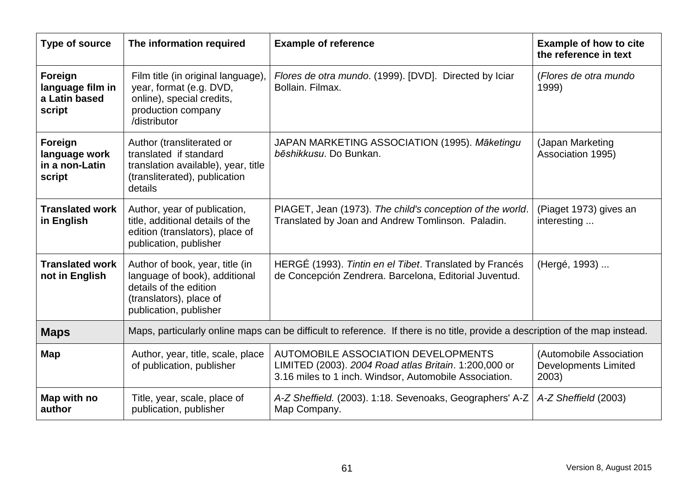| Type of source                                         | The information required                                                                                                                        | <b>Example of reference</b>                                                                                                                            | <b>Example of how to cite</b><br>the reference in text          |
|--------------------------------------------------------|-------------------------------------------------------------------------------------------------------------------------------------------------|--------------------------------------------------------------------------------------------------------------------------------------------------------|-----------------------------------------------------------------|
| Foreign<br>language film in<br>a Latin based<br>script | Film title (in original language),<br>year, format (e.g. DVD,<br>online), special credits,<br>production company<br>/distributor                | Flores de otra mundo. (1999). [DVD]. Directed by Iciar<br>Bollain, Filmax.                                                                             | (Flores de otra mundo<br>1999)                                  |
| Foreign<br>language work<br>in a non-Latin<br>script   | Author (transliterated or<br>translated if standard<br>translation available), year, title<br>(transliterated), publication<br>details          | JAPAN MARKETING ASSOCIATION (1995). Māketingu<br>bēshikkusu. Do Bunkan.                                                                                | (Japan Marketing<br>Association 1995)                           |
| <b>Translated work</b><br>in English                   | Author, year of publication,<br>title, additional details of the<br>edition (translators), place of<br>publication, publisher                   | PIAGET, Jean (1973). The child's conception of the world.<br>Translated by Joan and Andrew Tomlinson. Paladin.                                         | (Piaget 1973) gives an<br>interesting                           |
| <b>Translated work</b><br>not in English               | Author of book, year, title (in<br>language of book), additional<br>details of the edition<br>(translators), place of<br>publication, publisher | HERGE (1993). Tintin en el Tibet. Translated by Francés<br>de Concepción Zendrera. Barcelona, Editorial Juventud.                                      | (Hergé, 1993)                                                   |
| <b>Maps</b>                                            | Maps, particularly online maps can be difficult to reference. If there is no title, provide a description of the map instead.                   |                                                                                                                                                        |                                                                 |
| Map                                                    | Author, year, title, scale, place<br>of publication, publisher                                                                                  | AUTOMOBILE ASSOCIATION DEVELOPMENTS<br>LIMITED (2003). 2004 Road atlas Britain. 1:200,000 or<br>3.16 miles to 1 inch. Windsor, Automobile Association. | (Automobile Association<br><b>Developments Limited</b><br>2003) |
| Map with no<br>author                                  | Title, year, scale, place of<br>publication, publisher                                                                                          | A-Z Sheffield. (2003). 1:18. Sevenoaks, Geographers' A-Z<br>Map Company.                                                                               | A-Z Sheffield (2003)                                            |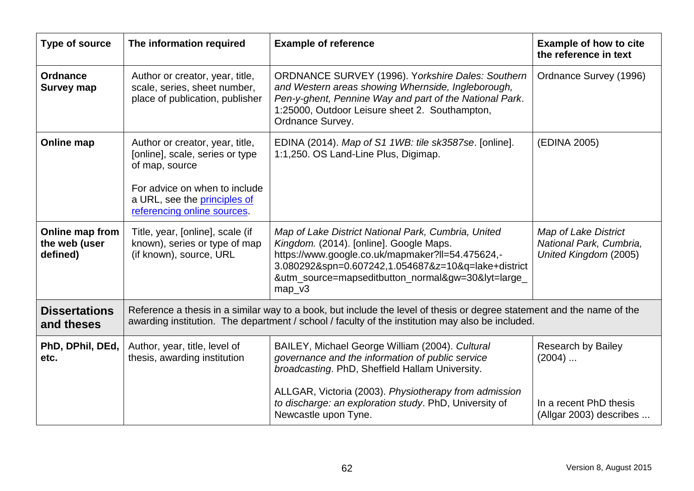| <b>Type of source</b>                        | The information required                                                                                                                                                             | <b>Example of reference</b>                                                                                                                                                                                                                                                 | <b>Example of how to cite</b><br>the reference in text                          |
|----------------------------------------------|--------------------------------------------------------------------------------------------------------------------------------------------------------------------------------------|-----------------------------------------------------------------------------------------------------------------------------------------------------------------------------------------------------------------------------------------------------------------------------|---------------------------------------------------------------------------------|
| <b>Ordnance</b><br><b>Survey map</b>         | Author or creator, year, title,<br>scale, series, sheet number,<br>place of publication, publisher                                                                                   | <b>ORDNANCE SURVEY (1996). Yorkshire Dales: Southern</b><br>and Western areas showing Whernside, Ingleborough,<br>Pen-y-ghent, Pennine Way and part of the National Park.<br>1:25000, Outdoor Leisure sheet 2. Southampton,<br>Ordnance Survey.                             | Ordnance Survey (1996)                                                          |
| Online map                                   | Author or creator, year, title,<br>[online], scale, series or type<br>of map, source<br>For advice on when to include<br>a URL, see the principles of<br>referencing online sources. | EDINA (2014). Map of S1 1WB: tile sk3587se. [online].<br>1:1,250. OS Land-Line Plus, Digimap.                                                                                                                                                                               | (EDINA 2005)                                                                    |
| Online map from<br>the web (user<br>defined) | Title, year, [online], scale (if<br>known), series or type of map<br>(if known), source, URL                                                                                         | Map of Lake District National Park, Cumbria, United<br>Kingdom. (2014). [online]. Google Maps.<br>https://www.google.co.uk/mapmaker?ll=54.475624,-<br>3.080292&spn=0.607242,1.054687&z=10&q=lake+district<br>&utm_source=mapseditbutton_normal&gw=30&lyt=large_<br>$map_v3$ | <b>Map of Lake District</b><br>National Park, Cumbria,<br>United Kingdom (2005) |
| <b>Dissertations</b><br>and theses           |                                                                                                                                                                                      | Reference a thesis in a similar way to a book, but include the level of thesis or degree statement and the name of the<br>awarding institution. The department / school / faculty of the institution may also be included.                                                  |                                                                                 |
| PhD, DPhil, DEd,<br>etc.                     | Author, year, title, level of<br>thesis, awarding institution                                                                                                                        | BAILEY, Michael George William (2004). Cultural<br>governance and the information of public service<br>broadcasting. PhD, Sheffield Hallam University.                                                                                                                      | <b>Research by Bailey</b><br>$(2004)$                                           |
|                                              |                                                                                                                                                                                      | ALLGAR, Victoria (2003). Physiotherapy from admission<br>to discharge: an exploration study. PhD, University of<br>Newcastle upon Tyne.                                                                                                                                     | In a recent PhD thesis<br>(Allgar 2003) describes                               |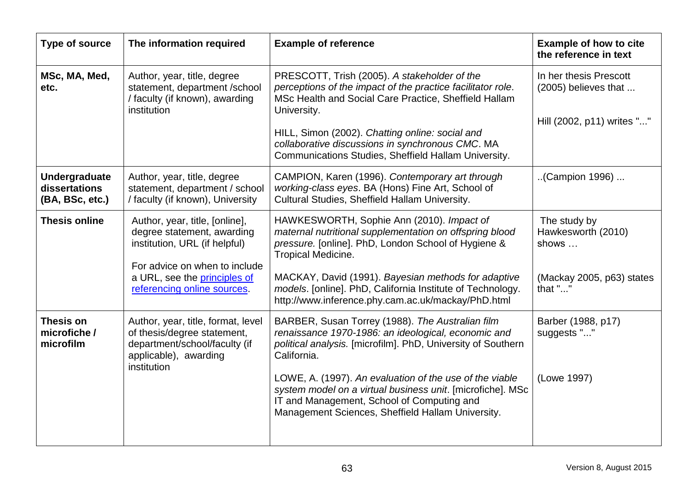| <b>Type of source</b>                             | The information required                                                                                                                                                                      | <b>Example of reference</b>                                                                                                                                                                                                                                                                                                                                                                                        | <b>Example of how to cite</b><br>the reference in text                              |
|---------------------------------------------------|-----------------------------------------------------------------------------------------------------------------------------------------------------------------------------------------------|--------------------------------------------------------------------------------------------------------------------------------------------------------------------------------------------------------------------------------------------------------------------------------------------------------------------------------------------------------------------------------------------------------------------|-------------------------------------------------------------------------------------|
| MSc, MA, Med,<br>etc.                             | Author, year, title, degree<br>statement, department /school<br>/ faculty (if known), awarding<br>institution                                                                                 | PRESCOTT, Trish (2005). A stakeholder of the<br>perceptions of the impact of the practice facilitator role.<br>MSc Health and Social Care Practice, Sheffield Hallam<br>University.<br>HILL, Simon (2002). Chatting online: social and<br>collaborative discussions in synchronous CMC. MA<br>Communications Studies, Sheffield Hallam University.                                                                 | In her thesis Prescott<br>(2005) believes that<br>Hill (2002, p11) writes ""        |
| Undergraduate<br>dissertations<br>(BA, BSc, etc.) | Author, year, title, degree<br>statement, department / school<br>/ faculty (if known), University                                                                                             | CAMPION, Karen (1996). Contemporary art through<br>working-class eyes. BA (Hons) Fine Art, School of<br>Cultural Studies, Sheffield Hallam University.                                                                                                                                                                                                                                                             | (Campion 1996)                                                                      |
| <b>Thesis online</b>                              | Author, year, title, [online],<br>degree statement, awarding<br>institution, URL (if helpful)<br>For advice on when to include<br>a URL, see the principles of<br>referencing online sources. | HAWKESWORTH, Sophie Ann (2010). Impact of<br>maternal nutritional supplementation on offspring blood<br>pressure. [online]. PhD, London School of Hygiene &<br>Tropical Medicine.<br>MACKAY, David (1991). Bayesian methods for adaptive<br>models. [online]. PhD, California Institute of Technology.<br>http://www.inference.phy.cam.ac.uk/mackay/PhD.html                                                       | The study by<br>Hawkesworth (2010)<br>shows<br>(Mackay 2005, p63) states<br>that "" |
| Thesis on<br>microfiche /<br>microfilm            | Author, year, title, format, level<br>of thesis/degree statement,<br>department/school/faculty (if<br>applicable), awarding<br>institution                                                    | BARBER, Susan Torrey (1988). The Australian film<br>renaissance 1970-1986: an ideological, economic and<br>political analysis. [microfilm]. PhD, University of Southern<br>California.<br>LOWE, A. (1997). An evaluation of the use of the viable<br>system model on a virtual business unit. [microfiche]. MSc<br>IT and Management, School of Computing and<br>Management Sciences, Sheffield Hallam University. | Barber (1988, p17)<br>suggests ""<br>(Lowe 1997)                                    |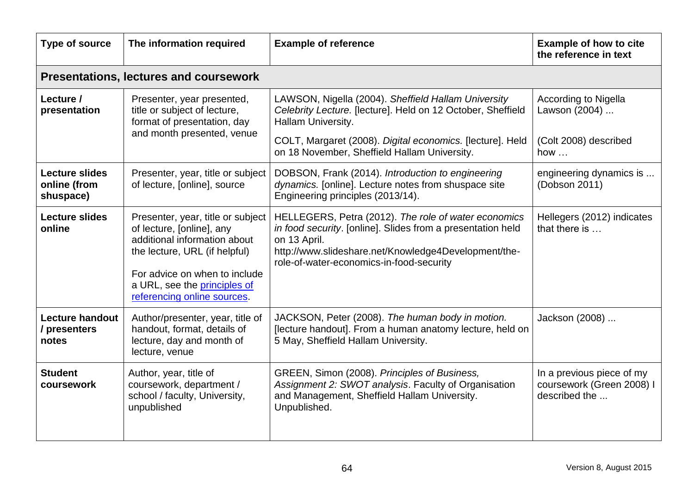| Type of source                                     | The information required                                                                                                                                                                                                        | <b>Example of reference</b>                                                                                                                                                                                                             | <b>Example of how to cite</b><br>the reference in text                  |
|----------------------------------------------------|---------------------------------------------------------------------------------------------------------------------------------------------------------------------------------------------------------------------------------|-----------------------------------------------------------------------------------------------------------------------------------------------------------------------------------------------------------------------------------------|-------------------------------------------------------------------------|
|                                                    | <b>Presentations, lectures and coursework</b>                                                                                                                                                                                   |                                                                                                                                                                                                                                         |                                                                         |
| Lecture /<br>presentation                          | Presenter, year presented,<br>title or subject of lecture,<br>format of presentation, day                                                                                                                                       | LAWSON, Nigella (2004). Sheffield Hallam University<br>Celebrity Lecture. [lecture]. Held on 12 October, Sheffield<br>Hallam University.                                                                                                | <b>According to Nigella</b><br>Lawson (2004)                            |
|                                                    | and month presented, venue                                                                                                                                                                                                      | COLT, Margaret (2008). Digital economics. [lecture]. Held<br>on 18 November, Sheffield Hallam University.                                                                                                                               | (Colt 2008) described<br>how $\dots$                                    |
| <b>Lecture slides</b><br>online (from<br>shuspace) | Presenter, year, title or subject<br>of lecture, [online], source                                                                                                                                                               | DOBSON, Frank (2014). Introduction to engineering<br>dynamics. [online]. Lecture notes from shuspace site<br>Engineering principles (2013/14).                                                                                          | engineering dynamics is<br>(Dobson 2011)                                |
| <b>Lecture slides</b><br>online                    | Presenter, year, title or subject<br>of lecture, [online], any<br>additional information about<br>the lecture, URL (if helpful)<br>For advice on when to include<br>a URL, see the principles of<br>referencing online sources. | HELLEGERS, Petra (2012). The role of water economics<br>in food security. [online]. Slides from a presentation held<br>on 13 April.<br>http://www.slideshare.net/Knowledge4Development/the-<br>role-of-water-economics-in-food-security | Hellegers (2012) indicates<br>that there is                             |
| <b>Lecture handout</b><br>/ presenters<br>notes    | Author/presenter, year, title of<br>handout, format, details of<br>lecture, day and month of<br>lecture, venue                                                                                                                  | JACKSON, Peter (2008). The human body in motion.<br>[lecture handout]. From a human anatomy lecture, held on<br>5 May, Sheffield Hallam University.                                                                                     | Jackson (2008)                                                          |
| <b>Student</b><br>coursework                       | Author, year, title of<br>coursework, department /<br>school / faculty, University,<br>unpublished                                                                                                                              | GREEN, Simon (2008). Principles of Business,<br>Assignment 2: SWOT analysis. Faculty of Organisation<br>and Management, Sheffield Hallam University.<br>Unpublished.                                                                    | In a previous piece of my<br>coursework (Green 2008) I<br>described the |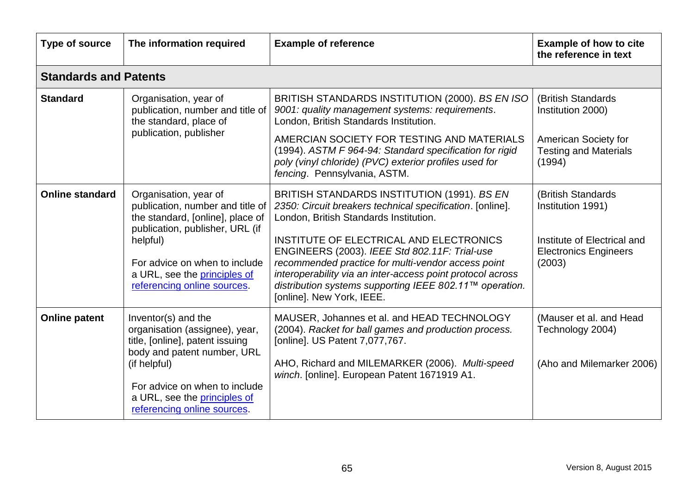| <b>Type of source</b>        | The information required                                                                                                                                                                                                                     | <b>Example of reference</b>                                                                                                                                                                                                                                                                          | <b>Example of how to cite</b><br>the reference in text                |
|------------------------------|----------------------------------------------------------------------------------------------------------------------------------------------------------------------------------------------------------------------------------------------|------------------------------------------------------------------------------------------------------------------------------------------------------------------------------------------------------------------------------------------------------------------------------------------------------|-----------------------------------------------------------------------|
| <b>Standards and Patents</b> |                                                                                                                                                                                                                                              |                                                                                                                                                                                                                                                                                                      |                                                                       |
| <b>Standard</b>              | Organisation, year of<br>publication, number and title of<br>the standard, place of<br>publication, publisher                                                                                                                                | BRITISH STANDARDS INSTITUTION (2000). BS EN ISO<br>9001: quality management systems: requirements.<br>London, British Standards Institution.                                                                                                                                                         | (British Standards)<br>Institution 2000)                              |
|                              |                                                                                                                                                                                                                                              | AMERCIAN SOCIETY FOR TESTING AND MATERIALS<br>(1994). ASTM F 964-94: Standard specification for rigid<br>poly (vinyl chloride) (PVC) exterior profiles used for<br>fencing. Pennsylvania, ASTM.                                                                                                      | American Society for<br><b>Testing and Materials</b><br>(1994)        |
| <b>Online standard</b>       | Organisation, year of<br>publication, number and title of<br>the standard, [online], place of<br>publication, publisher, URL (if<br>helpful)<br>For advice on when to include<br>a URL, see the principles of<br>referencing online sources. | BRITISH STANDARDS INSTITUTION (1991). BS EN<br>2350: Circuit breakers technical specification. [online].<br>London, British Standards Institution.                                                                                                                                                   | (British Standards<br>Institution 1991)                               |
|                              |                                                                                                                                                                                                                                              | INSTITUTE OF ELECTRICAL AND ELECTRONICS<br>ENGINEERS (2003). IEEE Std 802.11F: Trial-use<br>recommended practice for multi-vendor access point<br>interoperability via an inter-access point protocol across<br>distribution systems supporting IEEE 802.11™ operation.<br>[online]. New York, IEEE. | Institute of Electrical and<br><b>Electronics Engineers</b><br>(2003) |
| <b>Online patent</b>         | Inventor(s) and the<br>organisation (assignee), year,<br>title, [online], patent issuing<br>body and patent number, URL<br>(if helpful)<br>For advice on when to include<br>a URL, see the principles of<br>referencing online sources.      | MAUSER, Johannes et al. and HEAD TECHNOLOGY<br>(2004). Racket for ball games and production process.<br>[online]. US Patent 7,077,767.                                                                                                                                                               | (Mauser et al. and Head<br>Technology 2004)                           |
|                              |                                                                                                                                                                                                                                              | AHO, Richard and MILEMARKER (2006). Multi-speed<br>winch. [online]. European Patent 1671919 A1.                                                                                                                                                                                                      | (Aho and Milemarker 2006)                                             |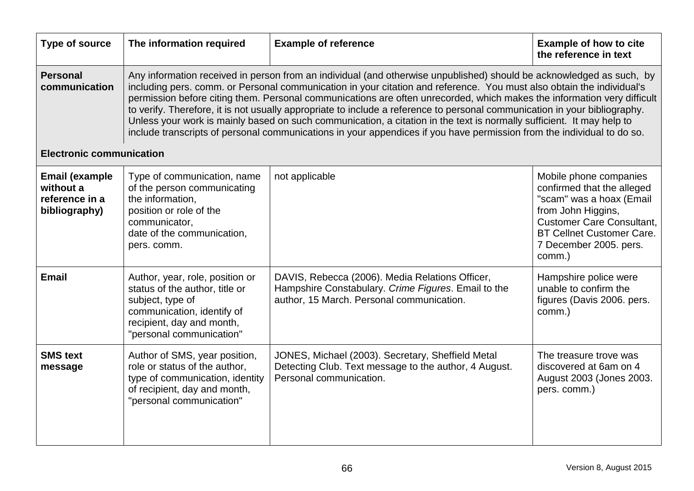| <b>Type of source</b>                                                 | The information required                                                                                                                                                                                                                                                                                                                                                                                                                                                                                                                                                                                                                                                                                                                                  | <b>Example of reference</b>                                                                                                                         | <b>Example of how to cite</b><br>the reference in text                                                                                                                                                             |
|-----------------------------------------------------------------------|-----------------------------------------------------------------------------------------------------------------------------------------------------------------------------------------------------------------------------------------------------------------------------------------------------------------------------------------------------------------------------------------------------------------------------------------------------------------------------------------------------------------------------------------------------------------------------------------------------------------------------------------------------------------------------------------------------------------------------------------------------------|-----------------------------------------------------------------------------------------------------------------------------------------------------|--------------------------------------------------------------------------------------------------------------------------------------------------------------------------------------------------------------------|
| <b>Personal</b><br>communication                                      | Any information received in person from an individual (and otherwise unpublished) should be acknowledged as such, by<br>including pers. comm. or Personal communication in your citation and reference. You must also obtain the individual's<br>permission before citing them. Personal communications are often unrecorded, which makes the information very difficult<br>to verify. Therefore, it is not usually appropriate to include a reference to personal communication in your bibliography.<br>Unless your work is mainly based on such communication, a citation in the text is normally sufficient. It may help to<br>include transcripts of personal communications in your appendices if you have permission from the individual to do so. |                                                                                                                                                     |                                                                                                                                                                                                                    |
| <b>Electronic communication</b>                                       |                                                                                                                                                                                                                                                                                                                                                                                                                                                                                                                                                                                                                                                                                                                                                           |                                                                                                                                                     |                                                                                                                                                                                                                    |
| <b>Email (example</b><br>without a<br>reference in a<br>bibliography) | Type of communication, name<br>of the person communicating<br>the information,<br>position or role of the<br>communicator,<br>date of the communication,<br>pers. comm.                                                                                                                                                                                                                                                                                                                                                                                                                                                                                                                                                                                   | not applicable                                                                                                                                      | Mobile phone companies<br>confirmed that the alleged<br>"scam" was a hoax (Email<br>from John Higgins,<br><b>Customer Care Consultant,</b><br><b>BT Cellnet Customer Care.</b><br>7 December 2005. pers.<br>comm.) |
| <b>Email</b>                                                          | Author, year, role, position or<br>status of the author, title or<br>subject, type of<br>communication, identify of<br>recipient, day and month,<br>"personal communication"                                                                                                                                                                                                                                                                                                                                                                                                                                                                                                                                                                              | DAVIS, Rebecca (2006). Media Relations Officer,<br>Hampshire Constabulary. Crime Figures. Email to the<br>author, 15 March. Personal communication. | Hampshire police were<br>unable to confirm the<br>figures (Davis 2006. pers.<br>comm.)                                                                                                                             |
| <b>SMS</b> text<br>message                                            | Author of SMS, year position,<br>role or status of the author,<br>type of communication, identity<br>of recipient, day and month,<br>"personal communication"                                                                                                                                                                                                                                                                                                                                                                                                                                                                                                                                                                                             | JONES, Michael (2003). Secretary, Sheffield Metal<br>Detecting Club. Text message to the author, 4 August.<br>Personal communication.               | The treasure trove was<br>discovered at 6am on 4<br>August 2003 (Jones 2003.<br>pers. comm.)                                                                                                                       |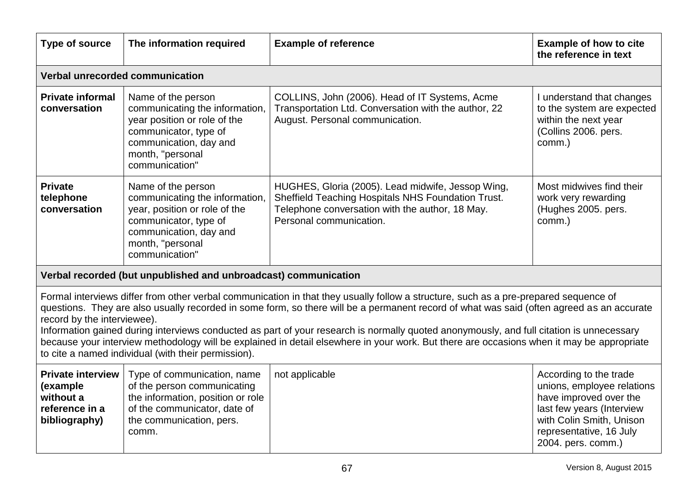| Type of source                                                                                                                                                                                                                                                                                                                                                                                                                                                                                                                                                                                                                                                   | The information required                                                                                                                                                       | <b>Example of reference</b>                                                                                                                                                           | <b>Example of how to cite</b><br>the reference in text                                                                                                                                   |
|------------------------------------------------------------------------------------------------------------------------------------------------------------------------------------------------------------------------------------------------------------------------------------------------------------------------------------------------------------------------------------------------------------------------------------------------------------------------------------------------------------------------------------------------------------------------------------------------------------------------------------------------------------------|--------------------------------------------------------------------------------------------------------------------------------------------------------------------------------|---------------------------------------------------------------------------------------------------------------------------------------------------------------------------------------|------------------------------------------------------------------------------------------------------------------------------------------------------------------------------------------|
| Verbal unrecorded communication                                                                                                                                                                                                                                                                                                                                                                                                                                                                                                                                                                                                                                  |                                                                                                                                                                                |                                                                                                                                                                                       |                                                                                                                                                                                          |
| <b>Private informal</b><br>conversation                                                                                                                                                                                                                                                                                                                                                                                                                                                                                                                                                                                                                          | Name of the person<br>communicating the information,<br>year position or role of the<br>communicator, type of<br>communication, day and<br>month, "personal<br>communication"  | COLLINS, John (2006). Head of IT Systems, Acme<br>Transportation Ltd. Conversation with the author, 22<br>August. Personal communication.                                             | I understand that changes<br>to the system are expected<br>within the next year<br>(Collins 2006. pers.<br>comm.)                                                                        |
| <b>Private</b><br>telephone<br>conversation                                                                                                                                                                                                                                                                                                                                                                                                                                                                                                                                                                                                                      | Name of the person<br>communicating the information,<br>year, position or role of the<br>communicator, type of<br>communication, day and<br>month, "personal<br>communication" | HUGHES, Gloria (2005). Lead midwife, Jessop Wing,<br>Sheffield Teaching Hospitals NHS Foundation Trust.<br>Telephone conversation with the author, 18 May.<br>Personal communication. | Most midwives find their<br>work very rewarding<br>(Hughes 2005. pers.<br>comm.)                                                                                                         |
| Verbal recorded (but unpublished and unbroadcast) communication                                                                                                                                                                                                                                                                                                                                                                                                                                                                                                                                                                                                  |                                                                                                                                                                                |                                                                                                                                                                                       |                                                                                                                                                                                          |
| Formal interviews differ from other verbal communication in that they usually follow a structure, such as a pre-prepared sequence of<br>questions. They are also usually recorded in some form, so there will be a permanent record of what was said (often agreed as an accurate<br>record by the interviewee).<br>Information gained during interviews conducted as part of your research is normally quoted anonymously, and full citation is unnecessary<br>because your interview methodology will be explained in detail elsewhere in your work. But there are occasions when it may be appropriate<br>to cite a named individual (with their permission). |                                                                                                                                                                                |                                                                                                                                                                                       |                                                                                                                                                                                          |
| <b>Private interview</b><br>(example<br>without a<br>reference in a<br>bibliography)                                                                                                                                                                                                                                                                                                                                                                                                                                                                                                                                                                             | Type of communication, name<br>of the person communicating<br>the information, position or role<br>of the communicator, date of<br>the communication, pers.<br>comm.           | not applicable                                                                                                                                                                        | According to the trade<br>unions, employee relations<br>have improved over the<br>last few years (Interview<br>with Colin Smith, Unison<br>representative, 16 July<br>2004. pers. comm.) |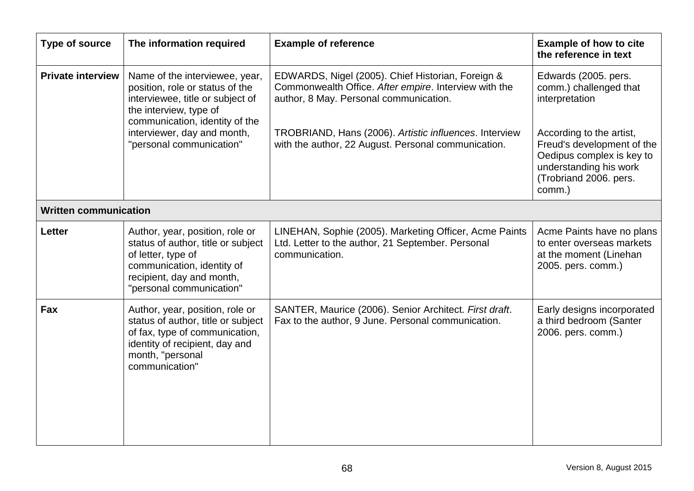| Type of source               | The information required                                                                                                                                                                         | <b>Example of reference</b>                                                                                                                                                                                    | <b>Example of how to cite</b><br>the reference in text                                                                |
|------------------------------|--------------------------------------------------------------------------------------------------------------------------------------------------------------------------------------------------|----------------------------------------------------------------------------------------------------------------------------------------------------------------------------------------------------------------|-----------------------------------------------------------------------------------------------------------------------|
| <b>Private interview</b>     | Name of the interviewee, year,<br>position, role or status of the<br>interviewee, title or subject of<br>the interview, type of<br>communication, identity of the<br>interviewer, day and month, | EDWARDS, Nigel (2005). Chief Historian, Foreign &<br>Commonwealth Office. After empire. Interview with the<br>author, 8 May. Personal communication.<br>TROBRIAND, Hans (2006). Artistic influences. Interview | Edwards (2005. pers.<br>comm.) challenged that<br>interpretation<br>According to the artist,                          |
|                              | "personal communication"                                                                                                                                                                         | with the author, 22 August. Personal communication.                                                                                                                                                            | Freud's development of the<br>Oedipus complex is key to<br>understanding his work<br>(Trobriand 2006. pers.<br>comm.) |
| <b>Written communication</b> |                                                                                                                                                                                                  |                                                                                                                                                                                                                |                                                                                                                       |
| <b>Letter</b>                | Author, year, position, role or<br>status of author, title or subject<br>of letter, type of<br>communication, identity of<br>recipient, day and month,<br>"personal communication"               | LINEHAN, Sophie (2005). Marketing Officer, Acme Paints<br>Ltd. Letter to the author, 21 September. Personal<br>communication.                                                                                  | Acme Paints have no plans<br>to enter overseas markets<br>at the moment (Linehan<br>2005. pers. comm.)                |
| Fax                          | Author, year, position, role or<br>status of author, title or subject<br>of fax, type of communication,<br>identity of recipient, day and<br>month, "personal<br>communication"                  | SANTER, Maurice (2006). Senior Architect. First draft.<br>Fax to the author, 9 June. Personal communication.                                                                                                   | Early designs incorporated<br>a third bedroom (Santer<br>2006. pers. comm.)                                           |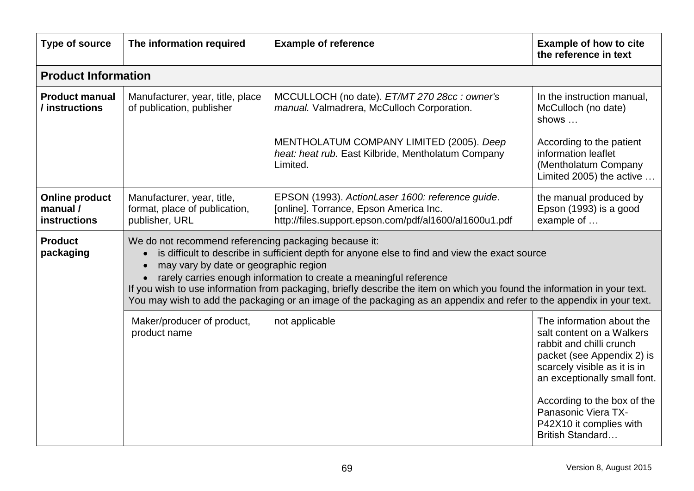| Type of source                                                                                                                | The information required                                                      | <b>Example of reference</b>                                                                                                                                                                                                                                                                                                                                                                                                | <b>Example of how to cite</b><br>the reference in text                                                                                                                                                                                                                                       |
|-------------------------------------------------------------------------------------------------------------------------------|-------------------------------------------------------------------------------|----------------------------------------------------------------------------------------------------------------------------------------------------------------------------------------------------------------------------------------------------------------------------------------------------------------------------------------------------------------------------------------------------------------------------|----------------------------------------------------------------------------------------------------------------------------------------------------------------------------------------------------------------------------------------------------------------------------------------------|
| <b>Product Information</b>                                                                                                    |                                                                               |                                                                                                                                                                                                                                                                                                                                                                                                                            |                                                                                                                                                                                                                                                                                              |
| <b>Product manual</b><br>/ instructions                                                                                       | Manufacturer, year, title, place<br>of publication, publisher                 | MCCULLOCH (no date). ET/MT 270 28cc : owner's<br>manual. Valmadrera, McCulloch Corporation.                                                                                                                                                                                                                                                                                                                                | In the instruction manual,<br>McCulloch (no date)<br>shows                                                                                                                                                                                                                                   |
|                                                                                                                               |                                                                               | MENTHOLATUM COMPANY LIMITED (2005). Deep<br>heat: heat rub. East Kilbride, Mentholatum Company<br>Limited.                                                                                                                                                                                                                                                                                                                 | According to the patient<br>information leaflet<br>(Mentholatum Company<br>Limited 2005) the active                                                                                                                                                                                          |
| <b>Online product</b><br>manual /<br><b>instructions</b>                                                                      | Manufacturer, year, title,<br>format, place of publication,<br>publisher, URL | EPSON (1993). ActionLaser 1600: reference guide.<br>[online]. Torrance, Epson America Inc.<br>http://files.support.epson.com/pdf/al1600/al1600u1.pdf                                                                                                                                                                                                                                                                       | the manual produced by<br>Epson (1993) is a good<br>example of                                                                                                                                                                                                                               |
| We do not recommend referencing packaging because it:<br><b>Product</b><br>packaging<br>may vary by date or geographic region |                                                                               | is difficult to describe in sufficient depth for anyone else to find and view the exact source<br>rarely carries enough information to create a meaningful reference<br>If you wish to use information from packaging, briefly describe the item on which you found the information in your text.<br>You may wish to add the packaging or an image of the packaging as an appendix and refer to the appendix in your text. |                                                                                                                                                                                                                                                                                              |
|                                                                                                                               | Maker/producer of product,<br>product name                                    | not applicable                                                                                                                                                                                                                                                                                                                                                                                                             | The information about the<br>salt content on a Walkers<br>rabbit and chilli crunch<br>packet (see Appendix 2) is<br>scarcely visible as it is in<br>an exceptionally small font.<br>According to the box of the<br>Panasonic Viera TX-<br>P42X10 it complies with<br><b>British Standard</b> |